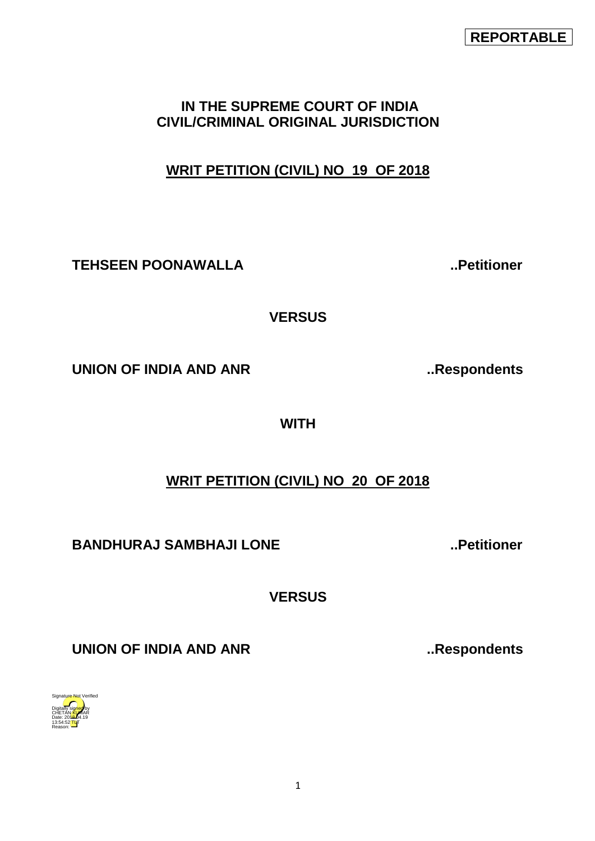**IN THE SUPREME COURT OF INDIA CIVIL/CRIMINAL ORIGINAL JURISDICTION**

**WRIT PETITION (CIVIL) NO 19 OF 2018**

**TEHSEEN POONAWALLA ..Petitioner**

**VERSUS**

**UNION OF INDIA AND ANR ... Respondents** 

**WITH**

# **WRIT PETITION (CIVIL) NO 20 OF 2018**

**BANDHURAJ SAMBHAJI LONE ... Petitioner** 

**VERSUS**

**UNION OF INDIA AND ANR ..Respondents** 

Digitally signed by CHETAN <mark>KU</mark>MAR Date: 2018.04.19 13:54:52 TLT Reason: Signature Not Verified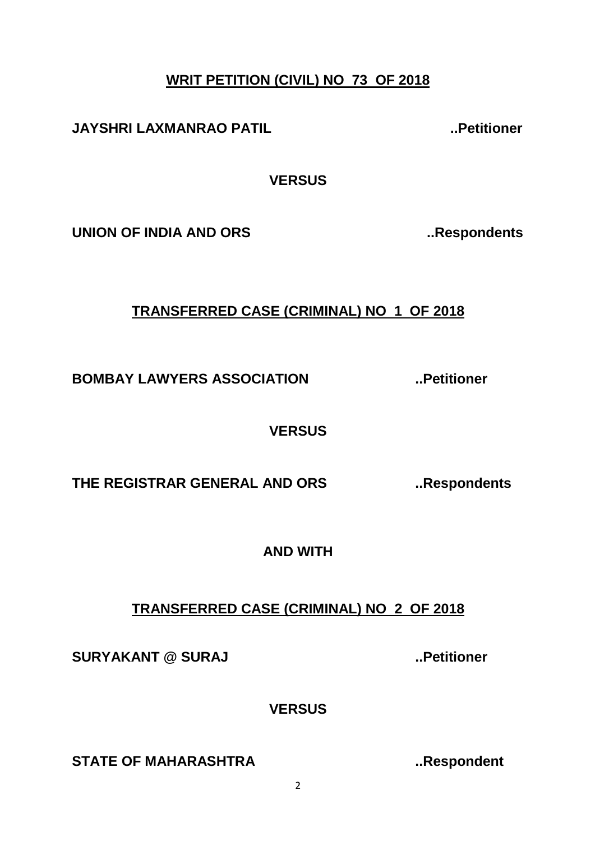# **WRIT PETITION (CIVIL) NO 73 OF 2018**

# **JAYSHRI LAXMANRAO PATIL ..Petitioner**

**VERSUS**

UNION OF INDIA AND ORS ...Respondents

# **TRANSFERRED CASE (CRIMINAL) NO 1 OF 2018**

**BOMBAY LAWYERS ASSOCIATION ..Petitioner** 

**VERSUS**

THE REGISTRAR GENERAL AND ORS ...Respondents

**AND WITH**

# **TRANSFERRED CASE (CRIMINAL) NO 2 OF 2018**

**SURYAKANT @ SURAJ ..Petitioner** 

**VERSUS**

**STATE OF MAHARASHTRA** ... Respondent

 $\overline{2}$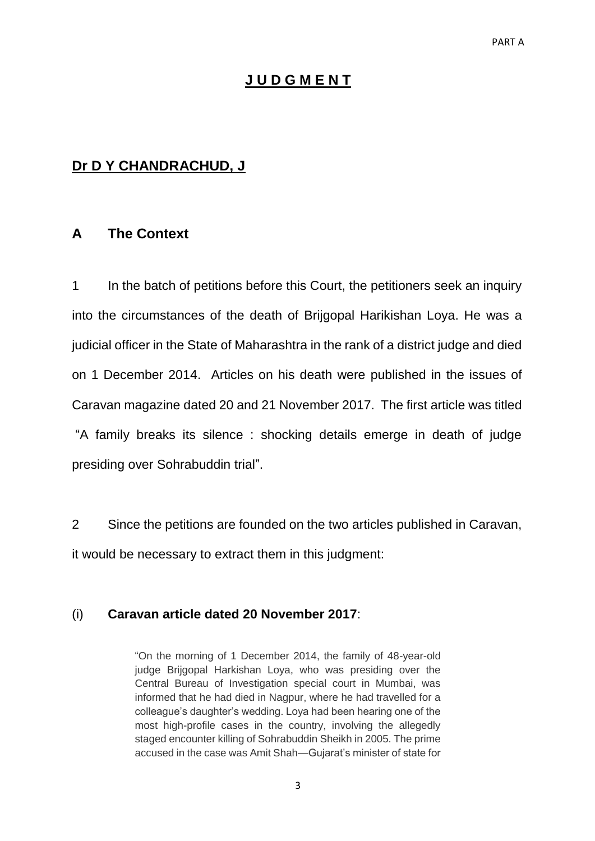## **J U D G M E N T**

## **Dr D Y CHANDRACHUD, J**

### **A The Context**

1 In the batch of petitions before this Court, the petitioners seek an inquiry into the circumstances of the death of Brijgopal Harikishan Loya. He was a judicial officer in the State of Maharashtra in the rank of a district judge and died on 1 December 2014. Articles on his death were published in the issues of Caravan magazine dated 20 and 21 November 2017. The first article was titled "A family breaks its silence : shocking details emerge in death of judge presiding over Sohrabuddin trial".

2 Since the petitions are founded on the two articles published in Caravan, it would be necessary to extract them in this judgment:

#### (i) **Caravan article dated 20 November 2017**:

"On the morning of 1 December 2014, the family of 48-year-old judge Brijgopal Harkishan Loya, who was presiding over the Central Bureau of Investigation special court in Mumbai, was informed that he had died in Nagpur, where he had travelled for a colleague's daughter's wedding. Loya had been hearing one of the most high-profile cases in the country, involving the allegedly staged encounter killing of Sohrabuddin Sheikh in 2005. The prime accused in the case was Amit Shah—Gujarat's minister of state for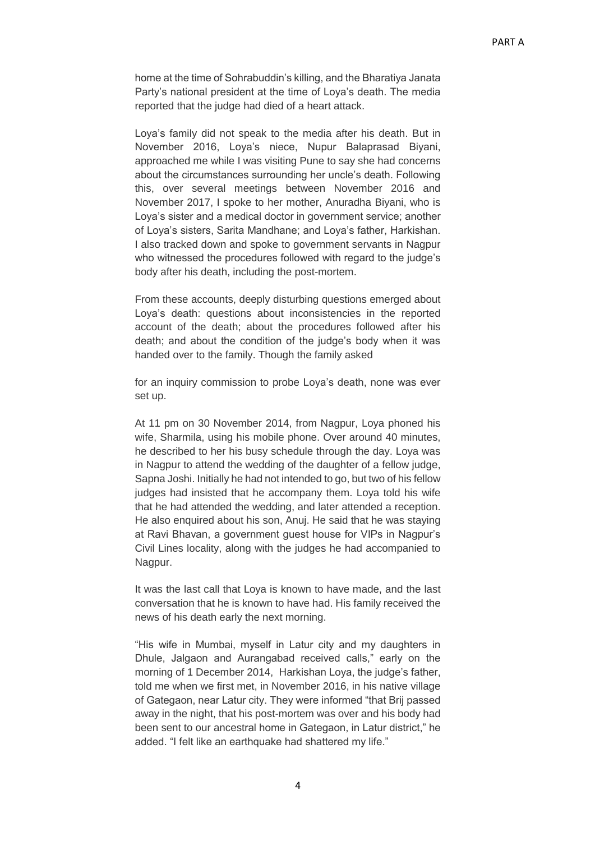home at the time of Sohrabuddin's killing, and the Bharatiya Janata Party's national president at the time of Loya's death. The media reported that the judge had died of a heart attack.

Loya's family did not speak to the media after his death. But in November 2016, Loya's niece, Nupur Balaprasad Biyani, approached me while I was visiting Pune to say she had concerns about the circumstances surrounding her uncle's death. Following this, over several meetings between November 2016 and November 2017, I spoke to her mother, Anuradha Biyani, who is Loya's sister and a medical doctor in government service; another of Loya's sisters, Sarita Mandhane; and Loya's father, Harkishan. I also tracked down and spoke to government servants in Nagpur who witnessed the procedures followed with regard to the judge's body after his death, including the post-mortem.

From these accounts, deeply disturbing questions emerged about Loya's death: questions about inconsistencies in the reported account of the death; about the procedures followed after his death; and about the condition of the judge's body when it was handed over to the family. Though the family asked

for an inquiry commission to probe Loya's death, none was ever set up.

At 11 pm on 30 November 2014, from Nagpur, Loya phoned his wife, Sharmila, using his mobile phone. Over around 40 minutes, he described to her his busy schedule through the day. Loya was in Nagpur to attend the wedding of the daughter of a fellow judge, Sapna Joshi. Initially he had not intended to go, but two of his fellow judges had insisted that he accompany them. Loya told his wife that he had attended the wedding, and later attended a reception. He also enquired about his son, Anuj. He said that he was staying at Ravi Bhavan, a government guest house for VIPs in Nagpur's Civil Lines locality, along with the judges he had accompanied to Nagpur.

It was the last call that Loya is known to have made, and the last conversation that he is known to have had. His family received the news of his death early the next morning.

"His wife in Mumbai, myself in Latur city and my daughters in Dhule, Jalgaon and Aurangabad received calls," early on the morning of 1 December 2014, Harkishan Loya, the judge's father, told me when we first met, in November 2016, in his native village of Gategaon, near Latur city. They were informed "that Brij passed away in the night, that his post-mortem was over and his body had been sent to our ancestral home in Gategaon, in Latur district," he added. "I felt like an earthquake had shattered my life."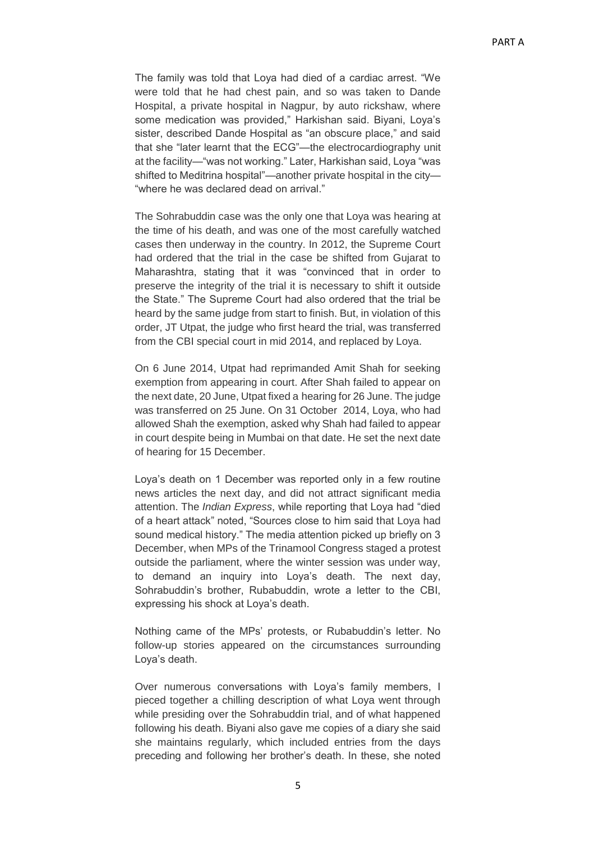The family was told that Loya had died of a cardiac arrest. "We were told that he had chest pain, and so was taken to Dande Hospital, a private hospital in Nagpur, by auto rickshaw, where some medication was provided," Harkishan said. Biyani, Loya's sister, described Dande Hospital as "an obscure place," and said that she "later learnt that the ECG"—the electrocardiography unit at the facility—"was not working." Later, Harkishan said, Loya "was shifted to Meditrina hospital"—another private hospital in the city— "where he was declared dead on arrival."

The Sohrabuddin case was the only one that Loya was hearing at the time of his death, and was one of the most carefully watched cases then underway in the country. In 2012, the Supreme Court had ordered that the trial in the case be shifted from Gujarat to Maharashtra, stating that it was "convinced that in order to preserve the integrity of the trial it is necessary to shift it outside the State." The Supreme Court had also ordered that the trial be heard by the same judge from start to finish. But, in violation of this order, JT Utpat, the judge who first heard the trial, was transferred from the CBI special court in mid 2014, and replaced by Loya.

On 6 June 2014, Utpat had reprimanded Amit Shah for seeking exemption from appearing in court. After Shah failed to appear on the next date, 20 June, Utpat fixed a hearing for 26 June. The judge was transferred on 25 June. On 31 October 2014, Loya, who had allowed Shah the exemption, asked why Shah had failed to appear in court despite being in Mumbai on that date. He set the next date of hearing for 15 December.

Loya's death on 1 December was reported only in a few routine news articles the next day, and did not attract significant media attention. The *Indian Express*, while reporting that Loya had "died of a heart attack" noted, "Sources close to him said that Loya had sound medical history." The media attention picked up briefly on 3 December, when MPs of the Trinamool Congress staged a protest outside the parliament, where the winter session was under way, to demand an inquiry into Loya's death. The next day, Sohrabuddin's brother, Rubabuddin, wrote a letter to the CBI, expressing his shock at Loya's death.

Nothing came of the MPs' protests, or Rubabuddin's letter. No follow-up stories appeared on the circumstances surrounding Loya's death.

Over numerous conversations with Loya's family members, I pieced together a chilling description of what Loya went through while presiding over the Sohrabuddin trial, and of what happened following his death. Biyani also gave me copies of a diary she said she maintains regularly, which included entries from the days preceding and following her brother's death. In these, she noted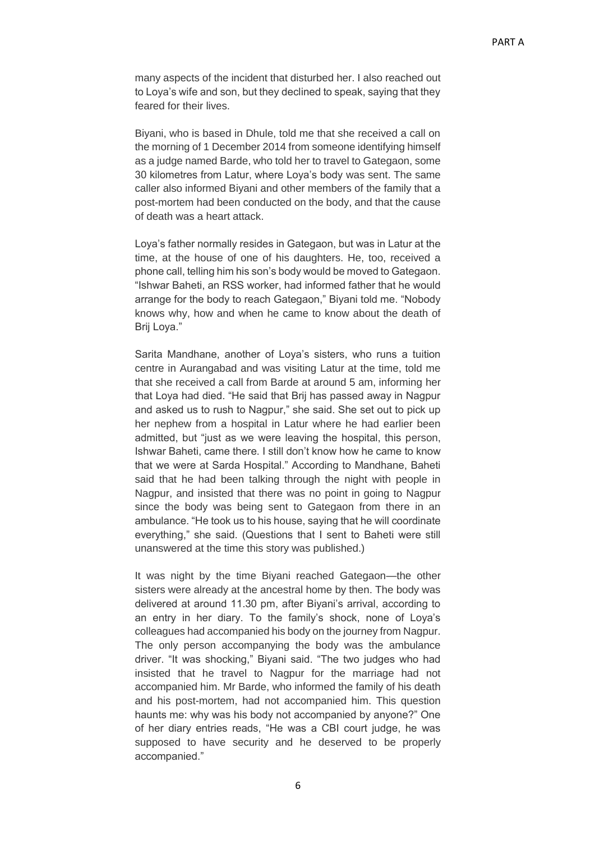many aspects of the incident that disturbed her. I also reached out to Loya's wife and son, but they declined to speak, saying that they feared for their lives.

Biyani, who is based in Dhule, told me that she received a call on the morning of 1 December 2014 from someone identifying himself as a judge named Barde, who told her to travel to Gategaon, some 30 kilometres from Latur, where Loya's body was sent. The same caller also informed Biyani and other members of the family that a post-mortem had been conducted on the body, and that the cause of death was a heart attack.

Loya's father normally resides in Gategaon, but was in Latur at the time, at the house of one of his daughters. He, too, received a phone call, telling him his son's body would be moved to Gategaon. "Ishwar Baheti, an RSS worker, had informed father that he would arrange for the body to reach Gategaon," Biyani told me. "Nobody knows why, how and when he came to know about the death of Brij Loya."

Sarita Mandhane, another of Loya's sisters, who runs a tuition centre in Aurangabad and was visiting Latur at the time, told me that she received a call from Barde at around 5 am, informing her that Loya had died. "He said that Brij has passed away in Nagpur and asked us to rush to Nagpur," she said. She set out to pick up her nephew from a hospital in Latur where he had earlier been admitted, but "just as we were leaving the hospital, this person, Ishwar Baheti, came there. I still don't know how he came to know that we were at Sarda Hospital." According to Mandhane, Baheti said that he had been talking through the night with people in Nagpur, and insisted that there was no point in going to Nagpur since the body was being sent to Gategaon from there in an ambulance. "He took us to his house, saying that he will coordinate everything," she said. (Questions that I sent to Baheti were still unanswered at the time this story was published.)

It was night by the time Biyani reached Gategaon—the other sisters were already at the ancestral home by then. The body was delivered at around 11.30 pm, after Biyani's arrival, according to an entry in her diary. To the family's shock, none of Loya's colleagues had accompanied his body on the journey from Nagpur. The only person accompanying the body was the ambulance driver. "It was shocking," Biyani said. "The two judges who had insisted that he travel to Nagpur for the marriage had not accompanied him. Mr Barde, who informed the family of his death and his post-mortem, had not accompanied him. This question haunts me: why was his body not accompanied by anyone?" One of her diary entries reads, "He was a CBI court judge, he was supposed to have security and he deserved to be properly accompanied."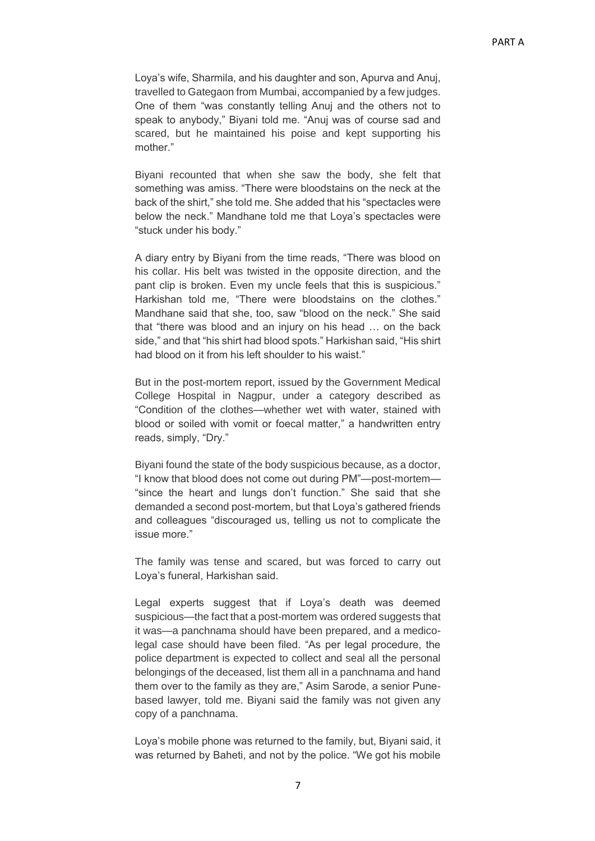Loya's wife, Sharmila, and his daughter and son, Apurva and Anuj, travelled to Gategaon from Mumbai, accompanied by a few judges. One of them "was constantly telling Anuj and the others not to speak to anybody," Biyani told me. "Anuj was of course sad and scared, but he maintained his poise and kept supporting his mother."

Biyani recounted that when she saw the body, she felt that something was amiss. "There were bloodstains on the neck at the back of the shirt," she told me. She added that his "spectacles were below the neck." Mandhane told me that Loya's spectacles were "stuck under his body."

A diary entry by Biyani from the time reads, "There was blood on his collar. His belt was twisted in the opposite direction, and the pant clip is broken. Even my uncle feels that this is suspicious." Harkishan told me, "There were bloodstains on the clothes." Mandhane said that she, too, saw "blood on the neck." She said that "there was blood and an injury on his head … on the back side," and that "his shirt had blood spots." Harkishan said, "His shirt had blood on it from his left shoulder to his waist."

But in the post-mortem report, issued by the Government Medical College Hospital in Nagpur, under a category described as "Condition of the clothes—whether wet with water, stained with blood or soiled with vomit or foecal matter," a handwritten entry reads, simply, "Dry."

Biyani found the state of the body suspicious because, as a doctor, "I know that blood does not come out during PM"—post-mortem— "since the heart and lungs don't function." She said that she demanded a second post-mortem, but that Loya's gathered friends and colleagues "discouraged us, telling us not to complicate the issue more."

The family was tense and scared, but was forced to carry out Loya's funeral, Harkishan said.

Legal experts suggest that if Loya's death was deemed suspicious—the fact that a post-mortem was ordered suggests that it was—a panchnama should have been prepared, and a medicolegal case should have been filed. "As per legal procedure, the police department is expected to collect and seal all the personal belongings of the deceased, list them all in a panchnama and hand them over to the family as they are," Asim Sarode, a senior Punebased lawyer, told me. Biyani said the family was not given any copy of a panchnama.

Loya's mobile phone was returned to the family, but, Biyani said, it was returned by Baheti, and not by the police. "We got his mobile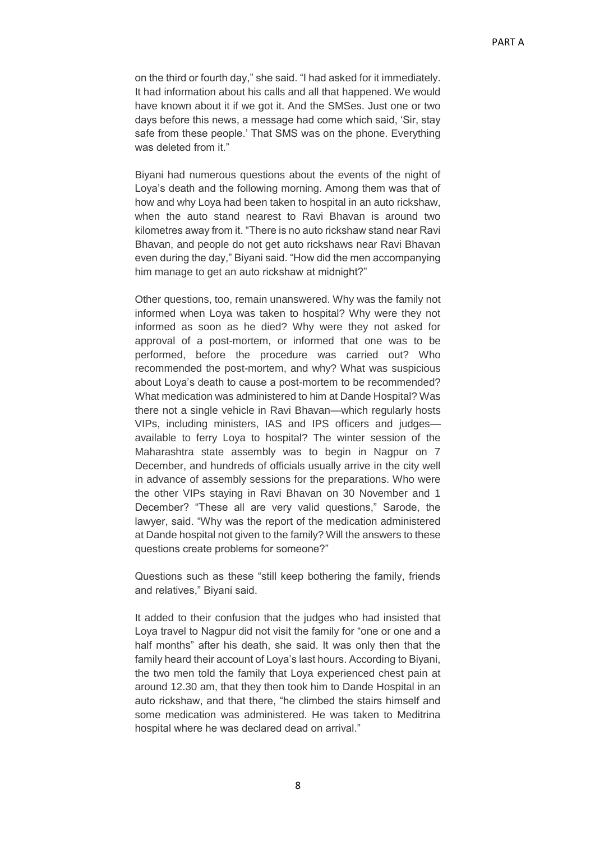on the third or fourth day," she said. "I had asked for it immediately. It had information about his calls and all that happened. We would have known about it if we got it. And the SMSes. Just one or two days before this news, a message had come which said, 'Sir, stay safe from these people.' That SMS was on the phone. Everything was deleted from it."

Biyani had numerous questions about the events of the night of Loya's death and the following morning. Among them was that of how and why Loya had been taken to hospital in an auto rickshaw, when the auto stand nearest to Ravi Bhavan is around two kilometres away from it. "There is no auto rickshaw stand near Ravi Bhavan, and people do not get auto rickshaws near Ravi Bhavan even during the day," Biyani said. "How did the men accompanying him manage to get an auto rickshaw at midnight?"

Other questions, too, remain unanswered. Why was the family not informed when Loya was taken to hospital? Why were they not informed as soon as he died? Why were they not asked for approval of a post-mortem, or informed that one was to be performed, before the procedure was carried out? Who recommended the post-mortem, and why? What was suspicious about Loya's death to cause a post-mortem to be recommended? What medication was administered to him at Dande Hospital? Was there not a single vehicle in Ravi Bhavan—which regularly hosts VIPs, including ministers, IAS and IPS officers and judges available to ferry Loya to hospital? The winter session of the Maharashtra state assembly was to begin in Nagpur on 7 December, and hundreds of officials usually arrive in the city well in advance of assembly sessions for the preparations. Who were the other VIPs staying in Ravi Bhavan on 30 November and 1 December? "These all are very valid questions," Sarode, the lawyer, said. "Why was the report of the medication administered at Dande hospital not given to the family? Will the answers to these questions create problems for someone?"

Questions such as these "still keep bothering the family, friends and relatives," Biyani said.

It added to their confusion that the judges who had insisted that Loya travel to Nagpur did not visit the family for "one or one and a half months" after his death, she said. It was only then that the family heard their account of Loya's last hours. According to Biyani, the two men told the family that Loya experienced chest pain at around 12.30 am, that they then took him to Dande Hospital in an auto rickshaw, and that there, "he climbed the stairs himself and some medication was administered. He was taken to Meditrina hospital where he was declared dead on arrival."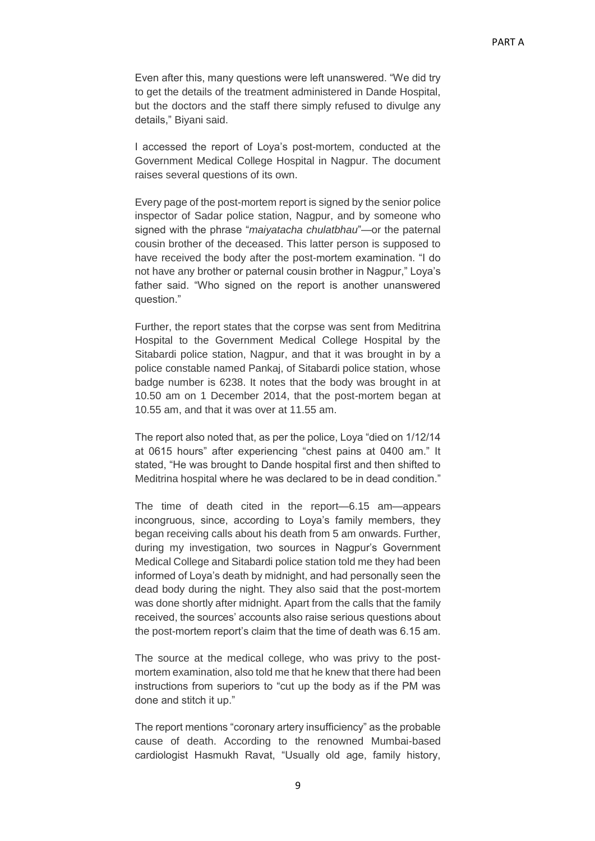Even after this, many questions were left unanswered. "We did try to get the details of the treatment administered in Dande Hospital, but the doctors and the staff there simply refused to divulge any details," Biyani said.

I accessed the report of Loya's post-mortem, conducted at the Government Medical College Hospital in Nagpur. The document raises several questions of its own.

Every page of the post-mortem report is signed by the senior police inspector of Sadar police station, Nagpur, and by someone who signed with the phrase "*maiyatacha chulatbhau*"—or the paternal cousin brother of the deceased. This latter person is supposed to have received the body after the post-mortem examination. "I do not have any brother or paternal cousin brother in Nagpur," Loya's father said. "Who signed on the report is another unanswered question."

Further, the report states that the corpse was sent from Meditrina Hospital to the Government Medical College Hospital by the Sitabardi police station, Nagpur, and that it was brought in by a police constable named Pankaj, of Sitabardi police station, whose badge number is 6238. It notes that the body was brought in at 10.50 am on 1 December 2014, that the post-mortem began at 10.55 am, and that it was over at 11.55 am.

The report also noted that, as per the police, Loya "died on 1/12/14 at 0615 hours" after experiencing "chest pains at 0400 am." It stated, "He was brought to Dande hospital first and then shifted to Meditrina hospital where he was declared to be in dead condition."

The time of death cited in the report—6.15 am—appears incongruous, since, according to Loya's family members, they began receiving calls about his death from 5 am onwards. Further, during my investigation, two sources in Nagpur's Government Medical College and Sitabardi police station told me they had been informed of Loya's death by midnight, and had personally seen the dead body during the night. They also said that the post-mortem was done shortly after midnight. Apart from the calls that the family received, the sources' accounts also raise serious questions about the post-mortem report's claim that the time of death was 6.15 am.

The source at the medical college, who was privy to the postmortem examination, also told me that he knew that there had been instructions from superiors to "cut up the body as if the PM was done and stitch it up."

The report mentions "coronary artery insufficiency" as the probable cause of death. According to the renowned Mumbai-based cardiologist Hasmukh Ravat, "Usually old age, family history,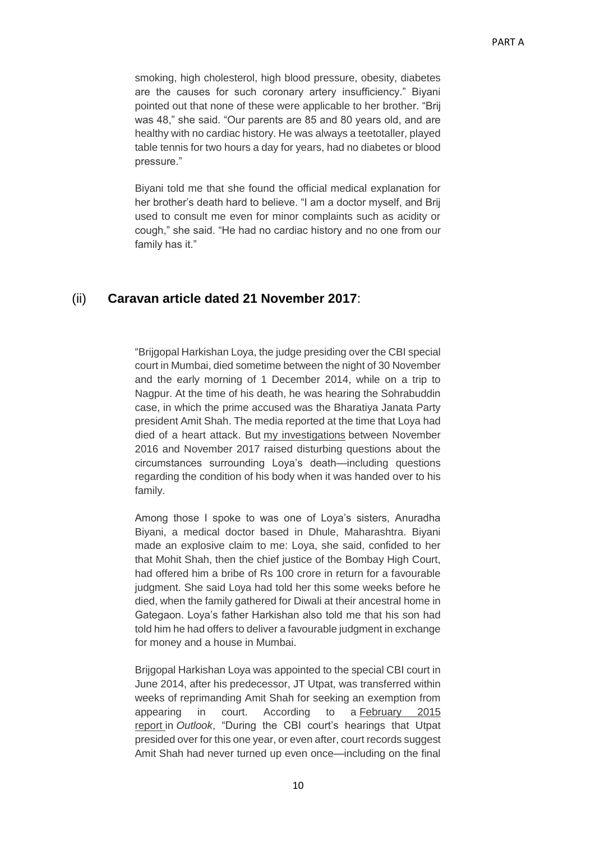smoking, high cholesterol, high blood pressure, obesity, diabetes are the causes for such coronary artery insufficiency." Biyani pointed out that none of these were applicable to her brother. "Brij was 48," she said. "Our parents are 85 and 80 years old, and are healthy with no cardiac history. He was always a teetotaller, played table tennis for two hours a day for years, had no diabetes or blood pressure."

Biyani told me that she found the official medical explanation for her brother's death hard to believe. "I am a doctor myself, and Brij used to consult me even for minor complaints such as acidity or cough," she said. "He had no cardiac history and no one from our family has it."

### (ii) **Caravan article dated 21 November 2017**:

"Brijgopal Harkishan Loya, the judge presiding over the CBI special court in Mumbai, died sometime between the night of 30 November and the early morning of 1 December 2014, while on a trip to Nagpur. At the time of his death, he was hearing the Sohrabuddin case, in which the prime accused was the Bharatiya Janata Party president Amit Shah. The media reported at the time that Loya had died of a heart attack. But my [investigations](http://www.caravanmagazine.in/vantage/shocking-details-emerge-in-death-of-judge-presiding-over-sohrabuddin-trial-family-breaks-silence) between November 2016 and November 2017 raised disturbing questions about the circumstances surrounding Loya's death—including questions regarding the condition of his body when it was handed over to his family.

Among those I spoke to was one of Loya's sisters, Anuradha Biyani, a medical doctor based in Dhule, Maharashtra. Biyani made an explosive claim to me: Loya, she said, confided to her that Mohit Shah, then the chief justice of the Bombay High Court, had offered him a bribe of Rs 100 crore in return for a favourable judgment. She said Loya had told her this some weeks before he died, when the family gathered for Diwali at their ancestral home in Gategaon. Loya's father Harkishan also told me that his son had told him he had offers to deliver a favourable judgment in exchange for money and a house in Mumbai.

Brijgopal Harkishan Loya was appointed to the special CBI court in June 2014, after his predecessor, JT Utpat, was transferred within weeks of reprimanding Amit Shah for seeking an exemption from appearing in court. According to a [February](https://www.outlookindia.com/magazine/story/the-amit-shah-files/293300) 2015 [report](https://www.outlookindia.com/magazine/story/the-amit-shah-files/293300) in *Outlook*, "During the CBI court's hearings that Utpat presided over for this one year, or even after, court records suggest Amit Shah had never turned up even once—including on the final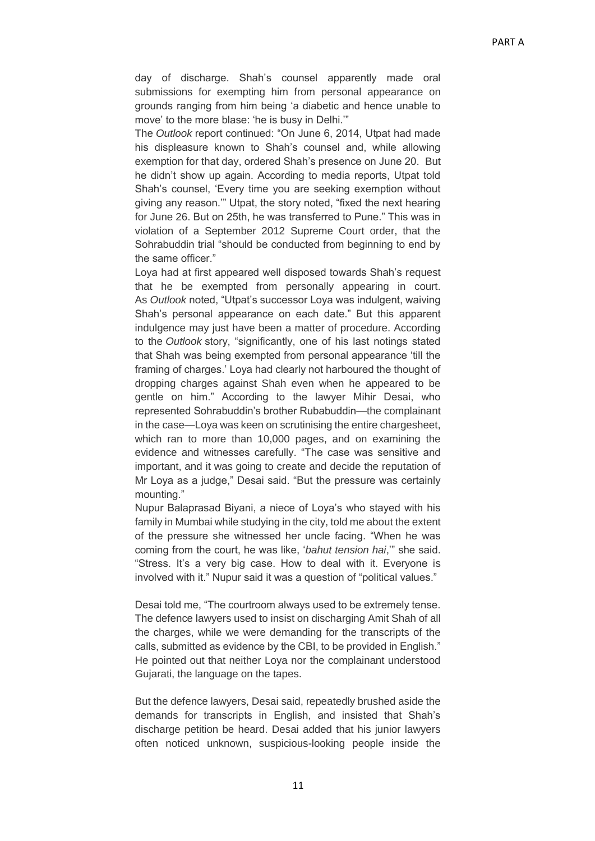day of discharge. Shah's counsel apparently made oral submissions for exempting him from personal appearance on grounds ranging from him being 'a diabetic and hence unable to move' to the more blase: 'he is busy in Delhi.'"

The *Outlook* report continued: "On June 6, 2014, Utpat had made his displeasure known to Shah's counsel and, while allowing exemption for that day, ordered Shah's presence on June 20. But he didn't show up again. According to media reports, Utpat told Shah's counsel, 'Every time you are seeking exemption without giving any reason.'" Utpat, the story noted, "fixed the next hearing for June 26. But on 25th, he was transferred to Pune." This was in violation of a September 2012 Supreme Court order, that the Sohrabuddin trial "should be conducted from beginning to end by the same officer."

Loya had at first appeared well disposed towards Shah's request that he be exempted from personally appearing in court. As *Outlook* noted, "Utpat's successor Loya was indulgent, waiving Shah's personal appearance on each date." But this apparent indulgence may just have been a matter of procedure. According to the *Outlook* story, "significantly, one of his last notings stated that Shah was being exempted from personal appearance 'till the framing of charges.' Loya had clearly not harboured the thought of dropping charges against Shah even when he appeared to be gentle on him." According to the lawyer Mihir Desai, who represented Sohrabuddin's brother Rubabuddin—the complainant in the case—Loya was keen on scrutinising the entire chargesheet, which ran to more than 10,000 pages, and on examining the evidence and witnesses carefully. "The case was sensitive and important, and it was going to create and decide the reputation of Mr Loya as a judge," Desai said. "But the pressure was certainly mounting."

Nupur Balaprasad Biyani, a niece of Loya's who stayed with his family in Mumbai while studying in the city, told me about the extent of the pressure she witnessed her uncle facing. "When he was coming from the court, he was like, '*bahut tension hai*,'" she said. "Stress. It's a very big case. How to deal with it. Everyone is involved with it." Nupur said it was a question of "political values."

Desai told me, "The courtroom always used to be extremely tense. The defence lawyers used to insist on discharging Amit Shah of all the charges, while we were demanding for the transcripts of the calls, submitted as evidence by the CBI, to be provided in English." He pointed out that neither Loya nor the complainant understood Gujarati, the language on the tapes.

But the defence lawyers, Desai said, repeatedly brushed aside the demands for transcripts in English, and insisted that Shah's discharge petition be heard. Desai added that his junior lawyers often noticed unknown, suspicious-looking people inside the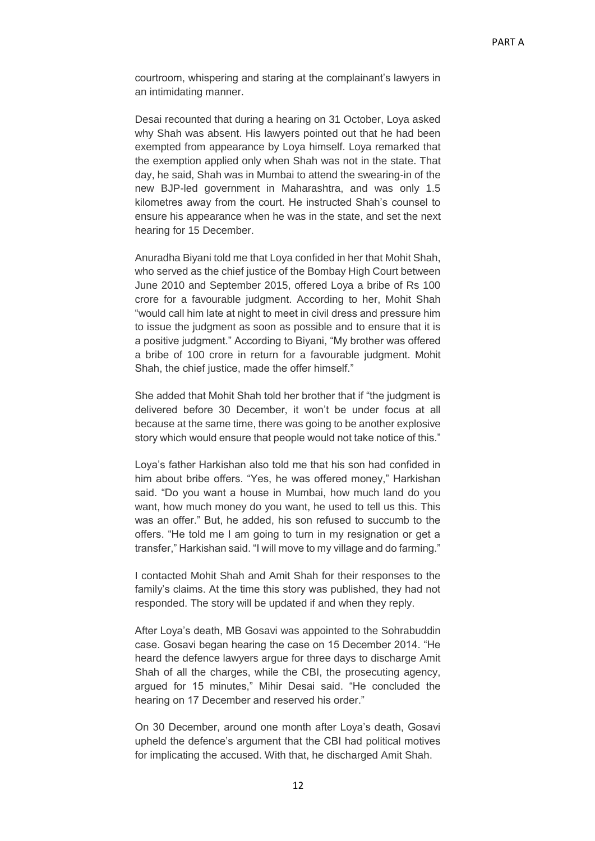courtroom, whispering and staring at the complainant's lawyers in an intimidating manner.

Desai recounted that during a hearing on 31 October, Loya asked why Shah was absent. His lawyers pointed out that he had been exempted from appearance by Loya himself. Loya remarked that the exemption applied only when Shah was not in the state. That day, he said, Shah was in Mumbai to attend the swearing-in of the new BJP-led government in Maharashtra, and was only 1.5 kilometres away from the court. He instructed Shah's counsel to ensure his appearance when he was in the state, and set the next hearing for 15 December.

Anuradha Biyani told me that Loya confided in her that Mohit Shah, who served as the chief justice of the Bombay High Court between June 2010 and September 2015, offered Loya a bribe of Rs 100 crore for a favourable judgment. According to her, Mohit Shah "would call him late at night to meet in civil dress and pressure him to issue the judgment as soon as possible and to ensure that it is a positive judgment." According to Biyani, "My brother was offered a bribe of 100 crore in return for a favourable judgment. Mohit Shah, the chief justice, made the offer himself."

She added that Mohit Shah told her brother that if "the judgment is delivered before 30 December, it won't be under focus at all because at the same time, there was going to be another explosive story which would ensure that people would not take notice of this."

Loya's father Harkishan also told me that his son had confided in him about bribe offers. "Yes, he was offered money," Harkishan said. "Do you want a house in Mumbai, how much land do you want, how much money do you want, he used to tell us this. This was an offer." But, he added, his son refused to succumb to the offers. "He told me I am going to turn in my resignation or get a transfer," Harkishan said. "I will move to my village and do farming."

I contacted Mohit Shah and Amit Shah for their responses to the family's claims. At the time this story was published, they had not responded. The story will be updated if and when they reply.

After Loya's death, MB Gosavi was appointed to the Sohrabuddin case. Gosavi began hearing the case on 15 December 2014. "He heard the defence lawyers argue for three days to discharge Amit Shah of all the charges, while the CBI, the prosecuting agency, argued for 15 minutes," Mihir Desai said. "He concluded the hearing on 17 December and reserved his order."

On 30 December, around one month after Loya's death, Gosavi upheld the defence's argument that the CBI had political motives for implicating the accused. With that, he discharged Amit Shah.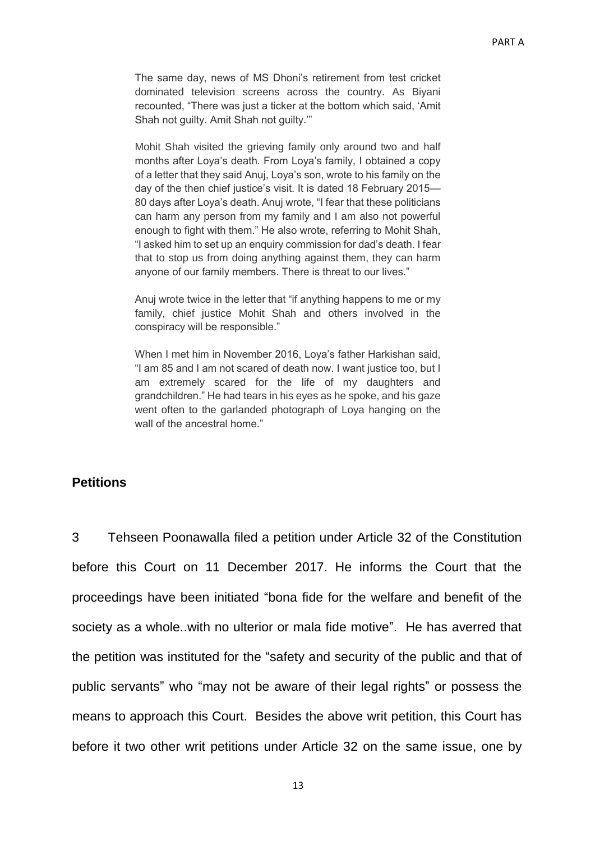The same day, news of MS Dhoni's retirement from test cricket dominated television screens across the country. As Biyani recounted, "There was just a ticker at the bottom which said, 'Amit Shah not guilty. Amit Shah not guilty.'"

Mohit Shah visited the grieving family only around two and half months after Loya's death. From Loya's family, I obtained a copy of a letter that they said Anuj, Loya's son, wrote to his family on the day of the then chief justice's visit. It is dated 18 February 2015— 80 days after Loya's death. Anuj wrote, "I fear that these politicians can harm any person from my family and I am also not powerful enough to fight with them." He also wrote, referring to Mohit Shah, "I asked him to set up an enquiry commission for dad's death. I fear that to stop us from doing anything against them, they can harm anyone of our family members. There is threat to our lives."

Anuj wrote twice in the letter that "if anything happens to me or my family, chief justice Mohit Shah and others involved in the conspiracy will be responsible."

When I met him in November 2016, Loya's father Harkishan said, "I am 85 and I am not scared of death now. I want justice too, but I am extremely scared for the life of my daughters and grandchildren." He had tears in his eyes as he spoke, and his gaze went often to the garlanded photograph of Loya hanging on the wall of the ancestral home."

#### **Petitions**

3 Tehseen Poonawalla filed a petition under Article 32 of the Constitution before this Court on 11 December 2017. He informs the Court that the proceedings have been initiated "bona fide for the welfare and benefit of the society as a whole..with no ulterior or mala fide motive". He has averred that the petition was instituted for the "safety and security of the public and that of public servants" who "may not be aware of their legal rights" or possess the means to approach this Court. Besides the above writ petition, this Court has before it two other writ petitions under Article 32 on the same issue, one by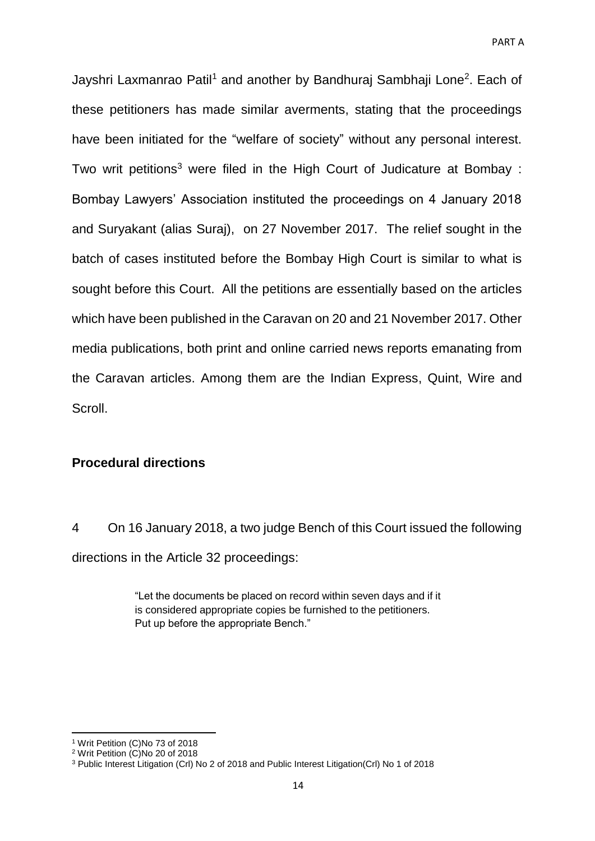Jayshri Laxmanrao Patil<sup>1</sup> and another by Bandhuraj Sambhaji Lone<sup>2</sup>. Each of these petitioners has made similar averments, stating that the proceedings have been initiated for the "welfare of society" without any personal interest. Two writ petitions<sup>3</sup> were filed in the High Court of Judicature at Bombay : Bombay Lawyers' Association instituted the proceedings on 4 January 2018 and Suryakant (alias Suraj), on 27 November 2017. The relief sought in the batch of cases instituted before the Bombay High Court is similar to what is sought before this Court. All the petitions are essentially based on the articles which have been published in the Caravan on 20 and 21 November 2017. Other media publications, both print and online carried news reports emanating from the Caravan articles. Among them are the Indian Express, Quint, Wire and Scroll.

## **Procedural directions**

4 On 16 January 2018, a two judge Bench of this Court issued the following directions in the Article 32 proceedings:

> "Let the documents be placed on record within seven days and if it is considered appropriate copies be furnished to the petitioners. Put up before the appropriate Bench."

**<sup>.</sup>** <sup>1</sup> Writ Petition (C)No 73 of 2018

<sup>2</sup> Writ Petition (C)No 20 of 2018

<sup>3</sup> Public Interest Litigation (Crl) No 2 of 2018 and Public Interest Litigation(Crl) No 1 of 2018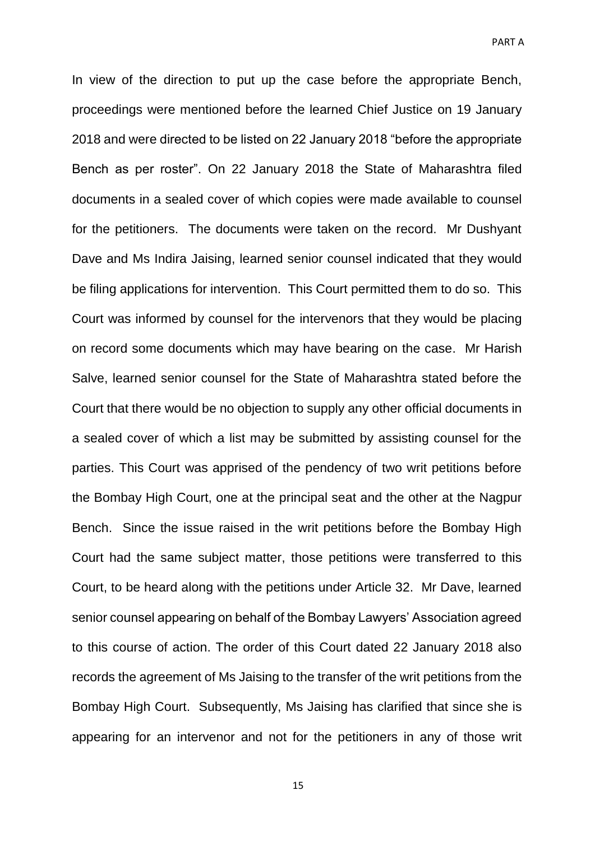In view of the direction to put up the case before the appropriate Bench, proceedings were mentioned before the learned Chief Justice on 19 January 2018 and were directed to be listed on 22 January 2018 "before the appropriate Bench as per roster". On 22 January 2018 the State of Maharashtra filed documents in a sealed cover of which copies were made available to counsel for the petitioners. The documents were taken on the record. Mr Dushyant Dave and Ms Indira Jaising, learned senior counsel indicated that they would be filing applications for intervention. This Court permitted them to do so. This Court was informed by counsel for the intervenors that they would be placing on record some documents which may have bearing on the case. Mr Harish Salve, learned senior counsel for the State of Maharashtra stated before the Court that there would be no objection to supply any other official documents in a sealed cover of which a list may be submitted by assisting counsel for the parties. This Court was apprised of the pendency of two writ petitions before the Bombay High Court, one at the principal seat and the other at the Nagpur Bench. Since the issue raised in the writ petitions before the Bombay High Court had the same subject matter, those petitions were transferred to this Court, to be heard along with the petitions under Article 32. Mr Dave, learned senior counsel appearing on behalf of the Bombay Lawyers' Association agreed to this course of action. The order of this Court dated 22 January 2018 also records the agreement of Ms Jaising to the transfer of the writ petitions from the Bombay High Court. Subsequently, Ms Jaising has clarified that since she is appearing for an intervenor and not for the petitioners in any of those writ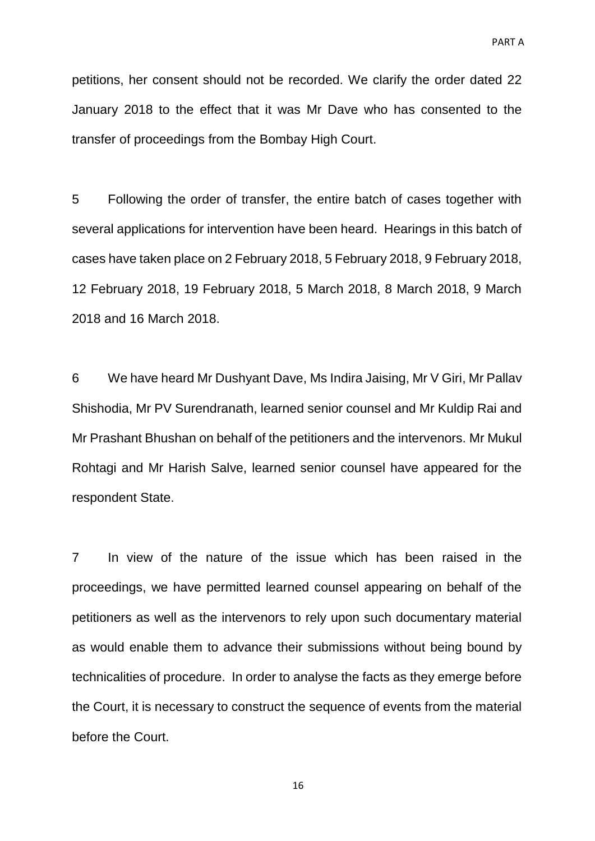petitions, her consent should not be recorded. We clarify the order dated 22 January 2018 to the effect that it was Mr Dave who has consented to the transfer of proceedings from the Bombay High Court.

5 Following the order of transfer, the entire batch of cases together with several applications for intervention have been heard. Hearings in this batch of cases have taken place on 2 February 2018, 5 February 2018, 9 February 2018, 12 February 2018, 19 February 2018, 5 March 2018, 8 March 2018, 9 March 2018 and 16 March 2018.

6 We have heard Mr Dushyant Dave, Ms Indira Jaising, Mr V Giri, Mr Pallav Shishodia, Mr PV Surendranath, learned senior counsel and Mr Kuldip Rai and Mr Prashant Bhushan on behalf of the petitioners and the intervenors. Mr Mukul Rohtagi and Mr Harish Salve, learned senior counsel have appeared for the respondent State.

7 In view of the nature of the issue which has been raised in the proceedings, we have permitted learned counsel appearing on behalf of the petitioners as well as the intervenors to rely upon such documentary material as would enable them to advance their submissions without being bound by technicalities of procedure. In order to analyse the facts as they emerge before the Court, it is necessary to construct the sequence of events from the material before the Court.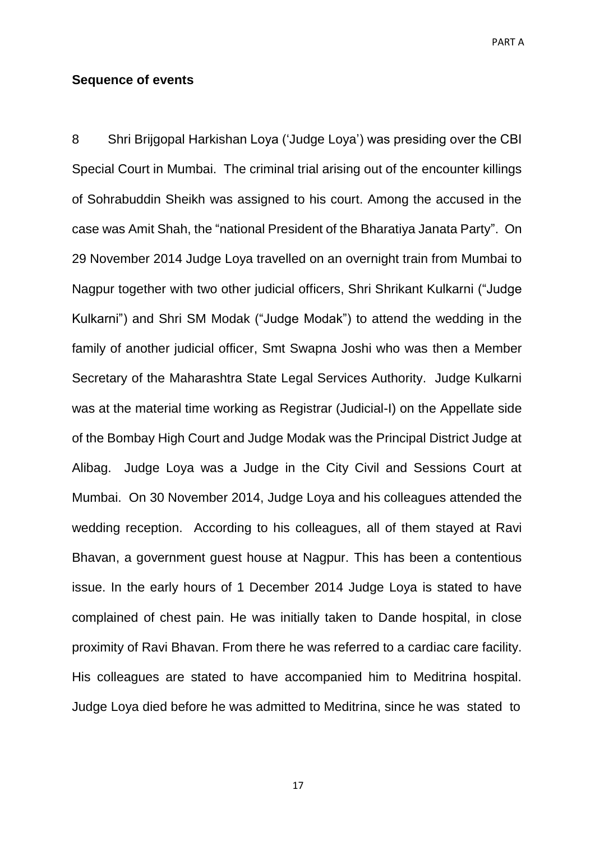#### **Sequence of events**

8 Shri Brijgopal Harkishan Loya ('Judge Loya') was presiding over the CBI Special Court in Mumbai. The criminal trial arising out of the encounter killings of Sohrabuddin Sheikh was assigned to his court. Among the accused in the case was Amit Shah, the "national President of the Bharatiya Janata Party". On 29 November 2014 Judge Loya travelled on an overnight train from Mumbai to Nagpur together with two other judicial officers, Shri Shrikant Kulkarni ("Judge Kulkarni") and Shri SM Modak ("Judge Modak") to attend the wedding in the family of another judicial officer, Smt Swapna Joshi who was then a Member Secretary of the Maharashtra State Legal Services Authority. Judge Kulkarni was at the material time working as Registrar (Judicial-I) on the Appellate side of the Bombay High Court and Judge Modak was the Principal District Judge at Alibag. Judge Loya was a Judge in the City Civil and Sessions Court at Mumbai. On 30 November 2014, Judge Loya and his colleagues attended the wedding reception. According to his colleagues, all of them stayed at Ravi Bhavan, a government guest house at Nagpur. This has been a contentious issue. In the early hours of 1 December 2014 Judge Loya is stated to have complained of chest pain. He was initially taken to Dande hospital, in close proximity of Ravi Bhavan. From there he was referred to a cardiac care facility. His colleagues are stated to have accompanied him to Meditrina hospital. Judge Loya died before he was admitted to Meditrina, since he was stated to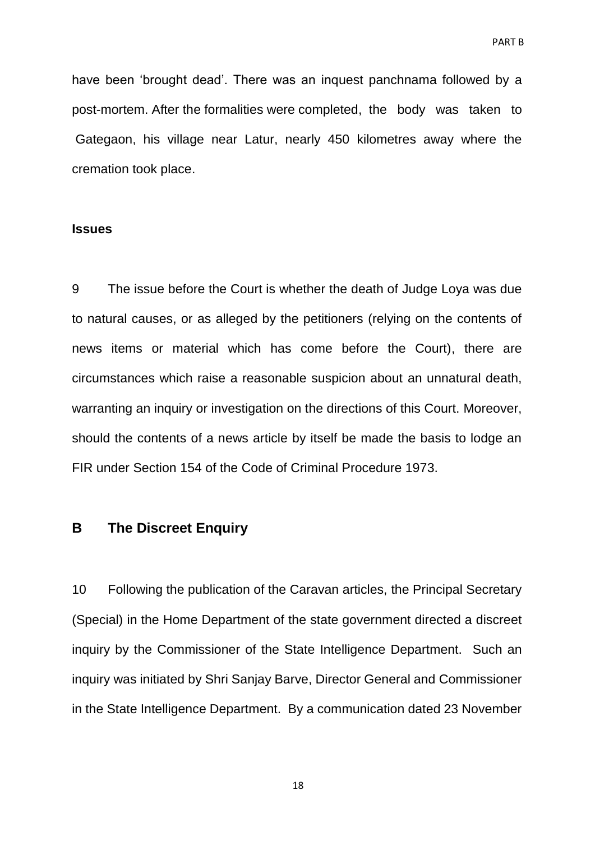have been 'brought dead'. There was an inquest panchnama followed by a post-mortem. After the formalities were completed, the body was taken to Gategaon, his village near Latur, nearly 450 kilometres away where the cremation took place.

#### **Issues**

9 The issue before the Court is whether the death of Judge Loya was due to natural causes, or as alleged by the petitioners (relying on the contents of news items or material which has come before the Court), there are circumstances which raise a reasonable suspicion about an unnatural death, warranting an inquiry or investigation on the directions of this Court. Moreover, should the contents of a news article by itself be made the basis to lodge an FIR under Section 154 of the Code of Criminal Procedure 1973.

#### **B The Discreet Enquiry**

10 Following the publication of the Caravan articles, the Principal Secretary (Special) in the Home Department of the state government directed a discreet inquiry by the Commissioner of the State Intelligence Department. Such an inquiry was initiated by Shri Sanjay Barve, Director General and Commissioner in the State Intelligence Department. By a communication dated 23 November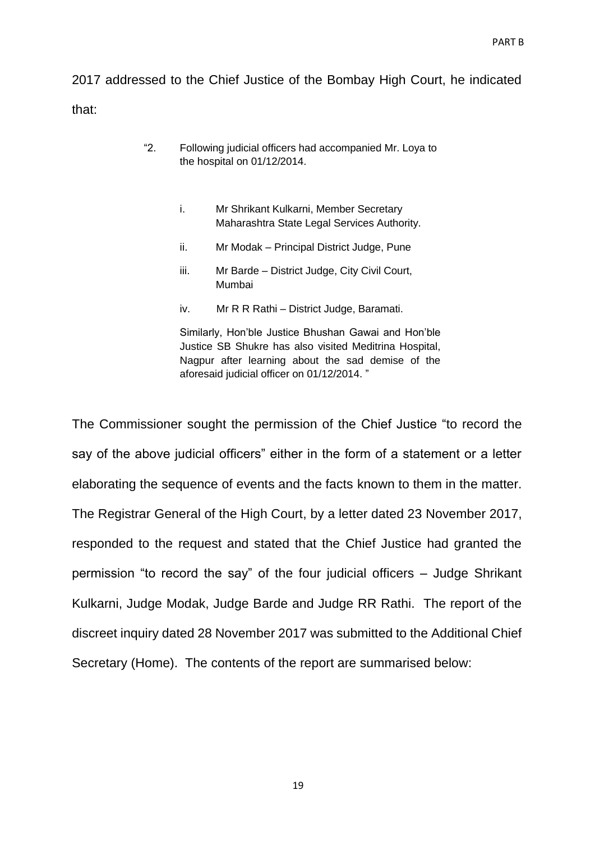2017 addressed to the Chief Justice of the Bombay High Court, he indicated that:

- "2. Following judicial officers had accompanied Mr. Loya to the hospital on 01/12/2014.
	- i. Mr Shrikant Kulkarni, Member Secretary Maharashtra State Legal Services Authority.
	- ii. Mr Modak Principal District Judge, Pune
	- iii. Mr Barde District Judge, City Civil Court, Mumbai
	- iv. Mr R R Rathi District Judge, Baramati.

Similarly, Hon'ble Justice Bhushan Gawai and Hon'ble Justice SB Shukre has also visited Meditrina Hospital, Nagpur after learning about the sad demise of the aforesaid judicial officer on 01/12/2014. "

The Commissioner sought the permission of the Chief Justice "to record the say of the above judicial officers" either in the form of a statement or a letter elaborating the sequence of events and the facts known to them in the matter. The Registrar General of the High Court, by a letter dated 23 November 2017, responded to the request and stated that the Chief Justice had granted the permission "to record the say" of the four judicial officers – Judge Shrikant Kulkarni, Judge Modak, Judge Barde and Judge RR Rathi. The report of the discreet inquiry dated 28 November 2017 was submitted to the Additional Chief Secretary (Home). The contents of the report are summarised below: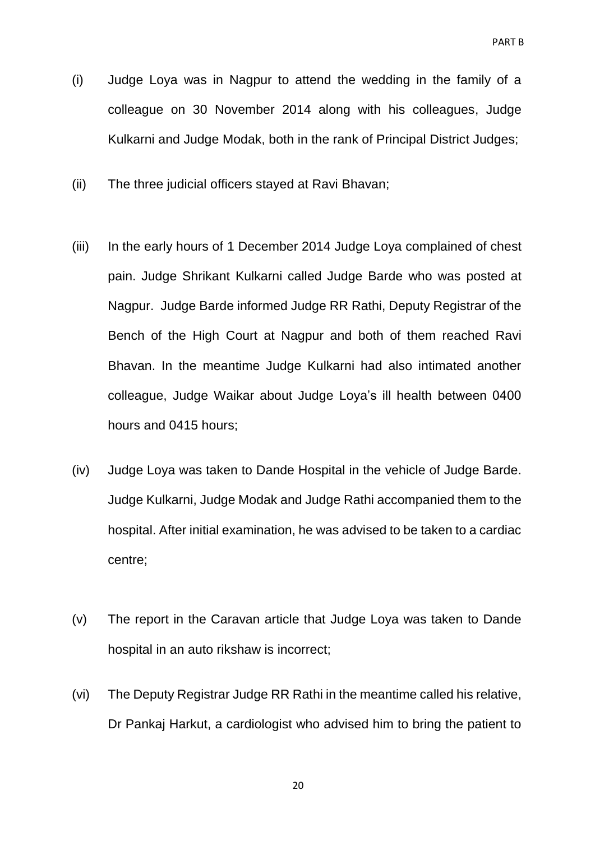- (i) Judge Loya was in Nagpur to attend the wedding in the family of a colleague on 30 November 2014 along with his colleagues, Judge Kulkarni and Judge Modak, both in the rank of Principal District Judges;
- (ii) The three judicial officers stayed at Ravi Bhavan;
- (iii) In the early hours of 1 December 2014 Judge Loya complained of chest pain. Judge Shrikant Kulkarni called Judge Barde who was posted at Nagpur. Judge Barde informed Judge RR Rathi, Deputy Registrar of the Bench of the High Court at Nagpur and both of them reached Ravi Bhavan. In the meantime Judge Kulkarni had also intimated another colleague, Judge Waikar about Judge Loya's ill health between 0400 hours and 0415 hours;
- (iv) Judge Loya was taken to Dande Hospital in the vehicle of Judge Barde. Judge Kulkarni, Judge Modak and Judge Rathi accompanied them to the hospital. After initial examination, he was advised to be taken to a cardiac centre;
- (v) The report in the Caravan article that Judge Loya was taken to Dande hospital in an auto rikshaw is incorrect;
- (vi) The Deputy Registrar Judge RR Rathi in the meantime called his relative, Dr Pankaj Harkut, a cardiologist who advised him to bring the patient to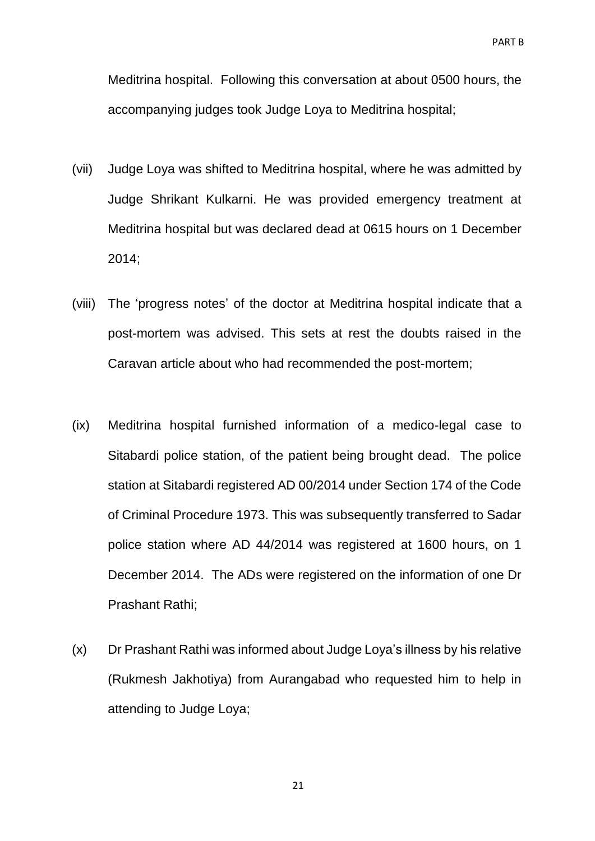Meditrina hospital. Following this conversation at about 0500 hours, the accompanying judges took Judge Loya to Meditrina hospital;

- (vii) Judge Loya was shifted to Meditrina hospital, where he was admitted by Judge Shrikant Kulkarni. He was provided emergency treatment at Meditrina hospital but was declared dead at 0615 hours on 1 December 2014;
- (viii) The 'progress notes' of the doctor at Meditrina hospital indicate that a post-mortem was advised. This sets at rest the doubts raised in the Caravan article about who had recommended the post-mortem;
- (ix) Meditrina hospital furnished information of a medico-legal case to Sitabardi police station, of the patient being brought dead. The police station at Sitabardi registered AD 00/2014 under Section 174 of the Code of Criminal Procedure 1973. This was subsequently transferred to Sadar police station where AD 44/2014 was registered at 1600 hours, on 1 December 2014. The ADs were registered on the information of one Dr Prashant Rathi;
- (x) Dr Prashant Rathi was informed about Judge Loya's illness by his relative (Rukmesh Jakhotiya) from Aurangabad who requested him to help in attending to Judge Loya;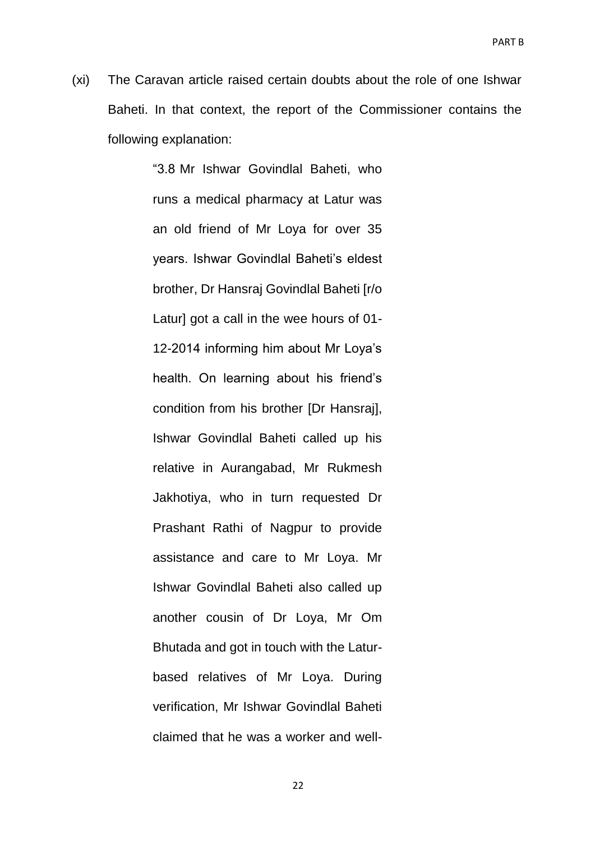(xi) The Caravan article raised certain doubts about the role of one Ishwar Baheti. In that context, the report of the Commissioner contains the following explanation:

> "3.8 Mr Ishwar Govindlal Baheti, who runs a medical pharmacy at Latur was an old friend of Mr Loya for over 35 years. Ishwar Govindlal Baheti's eldest brother, Dr Hansraj Govindlal Baheti [r/o Latur] got a call in the wee hours of 01- 12-2014 informing him about Mr Loya's health. On learning about his friend's condition from his brother [Dr Hansraj], Ishwar Govindlal Baheti called up his relative in Aurangabad, Mr Rukmesh Jakhotiya, who in turn requested Dr Prashant Rathi of Nagpur to provide assistance and care to Mr Loya. Mr Ishwar Govindlal Baheti also called up another cousin of Dr Loya, Mr Om Bhutada and got in touch with the Laturbased relatives of Mr Loya. During verification, Mr Ishwar Govindlal Baheti claimed that he was a worker and well-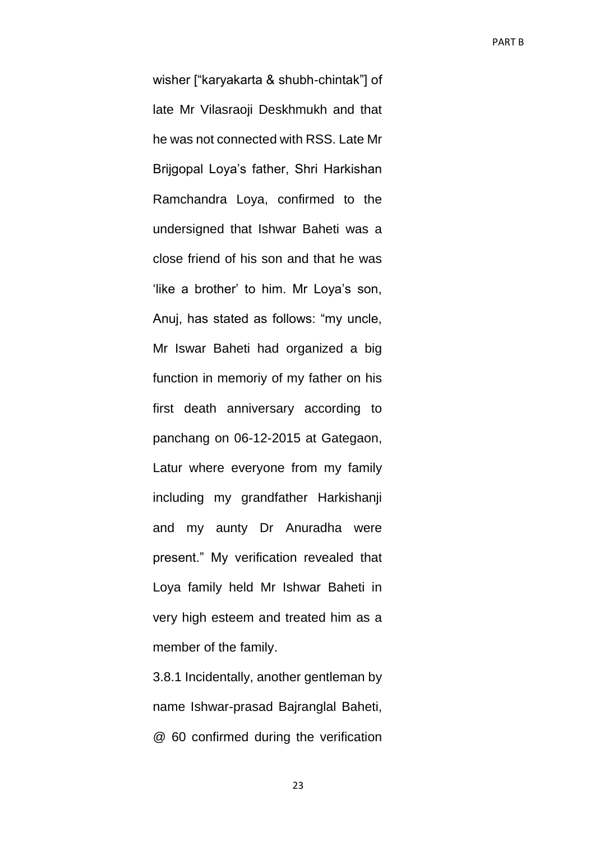wisher ["karyakarta & shubh-chintak"] of late Mr Vilasraoji Deskhmukh and that he was not connected with RSS. Late Mr Brijgopal Loya's father, Shri Harkishan Ramchandra Loya, confirmed to the undersigned that Ishwar Baheti was a close friend of his son and that he was 'like a brother' to him. Mr Loya's son, Anuj, has stated as follows: "my uncle, Mr Iswar Baheti had organized a big function in memoriy of my father on his first death anniversary according to panchang on 06-12-2015 at Gategaon, Latur where everyone from my family including my grandfather Harkishanji and my aunty Dr Anuradha were present." My verification revealed that Loya family held Mr Ishwar Baheti in very high esteem and treated him as a member of the family.

3.8.1 Incidentally, another gentleman by name Ishwar-prasad Bajranglal Baheti, @ 60 confirmed during the verification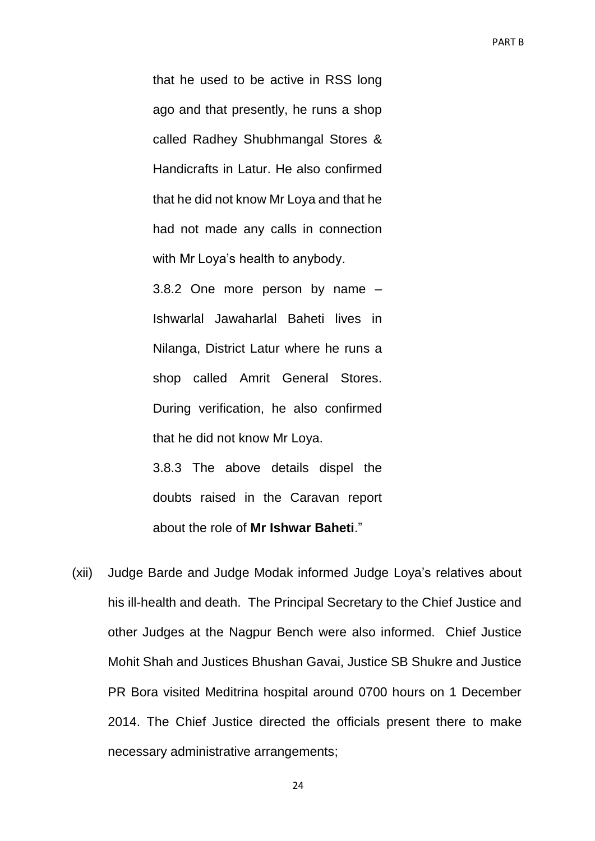that he used to be active in RSS long ago and that presently, he runs a shop called Radhey Shubhmangal Stores & Handicrafts in Latur. He also confirmed that he did not know Mr Loya and that he had not made any calls in connection with Mr Loya's health to anybody.

3.8.2 One more person by name – Ishwarlal Jawaharlal Baheti lives in Nilanga, District Latur where he runs a shop called Amrit General Stores. During verification, he also confirmed that he did not know Mr Loya.

3.8.3 The above details dispel the doubts raised in the Caravan report about the role of **Mr Ishwar Baheti**."

(xii) Judge Barde and Judge Modak informed Judge Loya's relatives about his ill-health and death. The Principal Secretary to the Chief Justice and other Judges at the Nagpur Bench were also informed. Chief Justice Mohit Shah and Justices Bhushan Gavai, Justice SB Shukre and Justice PR Bora visited Meditrina hospital around 0700 hours on 1 December 2014. The Chief Justice directed the officials present there to make necessary administrative arrangements;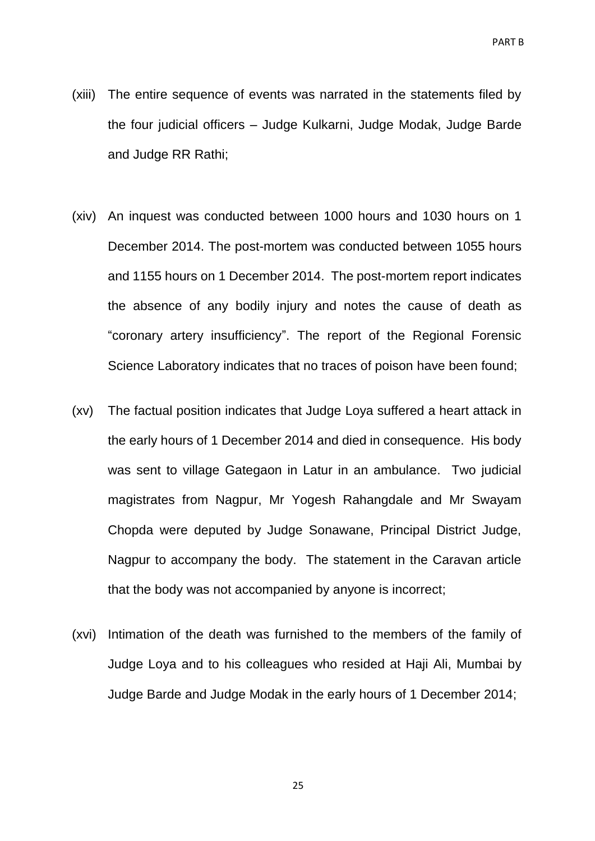- (xiii) The entire sequence of events was narrated in the statements filed by the four judicial officers – Judge Kulkarni, Judge Modak, Judge Barde and Judge RR Rathi;
- (xiv) An inquest was conducted between 1000 hours and 1030 hours on 1 December 2014. The post-mortem was conducted between 1055 hours and 1155 hours on 1 December 2014. The post-mortem report indicates the absence of any bodily injury and notes the cause of death as "coronary artery insufficiency". The report of the Regional Forensic Science Laboratory indicates that no traces of poison have been found;
- (xv) The factual position indicates that Judge Loya suffered a heart attack in the early hours of 1 December 2014 and died in consequence. His body was sent to village Gategaon in Latur in an ambulance. Two judicial magistrates from Nagpur, Mr Yogesh Rahangdale and Mr Swayam Chopda were deputed by Judge Sonawane, Principal District Judge, Nagpur to accompany the body. The statement in the Caravan article that the body was not accompanied by anyone is incorrect;
- (xvi) Intimation of the death was furnished to the members of the family of Judge Loya and to his colleagues who resided at Haji Ali, Mumbai by Judge Barde and Judge Modak in the early hours of 1 December 2014;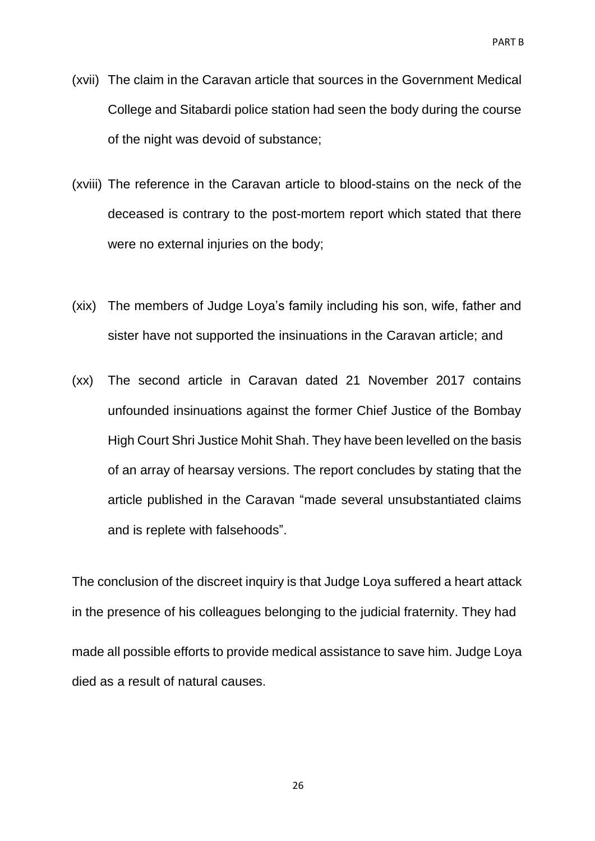- (xvii) The claim in the Caravan article that sources in the Government Medical College and Sitabardi police station had seen the body during the course of the night was devoid of substance;
- (xviii) The reference in the Caravan article to blood-stains on the neck of the deceased is contrary to the post-mortem report which stated that there were no external injuries on the body;
- (xix) The members of Judge Loya's family including his son, wife, father and sister have not supported the insinuations in the Caravan article; and
- (xx) The second article in Caravan dated 21 November 2017 contains unfounded insinuations against the former Chief Justice of the Bombay High Court Shri Justice Mohit Shah. They have been levelled on the basis of an array of hearsay versions. The report concludes by stating that the article published in the Caravan "made several unsubstantiated claims and is replete with falsehoods".

The conclusion of the discreet inquiry is that Judge Loya suffered a heart attack in the presence of his colleagues belonging to the judicial fraternity. They had made all possible efforts to provide medical assistance to save him. Judge Loya died as a result of natural causes.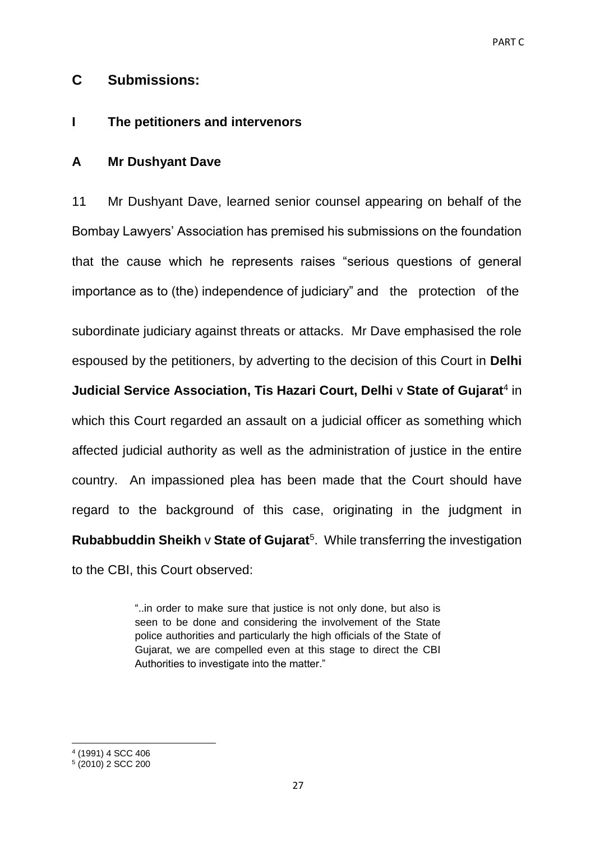## **C Submissions:**

## **I The petitioners and intervenors**

## **A Mr Dushyant Dave**

11 Mr Dushyant Dave, learned senior counsel appearing on behalf of the Bombay Lawyers' Association has premised his submissions on the foundation that the cause which he represents raises "serious questions of general importance as to (the) independence of judiciary" and the protection of the subordinate judiciary against threats or attacks. Mr Dave emphasised the role espoused by the petitioners, by adverting to the decision of this Court in **Delhi Judicial Service Association, Tis Hazari Court, Delhi** v State of Gujarat<sup>4</sup> in

which this Court regarded an assault on a judicial officer as something which affected judicial authority as well as the administration of justice in the entire country. An impassioned plea has been made that the Court should have regard to the background of this case, originating in the judgment in Rubabbuddin Sheikh v State of Gujarat<sup>5</sup>. While transferring the investigation to the CBI, this Court observed:

> "..in order to make sure that justice is not only done, but also is seen to be done and considering the involvement of the State police authorities and particularly the high officials of the State of Gujarat, we are compelled even at this stage to direct the CBI Authorities to investigate into the matter."

<sup>1</sup> 4 (1991) 4 SCC 406

<sup>5</sup> (2010) 2 SCC 200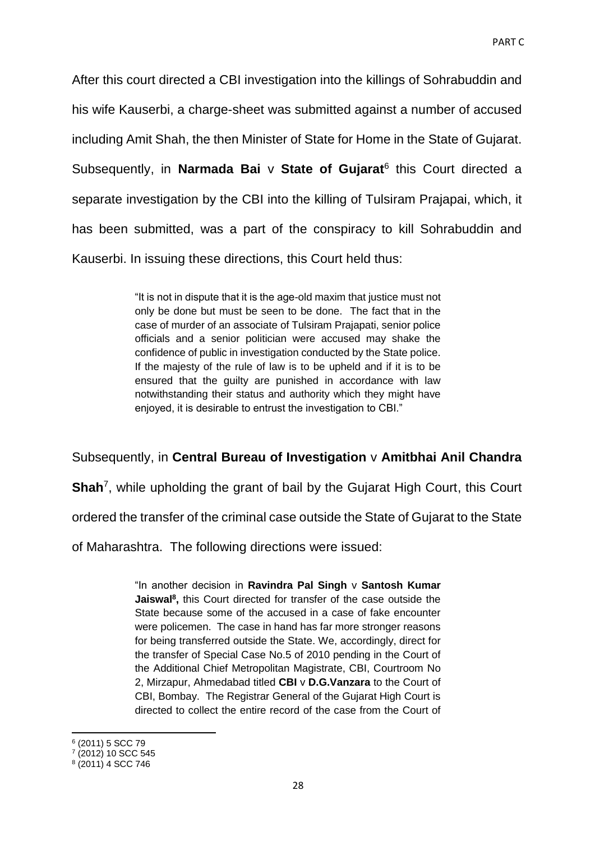After this court directed a CBI investigation into the killings of Sohrabuddin and his wife Kauserbi, a charge-sheet was submitted against a number of accused including Amit Shah, the then Minister of State for Home in the State of Gujarat. Subsequently, in **Narmada Bai** v **State of Gujarat**<sup>6</sup> this Court directed a separate investigation by the CBI into the killing of Tulsiram Prajapai, which, it has been submitted, was a part of the conspiracy to kill Sohrabuddin and Kauserbi. In issuing these directions, this Court held thus:

> "It is not in dispute that it is the age-old maxim that justice must not only be done but must be seen to be done. The fact that in the case of murder of an associate of Tulsiram Prajapati, senior police officials and a senior politician were accused may shake the confidence of public in investigation conducted by the State police. If the majesty of the rule of law is to be upheld and if it is to be ensured that the guilty are punished in accordance with law notwithstanding their status and authority which they might have enjoyed, it is desirable to entrust the investigation to CBI."

## Subsequently, in **Central Bureau of Investigation** v **Amitbhai Anil Chandra**

Shah<sup>7</sup>, while upholding the grant of bail by the Gujarat High Court, this Court

ordered the transfer of the criminal case outside the State of Gujarat to the State

of Maharashtra. The following directions were issued:

"In another decision in **Ravindra Pal Singh** v **Santosh Kumar Jaiswal<sup>8</sup> ,** this Court directed for transfer of the case outside the State because some of the accused in a case of fake encounter were policemen. The case in hand has far more stronger reasons for being transferred outside the State. We, accordingly, direct for the transfer of Special Case No.5 of 2010 pending in the Court of the Additional Chief Metropolitan Magistrate, CBI, Courtroom No 2, Mirzapur, Ahmedabad titled **CBI** v **D.G.Vanzara** to the Court of CBI, Bombay. The Registrar General of the Gujarat High Court is directed to collect the entire record of the case from the Court of

**.** 

<sup>6</sup> (2011) 5 SCC 79

<sup>7</sup> (2012) 10 SCC 545

<sup>8</sup> (2011) 4 SCC 746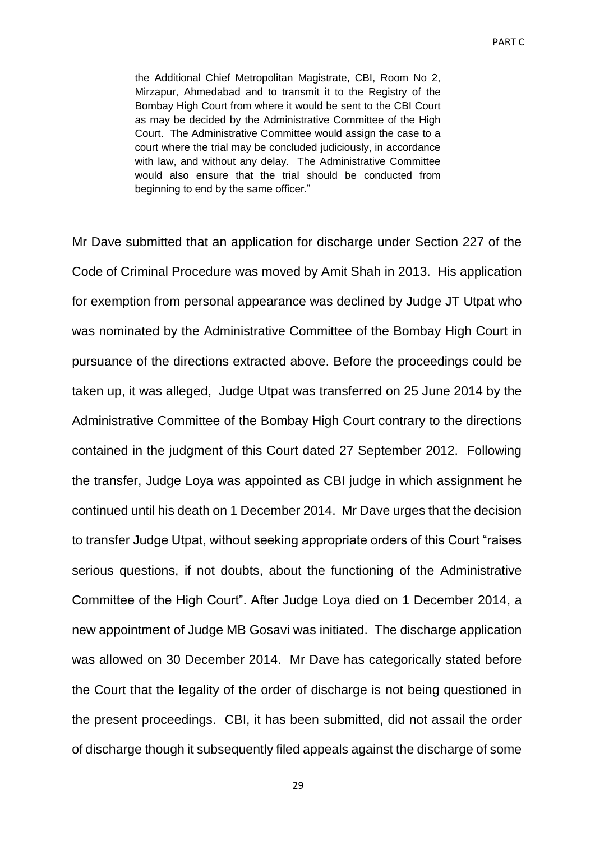the Additional Chief Metropolitan Magistrate, CBI, Room No 2, Mirzapur, Ahmedabad and to transmit it to the Registry of the Bombay High Court from where it would be sent to the CBI Court as may be decided by the Administrative Committee of the High Court. The Administrative Committee would assign the case to a court where the trial may be concluded judiciously, in accordance with law, and without any delay. The Administrative Committee would also ensure that the trial should be conducted from beginning to end by the same officer."

Mr Dave submitted that an application for discharge under Section 227 of the Code of Criminal Procedure was moved by Amit Shah in 2013. His application for exemption from personal appearance was declined by Judge JT Utpat who was nominated by the Administrative Committee of the Bombay High Court in pursuance of the directions extracted above. Before the proceedings could be taken up, it was alleged, Judge Utpat was transferred on 25 June 2014 by the Administrative Committee of the Bombay High Court contrary to the directions contained in the judgment of this Court dated 27 September 2012. Following the transfer, Judge Loya was appointed as CBI judge in which assignment he continued until his death on 1 December 2014. Mr Dave urges that the decision to transfer Judge Utpat, without seeking appropriate orders of this Court "raises serious questions, if not doubts, about the functioning of the Administrative Committee of the High Court". After Judge Loya died on 1 December 2014, a new appointment of Judge MB Gosavi was initiated. The discharge application was allowed on 30 December 2014. Mr Dave has categorically stated before the Court that the legality of the order of discharge is not being questioned in the present proceedings. CBI, it has been submitted, did not assail the order of discharge though it subsequently filed appeals against the discharge of some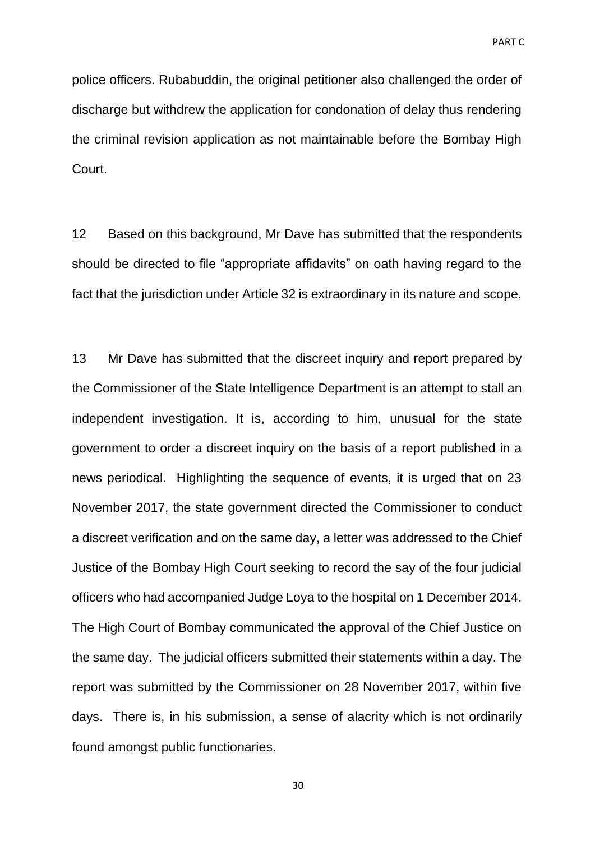police officers. Rubabuddin, the original petitioner also challenged the order of discharge but withdrew the application for condonation of delay thus rendering the criminal revision application as not maintainable before the Bombay High Court.

12 Based on this background, Mr Dave has submitted that the respondents should be directed to file "appropriate affidavits" on oath having regard to the fact that the jurisdiction under Article 32 is extraordinary in its nature and scope.

13 Mr Dave has submitted that the discreet inquiry and report prepared by the Commissioner of the State Intelligence Department is an attempt to stall an independent investigation. It is, according to him, unusual for the state government to order a discreet inquiry on the basis of a report published in a news periodical. Highlighting the sequence of events, it is urged that on 23 November 2017, the state government directed the Commissioner to conduct a discreet verification and on the same day, a letter was addressed to the Chief Justice of the Bombay High Court seeking to record the say of the four judicial officers who had accompanied Judge Loya to the hospital on 1 December 2014. The High Court of Bombay communicated the approval of the Chief Justice on the same day. The judicial officers submitted their statements within a day. The report was submitted by the Commissioner on 28 November 2017, within five days. There is, in his submission, a sense of alacrity which is not ordinarily found amongst public functionaries.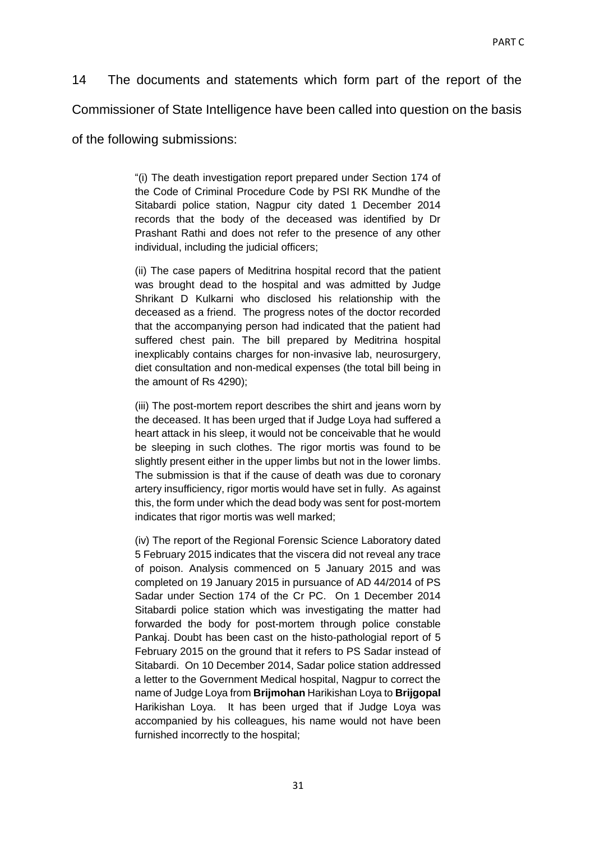14 The documents and statements which form part of the report of the Commissioner of State Intelligence have been called into question on the basis of the following submissions:

> "(i) The death investigation report prepared under Section 174 of the Code of Criminal Procedure Code by PSI RK Mundhe of the Sitabardi police station, Nagpur city dated 1 December 2014 records that the body of the deceased was identified by Dr Prashant Rathi and does not refer to the presence of any other individual, including the judicial officers;

> (ii) The case papers of Meditrina hospital record that the patient was brought dead to the hospital and was admitted by Judge Shrikant D Kulkarni who disclosed his relationship with the deceased as a friend. The progress notes of the doctor recorded that the accompanying person had indicated that the patient had suffered chest pain. The bill prepared by Meditrina hospital inexplicably contains charges for non-invasive lab, neurosurgery, diet consultation and non-medical expenses (the total bill being in the amount of Rs 4290);

> (iii) The post-mortem report describes the shirt and jeans worn by the deceased. It has been urged that if Judge Loya had suffered a heart attack in his sleep, it would not be conceivable that he would be sleeping in such clothes. The rigor mortis was found to be slightly present either in the upper limbs but not in the lower limbs. The submission is that if the cause of death was due to coronary artery insufficiency, rigor mortis would have set in fully. As against this, the form under which the dead body was sent for post-mortem indicates that rigor mortis was well marked;

> (iv) The report of the Regional Forensic Science Laboratory dated 5 February 2015 indicates that the viscera did not reveal any trace of poison. Analysis commenced on 5 January 2015 and was completed on 19 January 2015 in pursuance of AD 44/2014 of PS Sadar under Section 174 of the Cr PC. On 1 December 2014 Sitabardi police station which was investigating the matter had forwarded the body for post-mortem through police constable Pankaj. Doubt has been cast on the histo-pathologial report of 5 February 2015 on the ground that it refers to PS Sadar instead of Sitabardi. On 10 December 2014, Sadar police station addressed a letter to the Government Medical hospital, Nagpur to correct the name of Judge Loya from **Brijmohan** Harikishan Loya to **Brijgopal** Harikishan Loya. It has been urged that if Judge Loya was accompanied by his colleagues, his name would not have been furnished incorrectly to the hospital;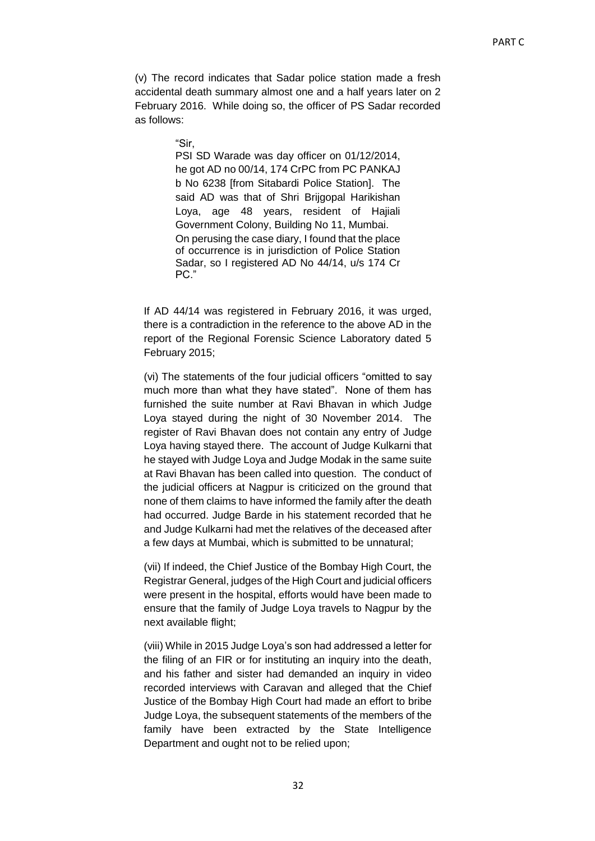(v) The record indicates that Sadar police station made a fresh accidental death summary almost one and a half years later on 2 February 2016. While doing so, the officer of PS Sadar recorded as follows:

"Sir,

PSI SD Warade was day officer on 01/12/2014, he got AD no 00/14, 174 CrPC from PC PANKAJ b No 6238 [from Sitabardi Police Station]. The said AD was that of Shri Brijgopal Harikishan Loya, age 48 years, resident of Hajiali Government Colony, Building No 11, Mumbai. On perusing the case diary, I found that the place of occurrence is in jurisdiction of Police Station Sadar, so I registered AD No 44/14, u/s 174 Cr PC."

If AD 44/14 was registered in February 2016, it was urged, there is a contradiction in the reference to the above AD in the report of the Regional Forensic Science Laboratory dated 5 February 2015;

(vi) The statements of the four judicial officers "omitted to say much more than what they have stated". None of them has furnished the suite number at Ravi Bhavan in which Judge Loya stayed during the night of 30 November 2014. The register of Ravi Bhavan does not contain any entry of Judge Loya having stayed there. The account of Judge Kulkarni that he stayed with Judge Loya and Judge Modak in the same suite at Ravi Bhavan has been called into question. The conduct of the judicial officers at Nagpur is criticized on the ground that none of them claims to have informed the family after the death had occurred. Judge Barde in his statement recorded that he and Judge Kulkarni had met the relatives of the deceased after a few days at Mumbai, which is submitted to be unnatural;

(vii) If indeed, the Chief Justice of the Bombay High Court, the Registrar General, judges of the High Court and judicial officers were present in the hospital, efforts would have been made to ensure that the family of Judge Loya travels to Nagpur by the next available flight;

(viii) While in 2015 Judge Loya's son had addressed a letter for the filing of an FIR or for instituting an inquiry into the death, and his father and sister had demanded an inquiry in video recorded interviews with Caravan and alleged that the Chief Justice of the Bombay High Court had made an effort to bribe Judge Loya, the subsequent statements of the members of the family have been extracted by the State Intelligence Department and ought not to be relied upon;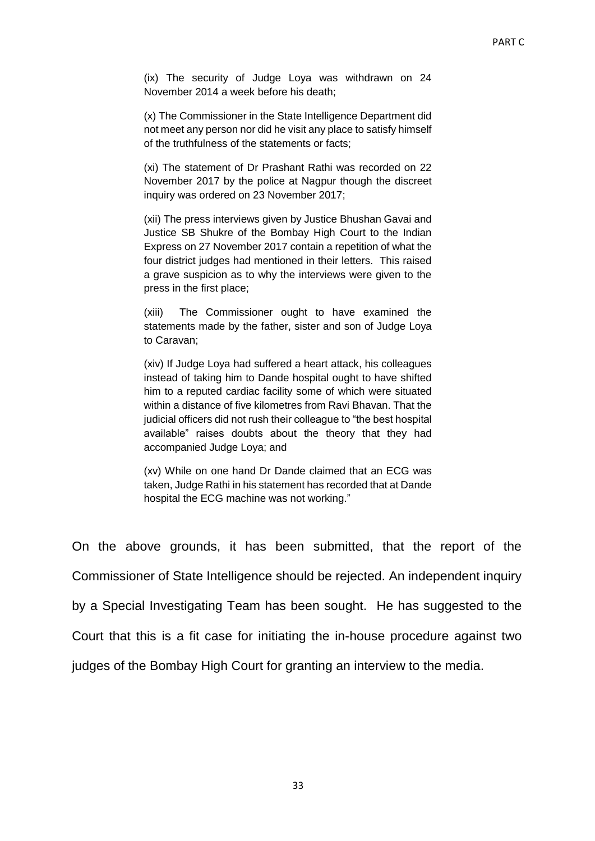(ix) The security of Judge Loya was withdrawn on 24 November 2014 a week before his death;

(x) The Commissioner in the State Intelligence Department did not meet any person nor did he visit any place to satisfy himself of the truthfulness of the statements or facts;

(xi) The statement of Dr Prashant Rathi was recorded on 22 November 2017 by the police at Nagpur though the discreet inquiry was ordered on 23 November 2017;

(xii) The press interviews given by Justice Bhushan Gavai and Justice SB Shukre of the Bombay High Court to the Indian Express on 27 November 2017 contain a repetition of what the four district judges had mentioned in their letters. This raised a grave suspicion as to why the interviews were given to the press in the first place;

(xiii) The Commissioner ought to have examined the statements made by the father, sister and son of Judge Loya to Caravan;

(xiv) If Judge Loya had suffered a heart attack, his colleagues instead of taking him to Dande hospital ought to have shifted him to a reputed cardiac facility some of which were situated within a distance of five kilometres from Ravi Bhavan. That the judicial officers did not rush their colleague to "the best hospital available" raises doubts about the theory that they had accompanied Judge Loya; and

(xv) While on one hand Dr Dande claimed that an ECG was taken, Judge Rathi in his statement has recorded that at Dande hospital the ECG machine was not working."

On the above grounds, it has been submitted, that the report of the Commissioner of State Intelligence should be rejected. An independent inquiry by a Special Investigating Team has been sought. He has suggested to the Court that this is a fit case for initiating the in-house procedure against two judges of the Bombay High Court for granting an interview to the media.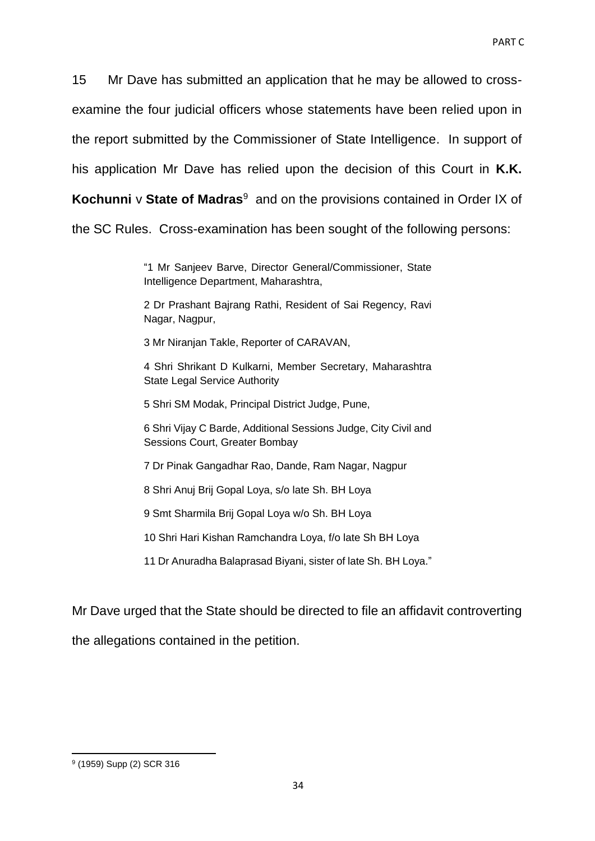15 Mr Dave has submitted an application that he may be allowed to crossexamine the four judicial officers whose statements have been relied upon in the report submitted by the Commissioner of State Intelligence. In support of his application Mr Dave has relied upon the decision of this Court in **K.K. Kochunni** v State of Madras<sup>9</sup> and on the provisions contained in Order IX of the SC Rules. Cross-examination has been sought of the following persons:

> "1 Mr Sanjeev Barve, Director General/Commissioner, State Intelligence Department, Maharashtra,

> 2 Dr Prashant Bajrang Rathi, Resident of Sai Regency, Ravi Nagar, Nagpur,

3 Mr Niranjan Takle, Reporter of CARAVAN,

4 Shri Shrikant D Kulkarni, Member Secretary, Maharashtra State Legal Service Authority

5 Shri SM Modak, Principal District Judge, Pune,

6 Shri Vijay C Barde, Additional Sessions Judge, City Civil and Sessions Court, Greater Bombay

7 Dr Pinak Gangadhar Rao, Dande, Ram Nagar, Nagpur

8 Shri Anuj Brij Gopal Loya, s/o late Sh. BH Loya

9 Smt Sharmila Brij Gopal Loya w/o Sh. BH Loya

10 Shri Hari Kishan Ramchandra Loya, f/o late Sh BH Loya

11 Dr Anuradha Balaprasad Biyani, sister of late Sh. BH Loya."

Mr Dave urged that the State should be directed to file an affidavit controverting

the allegations contained in the petition.

<sup>1</sup> <sup>9</sup> (1959) Supp (2) SCR 316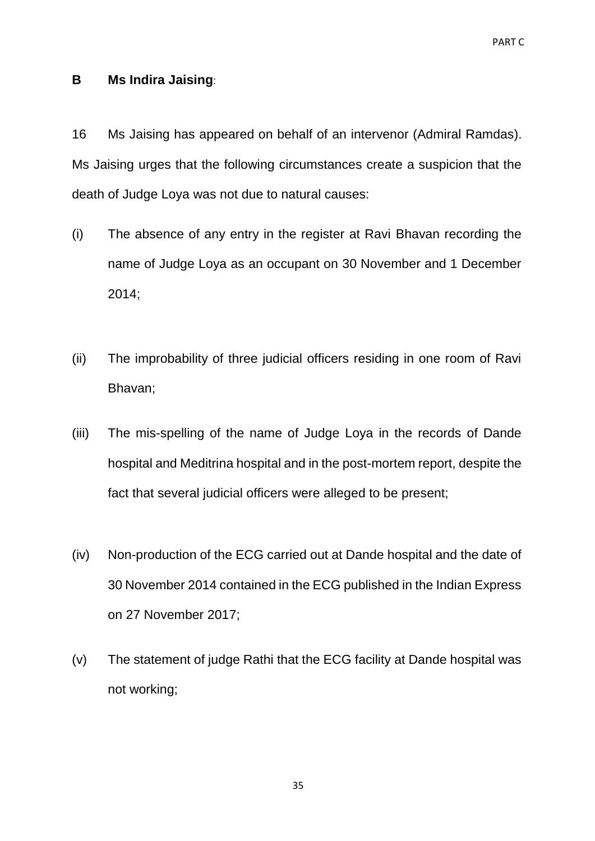### **B Ms Indira Jaising**:

16 Ms Jaising has appeared on behalf of an intervenor (Admiral Ramdas). Ms Jaising urges that the following circumstances create a suspicion that the death of Judge Loya was not due to natural causes:

- (i) The absence of any entry in the register at Ravi Bhavan recording the name of Judge Loya as an occupant on 30 November and 1 December 2014;
- (ii) The improbability of three judicial officers residing in one room of Ravi Bhavan;
- (iii) The mis-spelling of the name of Judge Loya in the records of Dande hospital and Meditrina hospital and in the post-mortem report, despite the fact that several judicial officers were alleged to be present;
- (iv) Non-production of the ECG carried out at Dande hospital and the date of 30 November 2014 contained in the ECG published in the Indian Express on 27 November 2017;
- (v) The statement of judge Rathi that the ECG facility at Dande hospital was not working;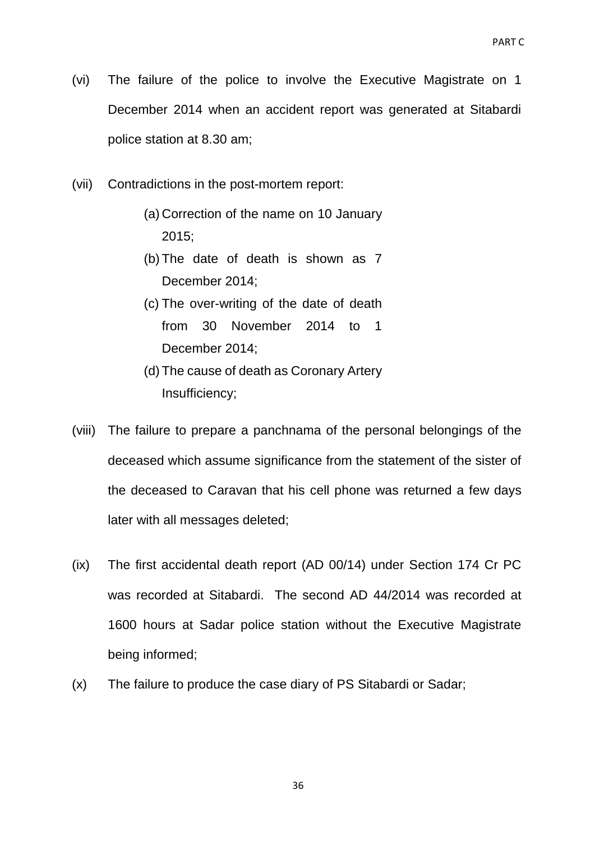- (vi) The failure of the police to involve the Executive Magistrate on 1 December 2014 when an accident report was generated at Sitabardi police station at 8.30 am;
- (vii) Contradictions in the post-mortem report:
	- (a) Correction of the name on 10 January 2015;
	- (b) The date of death is shown as 7 December 2014;
	- (c) The over-writing of the date of death from 30 November 2014 to 1 December 2014;
	- (d) The cause of death as Coronary Artery Insufficiency;
- (viii) The failure to prepare a panchnama of the personal belongings of the deceased which assume significance from the statement of the sister of the deceased to Caravan that his cell phone was returned a few days later with all messages deleted;
- (ix) The first accidental death report (AD 00/14) under Section 174 Cr PC was recorded at Sitabardi. The second AD 44/2014 was recorded at 1600 hours at Sadar police station without the Executive Magistrate being informed;
- (x) The failure to produce the case diary of PS Sitabardi or Sadar;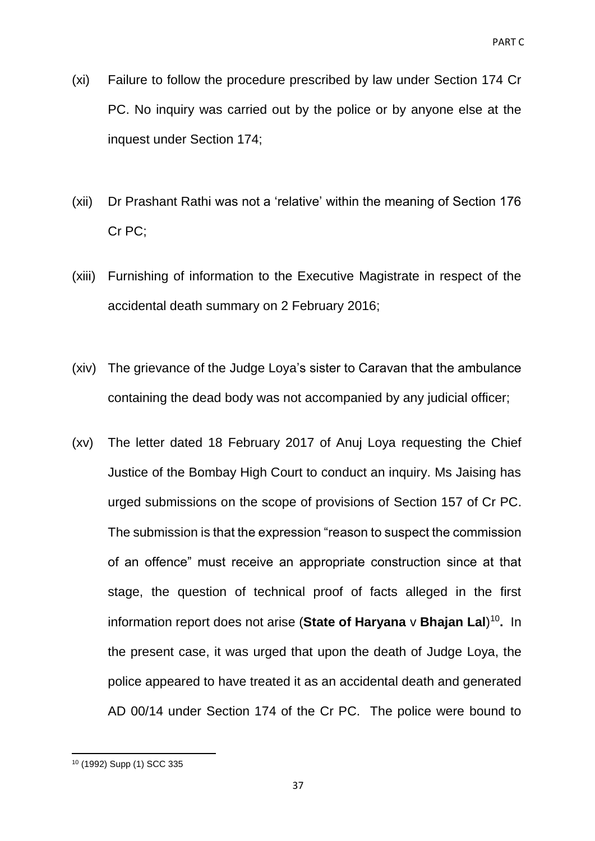- (xi) Failure to follow the procedure prescribed by law under Section 174 Cr PC. No inquiry was carried out by the police or by anyone else at the inquest under Section 174;
- (xii) Dr Prashant Rathi was not a 'relative' within the meaning of Section 176 Cr PC;
- (xiii) Furnishing of information to the Executive Magistrate in respect of the accidental death summary on 2 February 2016;
- (xiv) The grievance of the Judge Loya's sister to Caravan that the ambulance containing the dead body was not accompanied by any judicial officer;
- (xv) The letter dated 18 February 2017 of Anuj Loya requesting the Chief Justice of the Bombay High Court to conduct an inquiry. Ms Jaising has urged submissions on the scope of provisions of Section 157 of Cr PC. The submission is that the expression "reason to suspect the commission of an offence" must receive an appropriate construction since at that stage, the question of technical proof of facts alleged in the first information report does not arise (**State of Haryana** v **Bhajan Lal**) 10 **.** In the present case, it was urged that upon the death of Judge Loya, the police appeared to have treated it as an accidental death and generated AD 00/14 under Section 174 of the Cr PC. The police were bound to

<sup>1</sup> <sup>10</sup> (1992) Supp (1) SCC 335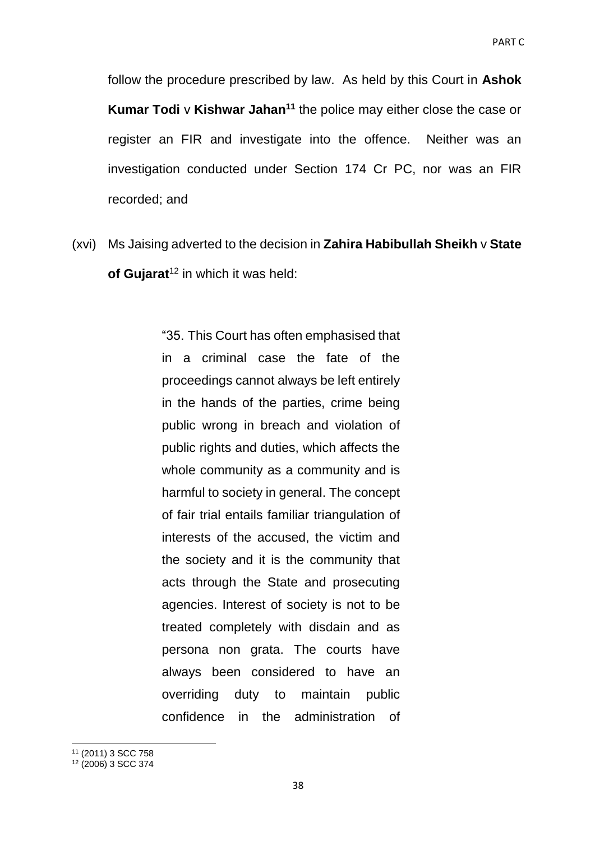follow the procedure prescribed by law. As held by this Court in **Ashok Kumar Todi** v **Kishwar Jahan<sup>11</sup>** the police may either close the case or register an FIR and investigate into the offence. Neither was an investigation conducted under Section 174 Cr PC, nor was an FIR recorded; and

(xvi) Ms Jaising adverted to the decision in **Zahira Habibullah Sheikh** v **State**  of Gujarat<sup>12</sup> in which it was held:

> "35. This Court has often emphasised that in a criminal case the fate of the proceedings cannot always be left entirely in the hands of the parties, crime being public wrong in breach and violation of public rights and duties, which affects the whole community as a community and is harmful to society in general. The concept of fair trial entails familiar triangulation of interests of the accused, the victim and the society and it is the community that acts through the State and prosecuting agencies. Interest of society is not to be treated completely with disdain and as persona non grata. The courts have always been considered to have an overriding duty to maintain public confidence in the administration of

<sup>11</sup> (2011) 3 SCC 758

<sup>12</sup> (2006) 3 SCC 374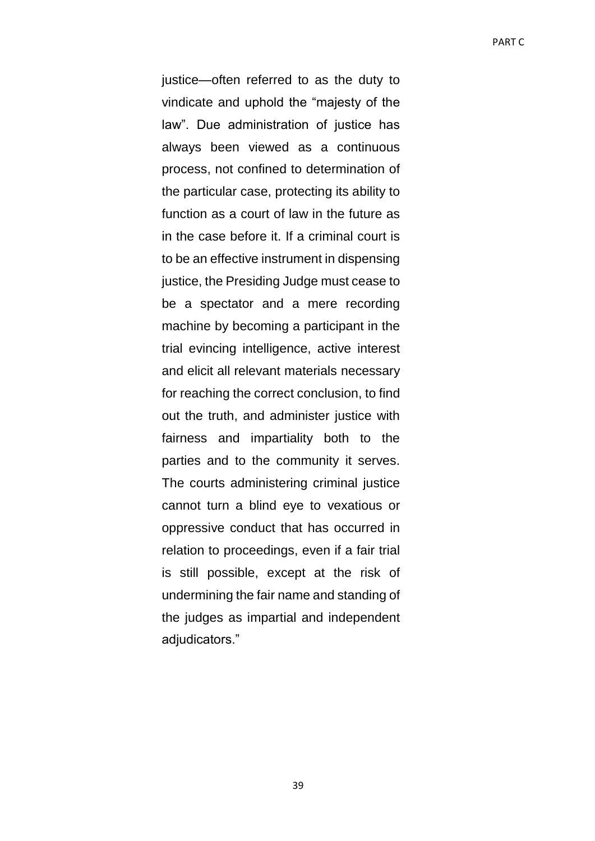justice—often referred to as the duty to vindicate and uphold the "majesty of the law". Due administration of justice has always been viewed as a continuous process, not confined to determination of the particular case, protecting its ability to function as a court of law in the future as in the case before it. If a criminal court is to be an effective instrument in dispensing justice, the Presiding Judge must cease to be a spectator and a mere recording machine by becoming a participant in the trial evincing intelligence, active interest and elicit all relevant materials necessary for reaching the correct conclusion, to find out the truth, and administer justice with fairness and impartiality both to the parties and to the community it serves. The courts administering criminal justice cannot turn a blind eye to vexatious or oppressive conduct that has occurred in relation to proceedings, even if a fair trial is still possible, except at the risk of undermining the fair name and standing of the judges as impartial and independent adjudicators."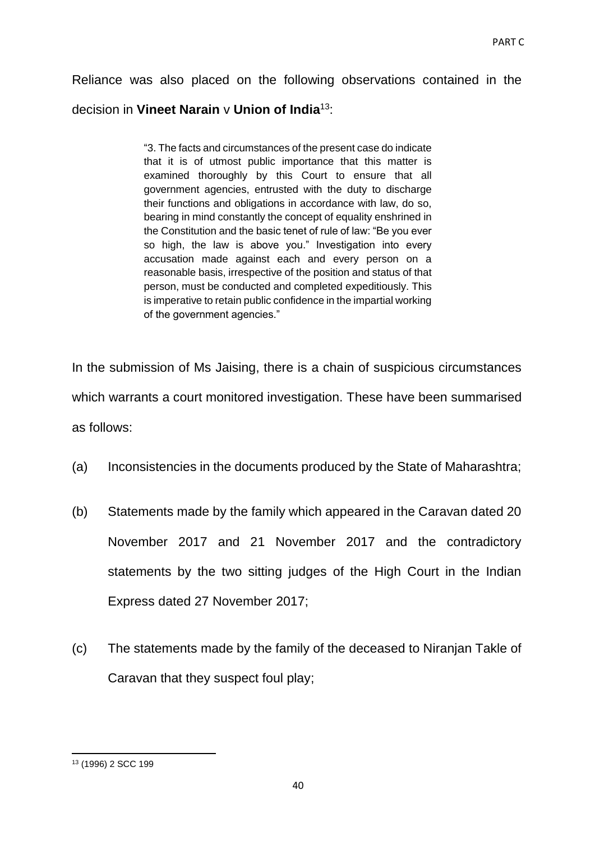Reliance was also placed on the following observations contained in the decision in **Vineet Narain** v **Union of India**<sup>13</sup>:

> "3. The facts and circumstances of the present case do indicate that it is of utmost public importance that this matter is examined thoroughly by this Court to ensure that all government agencies, entrusted with the duty to discharge their functions and obligations in accordance with law, do so, bearing in mind constantly the concept of equality enshrined in the Constitution and the basic tenet of rule of law: "Be you ever so high, the law is above you." Investigation into every accusation made against each and every person on a reasonable basis, irrespective of the position and status of that person, must be conducted and completed expeditiously. This is imperative to retain public confidence in the impartial working of the government agencies."

In the submission of Ms Jaising, there is a chain of suspicious circumstances which warrants a court monitored investigation. These have been summarised as follows:

- (a) Inconsistencies in the documents produced by the State of Maharashtra;
- (b) Statements made by the family which appeared in the Caravan dated 20 November 2017 and 21 November 2017 and the contradictory statements by the two sitting judges of the High Court in the Indian Express dated 27 November 2017;
- (c) The statements made by the family of the deceased to Niranjan Takle of Caravan that they suspect foul play;

<sup>1</sup> <sup>13</sup> (1996) 2 SCC 199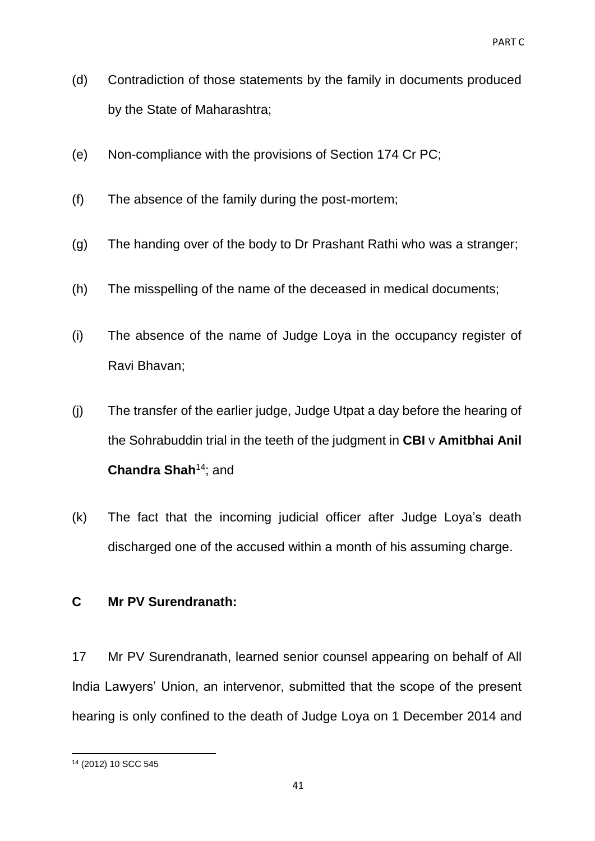- (d) Contradiction of those statements by the family in documents produced by the State of Maharashtra;
- (e) Non-compliance with the provisions of Section 174 Cr PC;
- (f) The absence of the family during the post-mortem;
- (g) The handing over of the body to Dr Prashant Rathi who was a stranger;
- (h) The misspelling of the name of the deceased in medical documents;
- (i) The absence of the name of Judge Loya in the occupancy register of Ravi Bhavan;
- (j) The transfer of the earlier judge, Judge Utpat a day before the hearing of the Sohrabuddin trial in the teeth of the judgment in **CBI** v **Amitbhai Anil Chandra Shah**<sup>14</sup>; and
- (k) The fact that the incoming judicial officer after Judge Loya's death discharged one of the accused within a month of his assuming charge.

# **C Mr PV Surendranath:**

17 Mr PV Surendranath, learned senior counsel appearing on behalf of All India Lawyers' Union, an intervenor, submitted that the scope of the present hearing is only confined to the death of Judge Loya on 1 December 2014 and

<sup>1</sup> <sup>14</sup> (2012) 10 SCC 545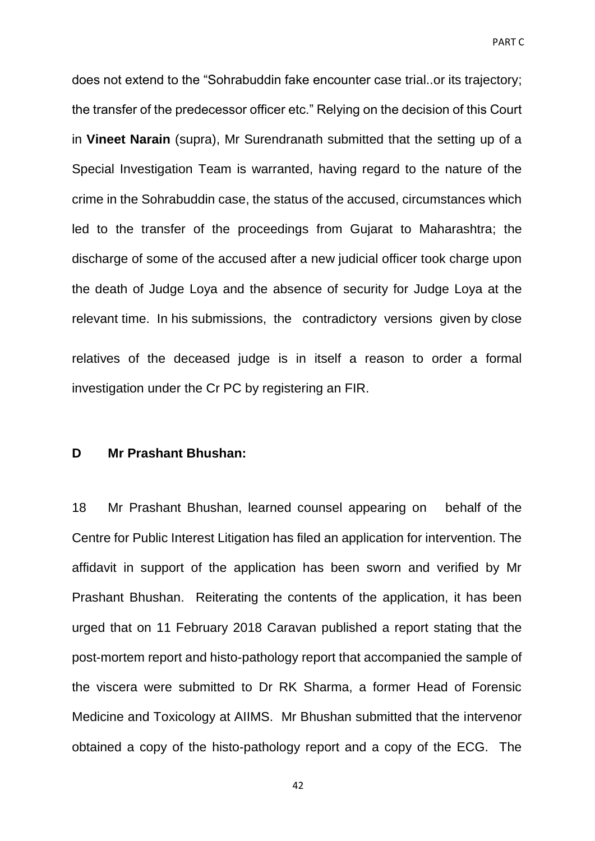does not extend to the "Sohrabuddin fake encounter case trial..or its trajectory; the transfer of the predecessor officer etc." Relying on the decision of this Court in **Vineet Narain** (supra), Mr Surendranath submitted that the setting up of a Special Investigation Team is warranted, having regard to the nature of the crime in the Sohrabuddin case, the status of the accused, circumstances which led to the transfer of the proceedings from Gujarat to Maharashtra; the discharge of some of the accused after a new judicial officer took charge upon the death of Judge Loya and the absence of security for Judge Loya at the relevant time. In his submissions, the contradictory versions given by close relatives of the deceased judge is in itself a reason to order a formal investigation under the Cr PC by registering an FIR.

#### **D Mr Prashant Bhushan:**

18 Mr Prashant Bhushan, learned counsel appearing on behalf of the Centre for Public Interest Litigation has filed an application for intervention. The affidavit in support of the application has been sworn and verified by Mr Prashant Bhushan. Reiterating the contents of the application, it has been urged that on 11 February 2018 Caravan published a report stating that the post-mortem report and histo-pathology report that accompanied the sample of the viscera were submitted to Dr RK Sharma, a former Head of Forensic Medicine and Toxicology at AIIMS. Mr Bhushan submitted that the intervenor obtained a copy of the histo-pathology report and a copy of the ECG. The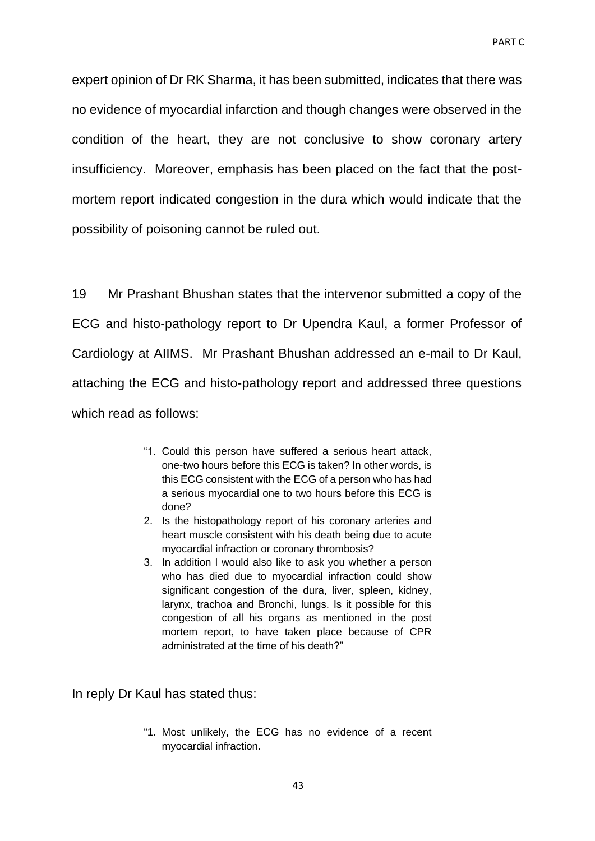expert opinion of Dr RK Sharma, it has been submitted, indicates that there was no evidence of myocardial infarction and though changes were observed in the condition of the heart, they are not conclusive to show coronary artery insufficiency. Moreover, emphasis has been placed on the fact that the postmortem report indicated congestion in the dura which would indicate that the possibility of poisoning cannot be ruled out.

19 Mr Prashant Bhushan states that the intervenor submitted a copy of the ECG and histo-pathology report to Dr Upendra Kaul, a former Professor of Cardiology at AIIMS. Mr Prashant Bhushan addressed an e-mail to Dr Kaul, attaching the ECG and histo-pathology report and addressed three questions which read as follows:

- "1. Could this person have suffered a serious heart attack, one-two hours before this ECG is taken? In other words, is this ECG consistent with the ECG of a person who has had a serious myocardial one to two hours before this ECG is done?
- 2. Is the histopathology report of his coronary arteries and heart muscle consistent with his death being due to acute myocardial infraction or coronary thrombosis?
- 3. In addition I would also like to ask you whether a person who has died due to myocardial infraction could show significant congestion of the dura, liver, spleen, kidney, larynx, trachoa and Bronchi, lungs. Is it possible for this congestion of all his organs as mentioned in the post mortem report, to have taken place because of CPR administrated at the time of his death?"

In reply Dr Kaul has stated thus:

"1. Most unlikely, the ECG has no evidence of a recent myocardial infraction.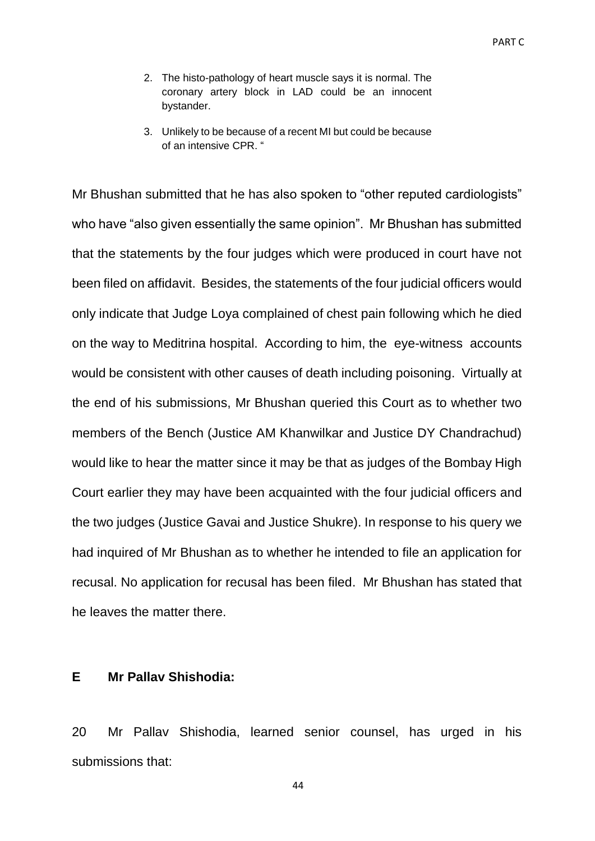- 2. The histo-pathology of heart muscle says it is normal. The coronary artery block in LAD could be an innocent bystander.
- 3. Unlikely to be because of a recent MI but could be because of an intensive CPR. "

Mr Bhushan submitted that he has also spoken to "other reputed cardiologists" who have "also given essentially the same opinion". Mr Bhushan has submitted that the statements by the four judges which were produced in court have not been filed on affidavit. Besides, the statements of the four judicial officers would only indicate that Judge Loya complained of chest pain following which he died on the way to Meditrina hospital. According to him, the eye-witness accounts would be consistent with other causes of death including poisoning. Virtually at the end of his submissions, Mr Bhushan queried this Court as to whether two members of the Bench (Justice AM Khanwilkar and Justice DY Chandrachud) would like to hear the matter since it may be that as judges of the Bombay High Court earlier they may have been acquainted with the four judicial officers and the two judges (Justice Gavai and Justice Shukre). In response to his query we had inquired of Mr Bhushan as to whether he intended to file an application for recusal. No application for recusal has been filed. Mr Bhushan has stated that he leaves the matter there.

#### **E Mr Pallav Shishodia:**

20 Mr Pallav Shishodia, learned senior counsel, has urged in his submissions that: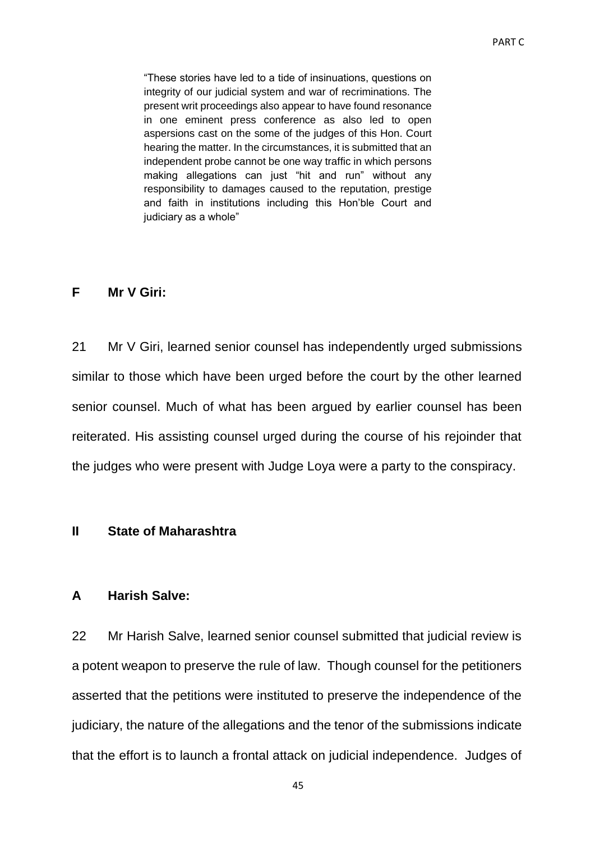"These stories have led to a tide of insinuations, questions on integrity of our judicial system and war of recriminations. The present writ proceedings also appear to have found resonance in one eminent press conference as also led to open aspersions cast on the some of the judges of this Hon. Court hearing the matter. In the circumstances, it is submitted that an independent probe cannot be one way traffic in which persons making allegations can just "hit and run" without any responsibility to damages caused to the reputation, prestige and faith in institutions including this Hon'ble Court and judiciary as a whole"

#### **F Mr V Giri:**

21 Mr V Giri, learned senior counsel has independently urged submissions similar to those which have been urged before the court by the other learned senior counsel. Much of what has been argued by earlier counsel has been reiterated. His assisting counsel urged during the course of his rejoinder that the judges who were present with Judge Loya were a party to the conspiracy.

#### **II State of Maharashtra**

## **A Harish Salve:**

22 Mr Harish Salve, learned senior counsel submitted that judicial review is a potent weapon to preserve the rule of law. Though counsel for the petitioners asserted that the petitions were instituted to preserve the independence of the judiciary, the nature of the allegations and the tenor of the submissions indicate that the effort is to launch a frontal attack on judicial independence. Judges of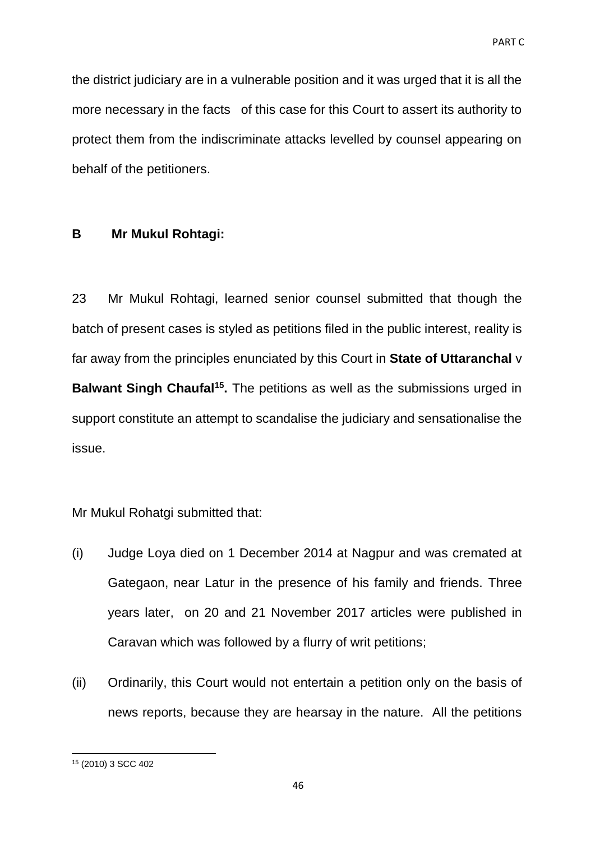the district judiciary are in a vulnerable position and it was urged that it is all the more necessary in the facts of this case for this Court to assert its authority to protect them from the indiscriminate attacks levelled by counsel appearing on behalf of the petitioners.

### **B Mr Mukul Rohtagi:**

23 Mr Mukul Rohtagi, learned senior counsel submitted that though the batch of present cases is styled as petitions filed in the public interest, reality is far away from the principles enunciated by this Court in **State of Uttaranchal** v **Balwant Singh Chaufal<sup>15</sup>**. The petitions as well as the submissions urged in support constitute an attempt to scandalise the judiciary and sensationalise the issue.

Mr Mukul Rohatgi submitted that:

- (i) Judge Loya died on 1 December 2014 at Nagpur and was cremated at Gategaon, near Latur in the presence of his family and friends. Three years later, on 20 and 21 November 2017 articles were published in Caravan which was followed by a flurry of writ petitions;
- (ii) Ordinarily, this Court would not entertain a petition only on the basis of news reports, because they are hearsay in the nature. All the petitions

<sup>1</sup> <sup>15</sup> (2010) 3 SCC 402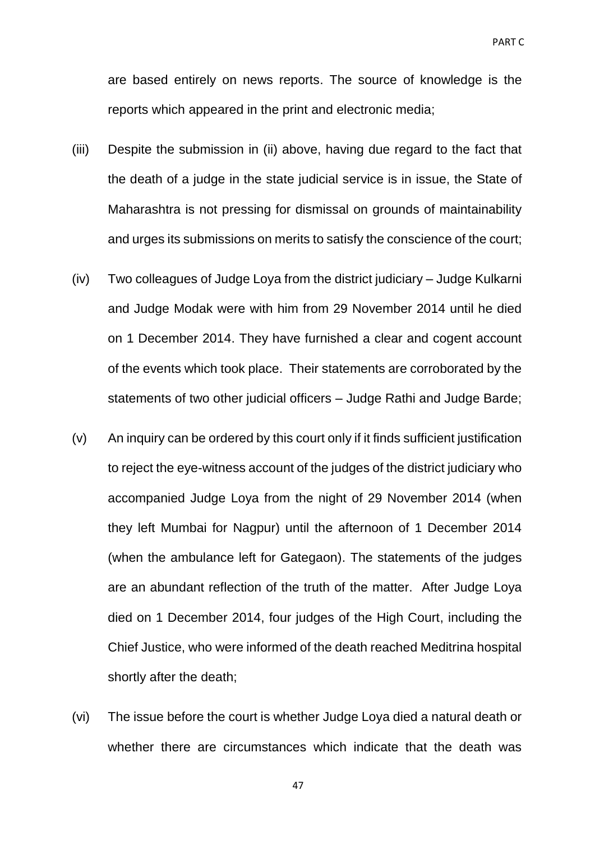are based entirely on news reports. The source of knowledge is the reports which appeared in the print and electronic media;

- (iii) Despite the submission in (ii) above, having due regard to the fact that the death of a judge in the state judicial service is in issue, the State of Maharashtra is not pressing for dismissal on grounds of maintainability and urges its submissions on merits to satisfy the conscience of the court;
- (iv) Two colleagues of Judge Loya from the district judiciary Judge Kulkarni and Judge Modak were with him from 29 November 2014 until he died on 1 December 2014. They have furnished a clear and cogent account of the events which took place. Their statements are corroborated by the statements of two other judicial officers – Judge Rathi and Judge Barde;
- (v) An inquiry can be ordered by this court only if it finds sufficient justification to reject the eye-witness account of the judges of the district judiciary who accompanied Judge Loya from the night of 29 November 2014 (when they left Mumbai for Nagpur) until the afternoon of 1 December 2014 (when the ambulance left for Gategaon). The statements of the judges are an abundant reflection of the truth of the matter. After Judge Loya died on 1 December 2014, four judges of the High Court, including the Chief Justice, who were informed of the death reached Meditrina hospital shortly after the death;
- (vi) The issue before the court is whether Judge Loya died a natural death or whether there are circumstances which indicate that the death was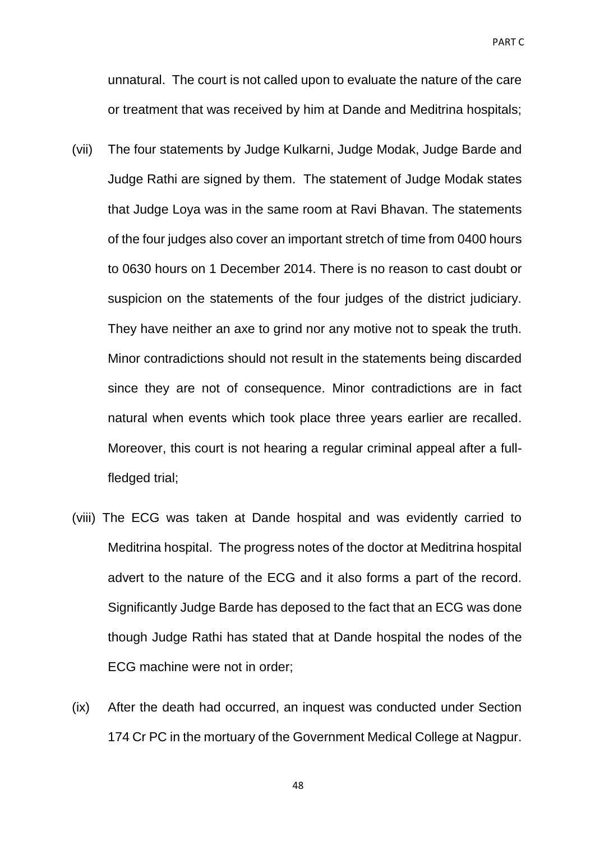unnatural. The court is not called upon to evaluate the nature of the care or treatment that was received by him at Dande and Meditrina hospitals;

- (vii) The four statements by Judge Kulkarni, Judge Modak, Judge Barde and Judge Rathi are signed by them. The statement of Judge Modak states that Judge Loya was in the same room at Ravi Bhavan. The statements of the four judges also cover an important stretch of time from 0400 hours to 0630 hours on 1 December 2014. There is no reason to cast doubt or suspicion on the statements of the four judges of the district judiciary. They have neither an axe to grind nor any motive not to speak the truth. Minor contradictions should not result in the statements being discarded since they are not of consequence. Minor contradictions are in fact natural when events which took place three years earlier are recalled. Moreover, this court is not hearing a regular criminal appeal after a fullfledged trial;
- (viii) The ECG was taken at Dande hospital and was evidently carried to Meditrina hospital. The progress notes of the doctor at Meditrina hospital advert to the nature of the ECG and it also forms a part of the record. Significantly Judge Barde has deposed to the fact that an ECG was done though Judge Rathi has stated that at Dande hospital the nodes of the ECG machine were not in order;
- (ix) After the death had occurred, an inquest was conducted under Section 174 Cr PC in the mortuary of the Government Medical College at Nagpur.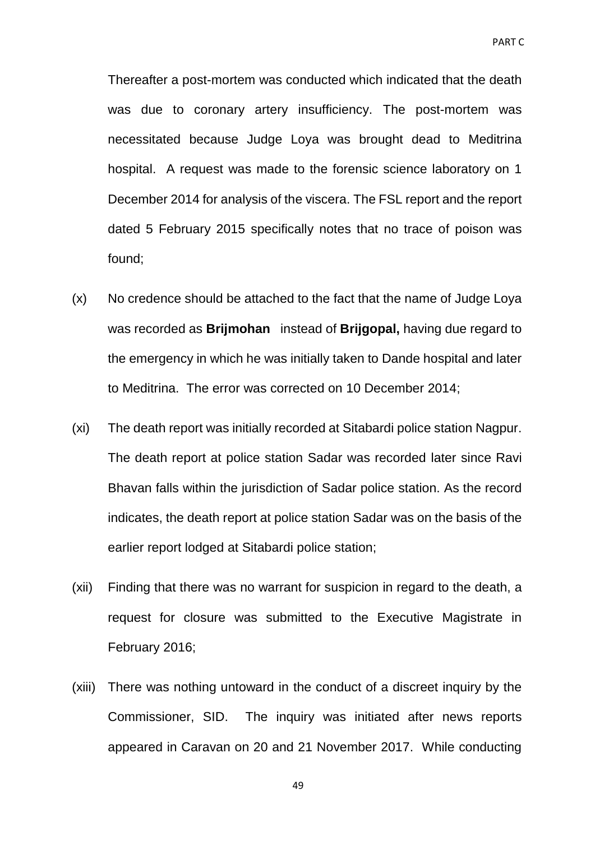Thereafter a post-mortem was conducted which indicated that the death was due to coronary artery insufficiency. The post-mortem was necessitated because Judge Loya was brought dead to Meditrina hospital. A request was made to the forensic science laboratory on 1 December 2014 for analysis of the viscera. The FSL report and the report dated 5 February 2015 specifically notes that no trace of poison was found;

- (x) No credence should be attached to the fact that the name of Judge Loya was recorded as **Brijmohan** instead of **Brijgopal,** having due regard to the emergency in which he was initially taken to Dande hospital and later to Meditrina. The error was corrected on 10 December 2014;
- (xi) The death report was initially recorded at Sitabardi police station Nagpur. The death report at police station Sadar was recorded later since Ravi Bhavan falls within the jurisdiction of Sadar police station. As the record indicates, the death report at police station Sadar was on the basis of the earlier report lodged at Sitabardi police station;
- (xii) Finding that there was no warrant for suspicion in regard to the death, a request for closure was submitted to the Executive Magistrate in February 2016;
- (xiii) There was nothing untoward in the conduct of a discreet inquiry by the Commissioner, SID. The inquiry was initiated after news reports appeared in Caravan on 20 and 21 November 2017. While conducting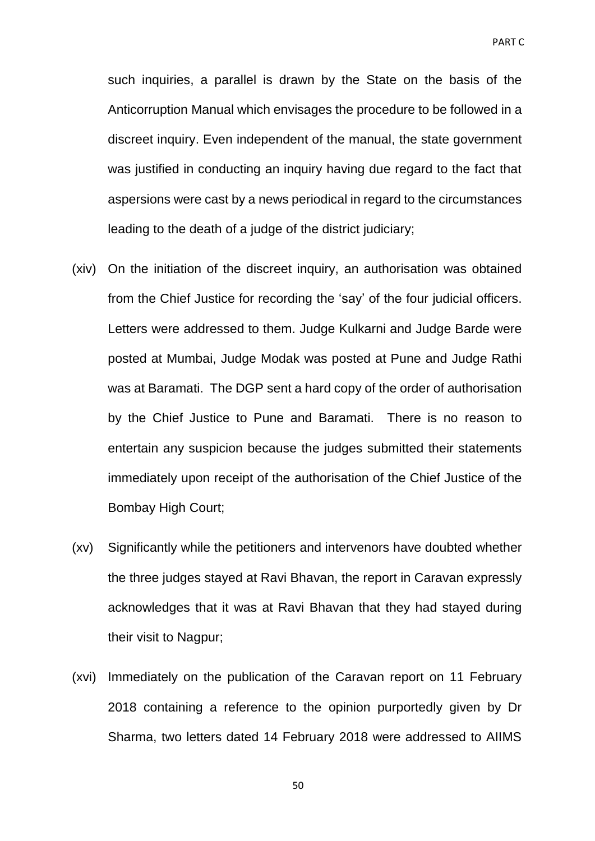such inquiries, a parallel is drawn by the State on the basis of the Anticorruption Manual which envisages the procedure to be followed in a discreet inquiry. Even independent of the manual, the state government was justified in conducting an inquiry having due regard to the fact that aspersions were cast by a news periodical in regard to the circumstances leading to the death of a judge of the district judiciary;

- (xiv) On the initiation of the discreet inquiry, an authorisation was obtained from the Chief Justice for recording the 'say' of the four judicial officers. Letters were addressed to them. Judge Kulkarni and Judge Barde were posted at Mumbai, Judge Modak was posted at Pune and Judge Rathi was at Baramati. The DGP sent a hard copy of the order of authorisation by the Chief Justice to Pune and Baramati. There is no reason to entertain any suspicion because the judges submitted their statements immediately upon receipt of the authorisation of the Chief Justice of the Bombay High Court;
- (xv) Significantly while the petitioners and intervenors have doubted whether the three judges stayed at Ravi Bhavan, the report in Caravan expressly acknowledges that it was at Ravi Bhavan that they had stayed during their visit to Nagpur;
- (xvi) Immediately on the publication of the Caravan report on 11 February 2018 containing a reference to the opinion purportedly given by Dr Sharma, two letters dated 14 February 2018 were addressed to AIIMS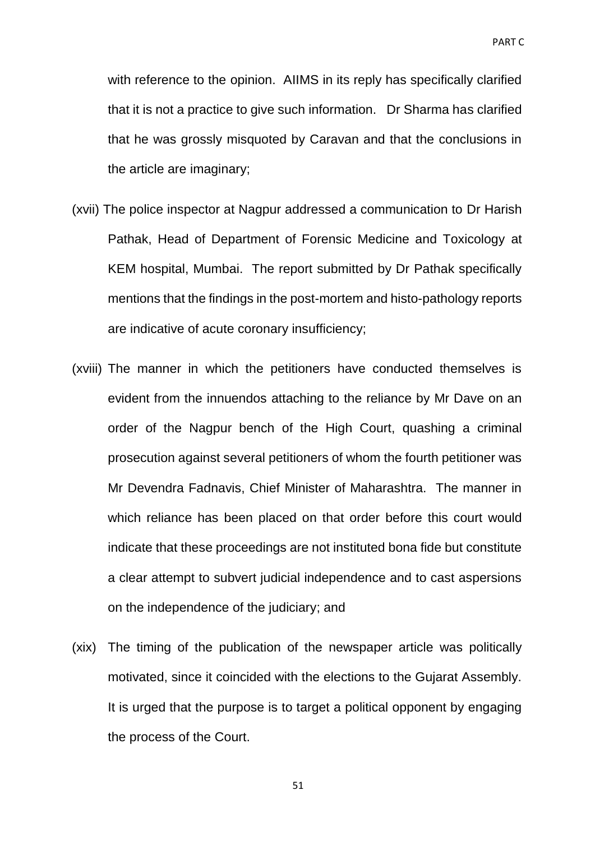with reference to the opinion. AIIMS in its reply has specifically clarified that it is not a practice to give such information. Dr Sharma has clarified that he was grossly misquoted by Caravan and that the conclusions in the article are imaginary;

- (xvii) The police inspector at Nagpur addressed a communication to Dr Harish Pathak, Head of Department of Forensic Medicine and Toxicology at KEM hospital, Mumbai. The report submitted by Dr Pathak specifically mentions that the findings in the post-mortem and histo-pathology reports are indicative of acute coronary insufficiency;
- (xviii) The manner in which the petitioners have conducted themselves is evident from the innuendos attaching to the reliance by Mr Dave on an order of the Nagpur bench of the High Court, quashing a criminal prosecution against several petitioners of whom the fourth petitioner was Mr Devendra Fadnavis, Chief Minister of Maharashtra. The manner in which reliance has been placed on that order before this court would indicate that these proceedings are not instituted bona fide but constitute a clear attempt to subvert judicial independence and to cast aspersions on the independence of the judiciary; and
- (xix) The timing of the publication of the newspaper article was politically motivated, since it coincided with the elections to the Gujarat Assembly. It is urged that the purpose is to target a political opponent by engaging the process of the Court.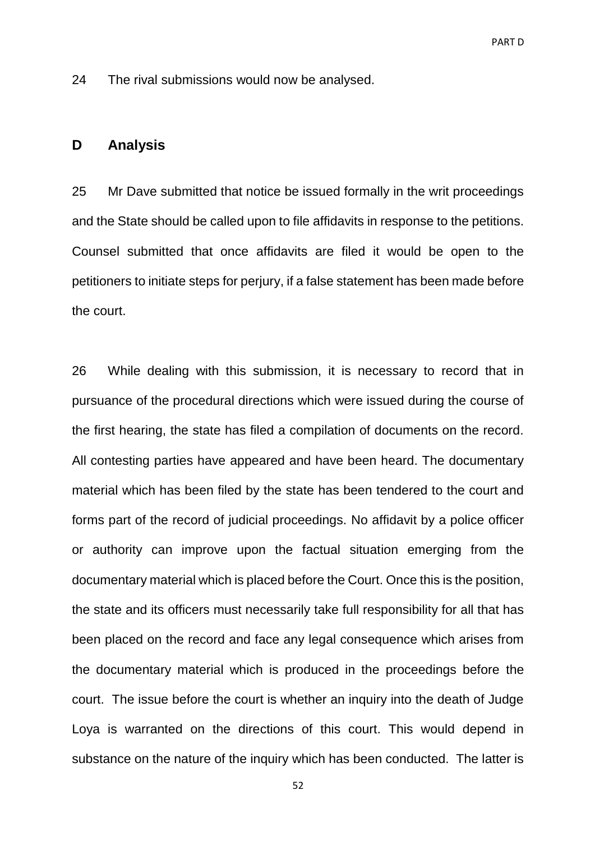24 The rival submissions would now be analysed.

## **D Analysis**

25 Mr Dave submitted that notice be issued formally in the writ proceedings and the State should be called upon to file affidavits in response to the petitions. Counsel submitted that once affidavits are filed it would be open to the petitioners to initiate steps for perjury, if a false statement has been made before the court.

26 While dealing with this submission, it is necessary to record that in pursuance of the procedural directions which were issued during the course of the first hearing, the state has filed a compilation of documents on the record. All contesting parties have appeared and have been heard. The documentary material which has been filed by the state has been tendered to the court and forms part of the record of judicial proceedings. No affidavit by a police officer or authority can improve upon the factual situation emerging from the documentary material which is placed before the Court. Once this is the position, the state and its officers must necessarily take full responsibility for all that has been placed on the record and face any legal consequence which arises from the documentary material which is produced in the proceedings before the court. The issue before the court is whether an inquiry into the death of Judge Loya is warranted on the directions of this court. This would depend in substance on the nature of the inquiry which has been conducted. The latter is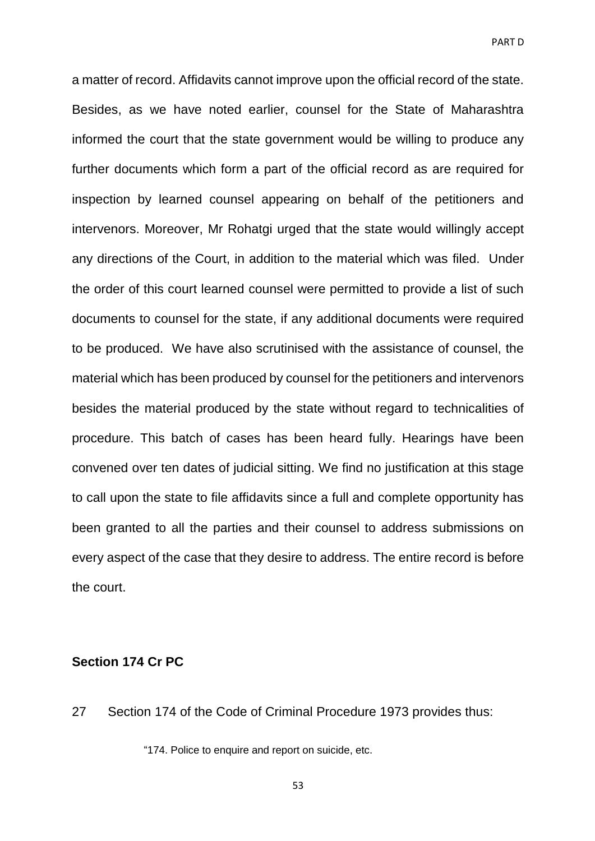a matter of record. Affidavits cannot improve upon the official record of the state. Besides, as we have noted earlier, counsel for the State of Maharashtra informed the court that the state government would be willing to produce any further documents which form a part of the official record as are required for inspection by learned counsel appearing on behalf of the petitioners and intervenors. Moreover, Mr Rohatgi urged that the state would willingly accept any directions of the Court, in addition to the material which was filed. Under the order of this court learned counsel were permitted to provide a list of such documents to counsel for the state, if any additional documents were required to be produced. We have also scrutinised with the assistance of counsel, the material which has been produced by counsel for the petitioners and intervenors besides the material produced by the state without regard to technicalities of procedure. This batch of cases has been heard fully. Hearings have been convened over ten dates of judicial sitting. We find no justification at this stage to call upon the state to file affidavits since a full and complete opportunity has been granted to all the parties and their counsel to address submissions on every aspect of the case that they desire to address. The entire record is before the court.

## **Section 174 Cr PC**

27 Section 174 of the Code of Criminal Procedure 1973 provides thus:

"174. Police to enquire and report on suicide, etc.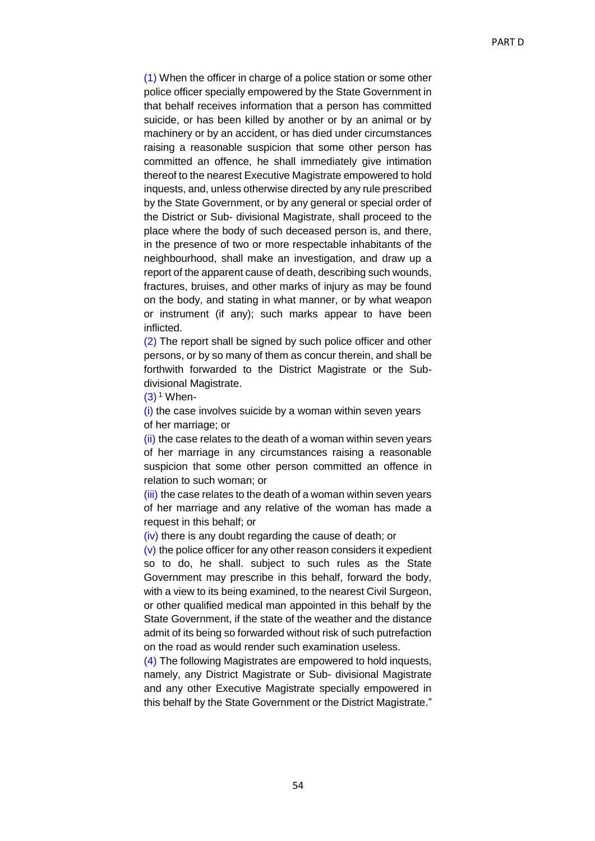[\(1\)](https://indiankanoon.org/doc/9685/) When the officer in charge of a police station or some other police officer specially empowered by the State Government in that behalf receives information that a person has committed suicide, or has been killed by another or by an animal or by machinery or by an accident, or has died under circumstances raising a reasonable suspicion that some other person has committed an offence, he shall immediately give intimation thereof to the nearest Executive Magistrate empowered to hold inquests, and, unless otherwise directed by any rule prescribed by the State Government, or by any general or special order of the District or Sub- divisional Magistrate, shall proceed to the place where the body of such deceased person is, and there, in the presence of two or more respectable inhabitants of the neighbourhood, shall make an investigation, and draw up a report of the apparent cause of death, describing such wounds, fractures, bruises, and other marks of injury as may be found on the body, and stating in what manner, or by what weapon or instrument (if any); such marks appear to have been inflicted.

[\(2\)](https://indiankanoon.org/doc/396207/) The report shall be signed by such police officer and other persons, or by so many of them as concur therein, and shall be forthwith forwarded to the District Magistrate or the Subdivisional Magistrate.

 $(3)$ <sup>1</sup> When-

[\(i\)](https://indiankanoon.org/doc/916677/) the case involves suicide by a woman within seven years of her marriage; or

 $(iii)$  the case relates to the death of a woman within seven years of her marriage in any circumstances raising a reasonable suspicion that some other person committed an offence in relation to such woman; or

[\(iii\)](https://indiankanoon.org/doc/1985834/) the case relates to the death of a woman within seven years of her marriage and any relative of the woman has made a request in this behalf; or

[\(iv\)](https://indiankanoon.org/doc/146615/) there is any doubt regarding the cause of death; or

 $(v)$  the police officer for any other reason considers it expedient so to do, he shall. subject to such rules as the State Government may prescribe in this behalf, forward the body, with a view to its being examined, to the nearest Civil Surgeon, or other qualified medical man appointed in this behalf by the State Government, if the state of the weather and the distance admit of its being so forwarded without risk of such putrefaction on the road as would render such examination useless.

[\(4\)](https://indiankanoon.org/doc/11580/) The following Magistrates are empowered to hold inquests, namely, any District Magistrate or Sub- divisional Magistrate and any other Executive Magistrate specially empowered in this behalf by the State Government or the District Magistrate."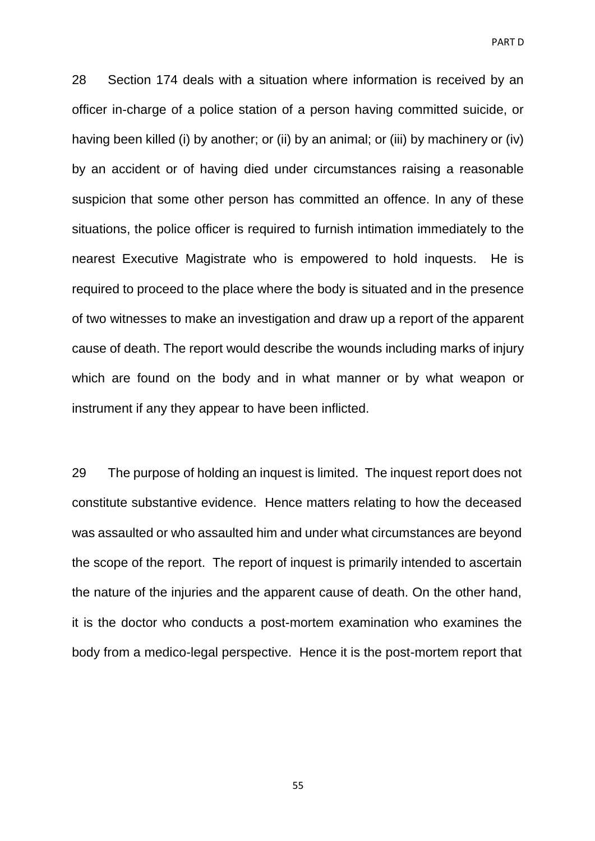28 Section 174 deals with a situation where information is received by an officer in-charge of a police station of a person having committed suicide, or having been killed (i) by another; or (ii) by an animal; or (iii) by machinery or (iv) by an accident or of having died under circumstances raising a reasonable suspicion that some other person has committed an offence. In any of these situations, the police officer is required to furnish intimation immediately to the nearest Executive Magistrate who is empowered to hold inquests. He is required to proceed to the place where the body is situated and in the presence of two witnesses to make an investigation and draw up a report of the apparent cause of death. The report would describe the wounds including marks of injury which are found on the body and in what manner or by what weapon or instrument if any they appear to have been inflicted.

29 The purpose of holding an inquest is limited. The inquest report does not constitute substantive evidence. Hence matters relating to how the deceased was assaulted or who assaulted him and under what circumstances are beyond the scope of the report. The report of inquest is primarily intended to ascertain the nature of the injuries and the apparent cause of death. On the other hand, it is the doctor who conducts a post-mortem examination who examines the body from a medico-legal perspective. Hence it is the post-mortem report that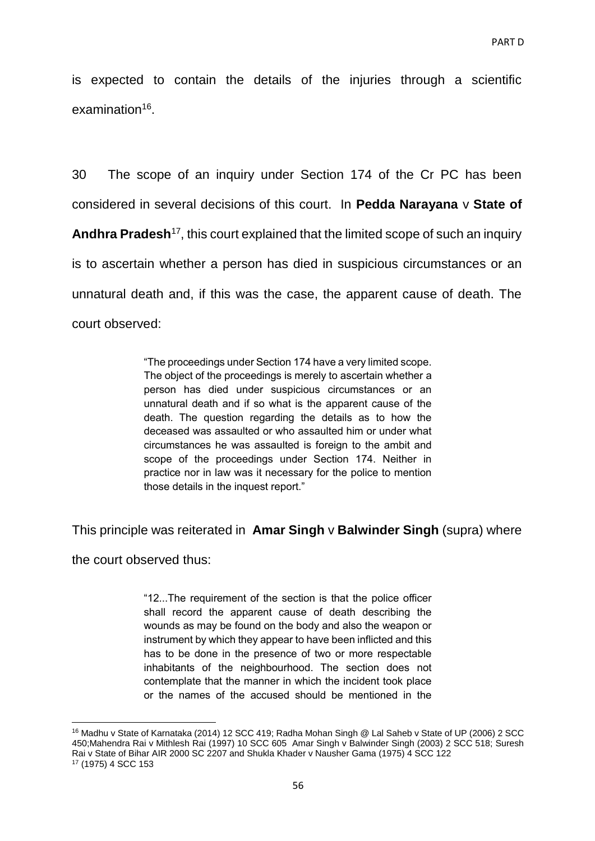is expected to contain the details of the injuries through a scientific examination<sup>16</sup>.

30 The scope of an inquiry under Section 174 of the Cr PC has been considered in several decisions of this court. In **Pedda Narayana** v **State of**  Andhra Pradesh<sup>17</sup>, this court explained that the limited scope of such an inquiry is to ascertain whether a person has died in suspicious circumstances or an unnatural death and, if this was the case, the apparent cause of death. The court observed:

> "The proceedings under Section 174 have a very limited scope. The object of the proceedings is merely to ascertain whether a person has died under suspicious circumstances or an unnatural death and if so what is the apparent cause of the death. The question regarding the details as to how the deceased was assaulted or who assaulted him or under what circumstances he was assaulted is foreign to the ambit and scope of the proceedings under Section 174. Neither in practice nor in law was it necessary for the police to mention those details in the inquest report."

This principle was reiterated in **Amar Singh** v **Balwinder Singh** (supra) where

the court observed thus:

"12...The requirement of the section is that the police officer shall record the apparent cause of death describing the wounds as may be found on the body and also the weapon or instrument by which they appear to have been inflicted and this has to be done in the presence of two or more respectable inhabitants of the neighbourhood. The section does not contemplate that the manner in which the incident took place or the names of the accused should be mentioned in the

<sup>1</sup> <sup>16</sup> Madhu v State of Karnataka (2014) 12 SCC 419; Radha Mohan Singh @ Lal Saheb v State of UP (2006) 2 SCC 450;Mahendra Rai v Mithlesh Rai (1997) 10 SCC 605 Amar Singh v Balwinder Singh (2003) 2 SCC 518; Suresh Rai v State of Bihar AIR 2000 SC 2207 and Shukla Khader v Nausher Gama (1975) 4 SCC 122 <sup>17</sup> (1975) 4 SCC 153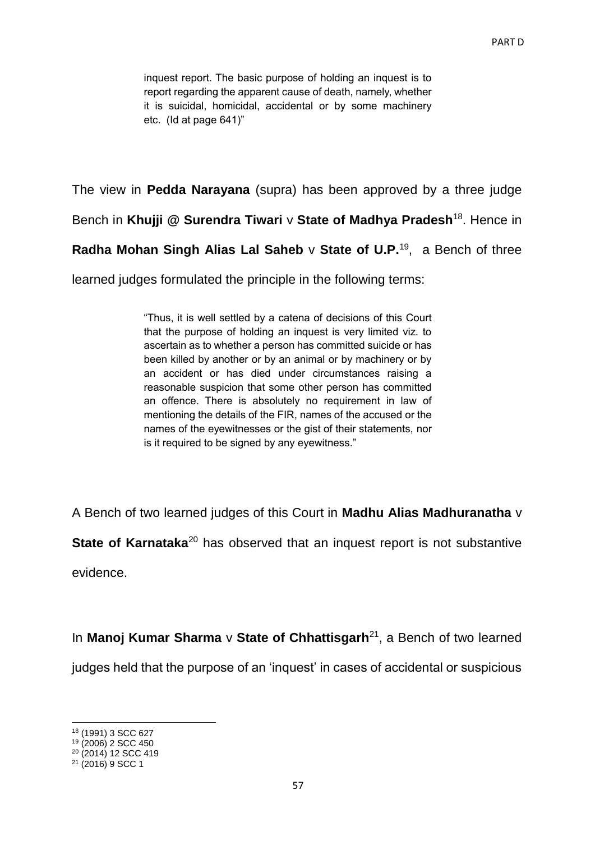inquest report. The basic purpose of holding an inquest is to report regarding the apparent cause of death, namely, whether it is suicidal, homicidal, accidental or by some machinery etc. (Id at page 641)"

The view in **Pedda Narayana** (supra) has been approved by a three judge Bench in **Khujji @ Surendra Tiwari** v **State of Madhya Pradesh**<sup>18</sup> . Hence in **Radha Mohan Singh Alias Lal Saheb** v **State of U.P.**<sup>19</sup> , a Bench of three learned judges formulated the principle in the following terms:

> "Thus, it is well settled by a catena of decisions of this Court that the purpose of holding an inquest is very limited viz. to ascertain as to whether a person has committed suicide or has been killed by another or by an animal or by machinery or by an accident or has died under circumstances raising a reasonable suspicion that some other person has committed an offence. There is absolutely no requirement in law of mentioning the details of the FIR, names of the accused or the names of the eyewitnesses or the gist of their statements, nor is it required to be signed by any eyewitness."

A Bench of two learned judges of this Court in **Madhu Alias Madhuranatha** v

**State of Karnataka**<sup>20</sup> has observed that an inquest report is not substantive

evidence.

In Manoj Kumar Sharma v State of Chhattisgarh<sup>21</sup>, a Bench of two learned judges held that the purpose of an 'inquest' in cases of accidental or suspicious

<sup>1</sup> <sup>18</sup> (1991) 3 SCC 627

<sup>19</sup> (2006) 2 SCC 450

<sup>20</sup> (2014) 12 SCC 419

<sup>21</sup> (2016) 9 SCC 1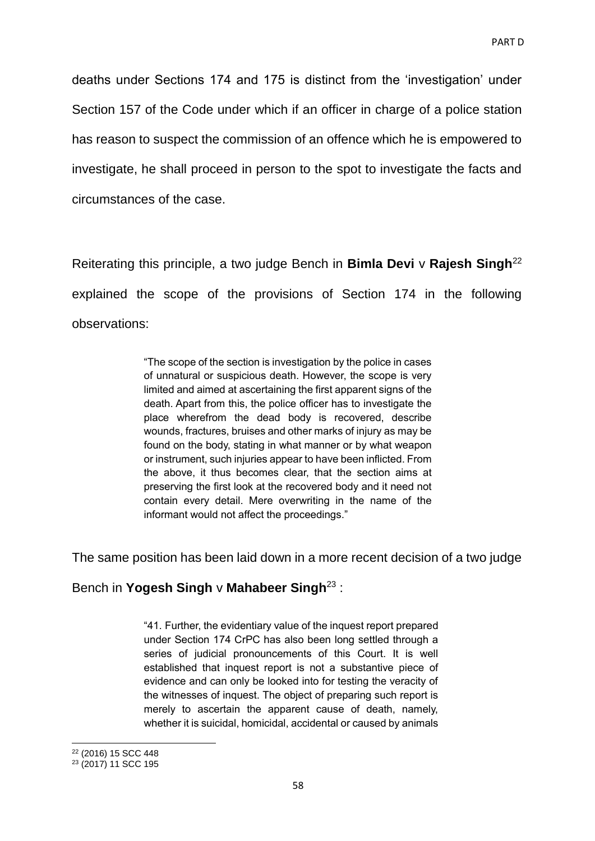deaths under Sections 174 and 175 is distinct from the 'investigation' under Section 157 of the Code under which if an officer in charge of a police station has reason to suspect the commission of an offence which he is empowered to investigate, he shall proceed in person to the spot to investigate the facts and circumstances of the case.

Reiterating this principle, a two judge Bench in **Bimla Devi** v **Rajesh Singh**<sup>22</sup> explained the scope of the provisions of Section 174 in the following observations:

> "The scope of the section is investigation by the police in cases of unnatural or suspicious death. However, the scope is very limited and aimed at ascertaining the first apparent signs of the death. Apart from this, the police officer has to investigate the place wherefrom the dead body is recovered, describe wounds, fractures, bruises and other marks of injury as may be found on the body, stating in what manner or by what weapon or instrument, such injuries appear to have been inflicted. From the above, it thus becomes clear, that the section aims at preserving the first look at the recovered body and it need not contain every detail. Mere overwriting in the name of the informant would not affect the proceedings."

The same position has been laid down in a more recent decision of a two judge

# Bench in **Yogesh Singh** v **Mahabeer Singh**<sup>23</sup> :

"41. Further, the evidentiary value of the inquest report prepared under Section 174 CrPC has also been long settled through a series of judicial pronouncements of this Court. It is well established that inquest report is not a substantive piece of evidence and can only be looked into for testing the veracity of the witnesses of inquest. The object of preparing such report is merely to ascertain the apparent cause of death, namely, whether it is suicidal, homicidal, accidental or caused by animals

<sup>22</sup> (2016) 15 SCC 448

<sup>23</sup> (2017) 11 SCC 195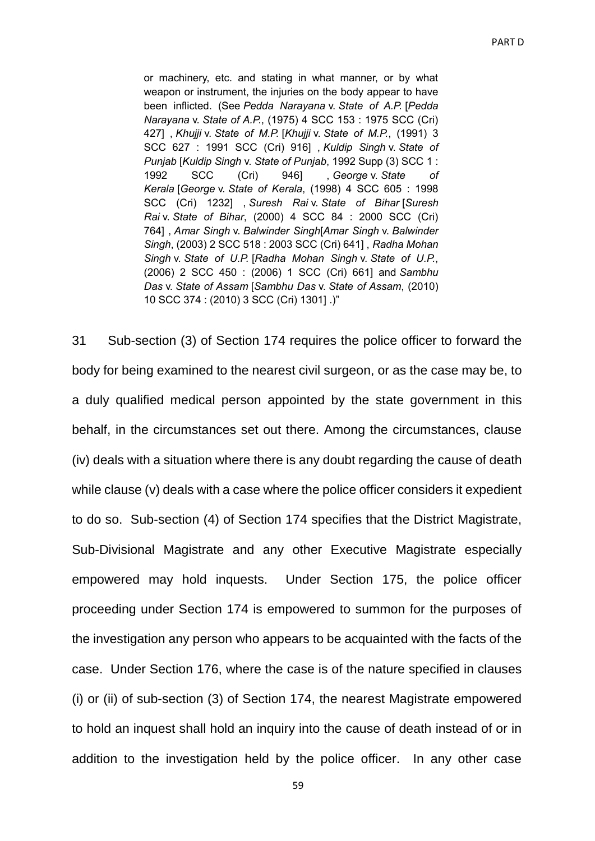or machinery, etc. and stating in what manner, or by what weapon or instrument, the injuries on the body appear to have been inflicted. (See *Pedda Narayana* v. *State of A.P.* [*Pedda Narayana* v. *State of A.P.*, (1975) 4 SCC 153 : 1975 SCC (Cri) 427] , *Khujji* v. *State of M.P.* [*Khujji* v. *State of M.P.*, (1991) 3 SCC 627 : 1991 SCC (Cri) 916] , *Kuldip Singh* v. *State of Punjab* [*Kuldip Singh* v. *State of Punjab*, 1992 Supp (3) SCC 1 : 1992 SCC (Cri) 946] , *George* v. *State of Kerala* [*George* v. *State of Kerala*, (1998) 4 SCC 605 : 1998 SCC (Cri) 1232] , *Suresh Rai* v. *State of Bihar* [*Suresh Rai* v. *State of Bihar*, (2000) 4 SCC 84 : 2000 SCC (Cri) 764] , *Amar Singh* v. *Balwinder Singh*[*Amar Singh* v. *Balwinder Singh*, (2003) 2 SCC 518 : 2003 SCC (Cri) 641] , *Radha Mohan Singh* v. *State of U.P.* [*Radha Mohan Singh* v. *State of U.P.*, (2006) 2 SCC 450 : (2006) 1 SCC (Cri) 661] and *Sambhu Das* v. *State of Assam* [*Sambhu Das* v. *State of Assam*, (2010) 10 SCC 374 : (2010) 3 SCC (Cri) 1301] .)"

31 Sub-section (3) of Section 174 requires the police officer to forward the body for being examined to the nearest civil surgeon, or as the case may be, to a duly qualified medical person appointed by the state government in this behalf, in the circumstances set out there. Among the circumstances, clause (iv) deals with a situation where there is any doubt regarding the cause of death while clause (v) deals with a case where the police officer considers it expedient to do so. Sub-section (4) of Section 174 specifies that the District Magistrate, Sub-Divisional Magistrate and any other Executive Magistrate especially empowered may hold inquests. Under Section 175, the police officer proceeding under Section 174 is empowered to summon for the purposes of the investigation any person who appears to be acquainted with the facts of the case. Under Section 176, where the case is of the nature specified in clauses (i) or (ii) of sub-section (3) of Section 174, the nearest Magistrate empowered to hold an inquest shall hold an inquiry into the cause of death instead of or in addition to the investigation held by the police officer. In any other case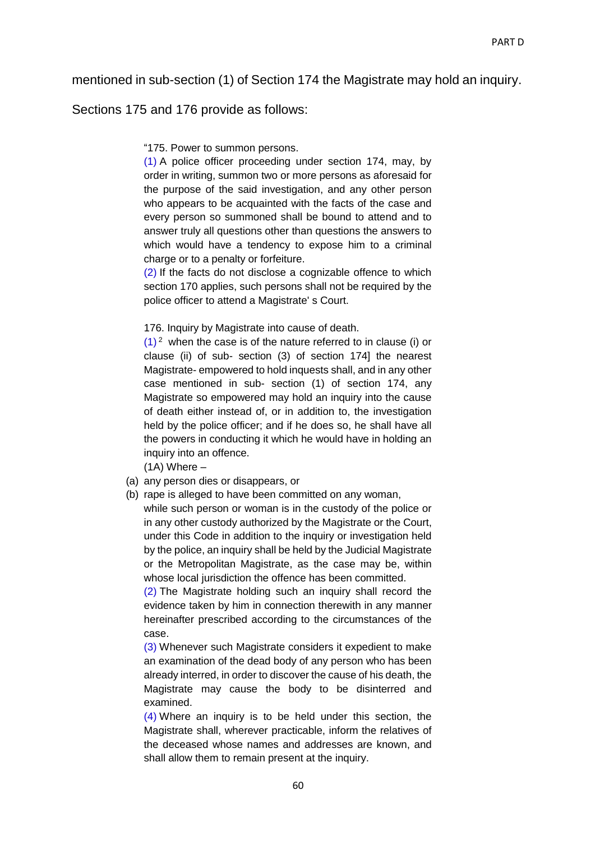mentioned in sub-section (1) of Section 174 the Magistrate may hold an inquiry.

Sections 175 and 176 provide as follows:

"175. Power to summon persons.

[\(1\)](https://indiankanoon.org/doc/750876/) A police officer proceeding under section 174, may, by order in writing, summon two or more persons as aforesaid for the purpose of the said investigation, and any other person who appears to be acquainted with the facts of the case and every person so summoned shall be bound to attend and to answer truly all questions other than questions the answers to which would have a tendency to expose him to a criminal charge or to a penalty or forfeiture.

[\(2\)](https://indiankanoon.org/doc/1706157/) If the facts do not disclose a cognizable offence to which section 170 applies, such persons shall not be required by the police officer to attend a Magistrate' s Court.

176. Inquiry by Magistrate into cause of death.

 $(1)^2$  $(1)^2$  when the case is of the nature referred to in clause (i) or clause (ii) of sub- section (3) of section 174] the nearest Magistrate- empowered to hold inquests shall, and in any other case mentioned in sub- section (1) of section 174, any Magistrate so empowered may hold an inquiry into the cause of death either instead of, or in addition to, the investigation held by the police officer; and if he does so, he shall have all the powers in conducting it which he would have in holding an inquiry into an offence.

 $(1A)$  Where  $-$ 

- (a) any person dies or disappears, or
- (b) rape is alleged to have been committed on any woman,

while such person or woman is in the custody of the police or in any other custody authorized by the Magistrate or the Court, under this Code in addition to the inquiry or investigation held by the police, an inquiry shall be held by the Judicial Magistrate or the Metropolitan Magistrate, as the case may be, within whose local jurisdiction the offence has been committed.

[\(2\)](https://indiankanoon.org/doc/578037/) The Magistrate holding such an inquiry shall record the evidence taken by him in connection therewith in any manner hereinafter prescribed according to the circumstances of the case.

[\(3\)](https://indiankanoon.org/doc/267170/) Whenever such Magistrate considers it expedient to make an examination of the dead body of any person who has been already interred, in order to discover the cause of his death, the Magistrate may cause the body to be disinterred and examined.

[\(4\)](https://indiankanoon.org/doc/94619/) Where an inquiry is to be held under this section, the Magistrate shall, wherever practicable, inform the relatives of the deceased whose names and addresses are known, and shall allow them to remain present at the inquiry.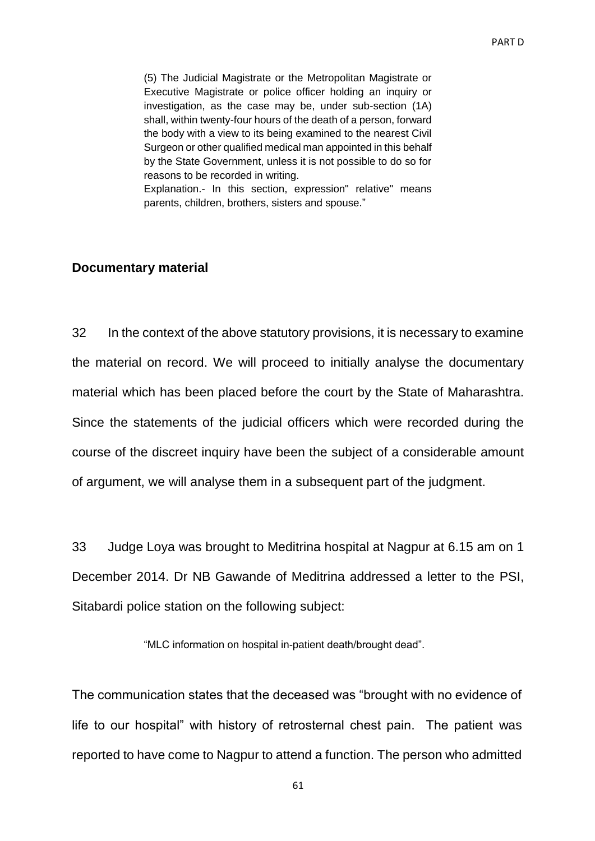(5) The Judicial Magistrate or the Metropolitan Magistrate or Executive Magistrate or police officer holding an inquiry or investigation, as the case may be, under sub-section (1A) shall, within twenty-four hours of the death of a person, forward the body with a view to its being examined to the nearest Civil Surgeon or other qualified medical man appointed in this behalf by the State Government, unless it is not possible to do so for reasons to be recorded in writing.

Explanation.- In this section, expression" relative" means parents, children, brothers, sisters and spouse."

#### **Documentary material**

32 In the context of the above statutory provisions, it is necessary to examine the material on record. We will proceed to initially analyse the documentary material which has been placed before the court by the State of Maharashtra. Since the statements of the judicial officers which were recorded during the course of the discreet inquiry have been the subject of a considerable amount of argument, we will analyse them in a subsequent part of the judgment.

33 Judge Loya was brought to Meditrina hospital at Nagpur at 6.15 am on 1 December 2014. Dr NB Gawande of Meditrina addressed a letter to the PSI, Sitabardi police station on the following subject:

"MLC information on hospital in-patient death/brought dead".

The communication states that the deceased was "brought with no evidence of life to our hospital" with history of retrosternal chest pain. The patient was reported to have come to Nagpur to attend a function. The person who admitted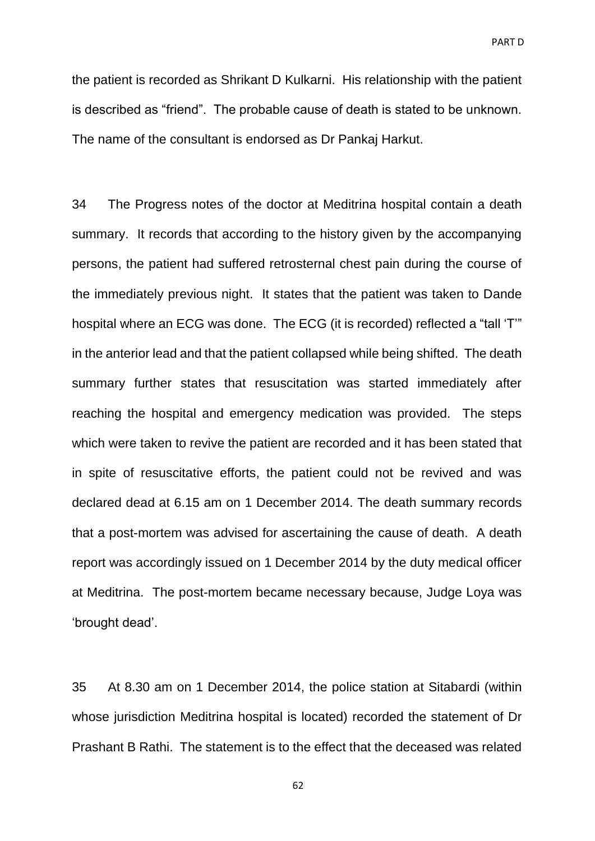the patient is recorded as Shrikant D Kulkarni. His relationship with the patient is described as "friend". The probable cause of death is stated to be unknown. The name of the consultant is endorsed as Dr Pankaj Harkut.

34 The Progress notes of the doctor at Meditrina hospital contain a death summary. It records that according to the history given by the accompanying persons, the patient had suffered retrosternal chest pain during the course of the immediately previous night. It states that the patient was taken to Dande hospital where an ECG was done. The ECG (it is recorded) reflected a "tall 'T'" in the anterior lead and that the patient collapsed while being shifted. The death summary further states that resuscitation was started immediately after reaching the hospital and emergency medication was provided. The steps which were taken to revive the patient are recorded and it has been stated that in spite of resuscitative efforts, the patient could not be revived and was declared dead at 6.15 am on 1 December 2014. The death summary records that a post-mortem was advised for ascertaining the cause of death. A death report was accordingly issued on 1 December 2014 by the duty medical officer at Meditrina. The post-mortem became necessary because, Judge Loya was 'brought dead'.

35 At 8.30 am on 1 December 2014, the police station at Sitabardi (within whose jurisdiction Meditrina hospital is located) recorded the statement of Dr Prashant B Rathi. The statement is to the effect that the deceased was related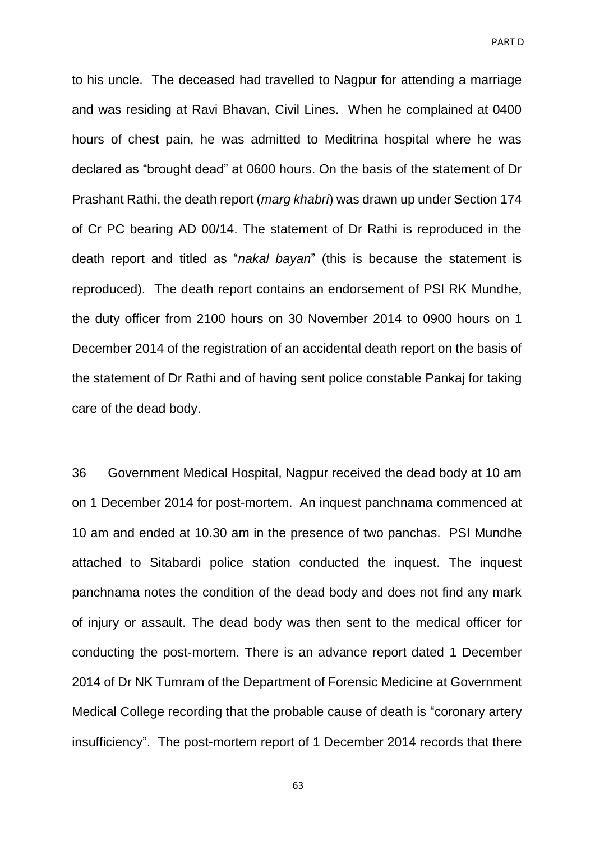to his uncle. The deceased had travelled to Nagpur for attending a marriage and was residing at Ravi Bhavan, Civil Lines. When he complained at 0400 hours of chest pain, he was admitted to Meditrina hospital where he was declared as "brought dead" at 0600 hours. On the basis of the statement of Dr Prashant Rathi, the death report (*marg khabri*) was drawn up under Section 174 of Cr PC bearing AD 00/14. The statement of Dr Rathi is reproduced in the death report and titled as "*nakal bayan*" (this is because the statement is reproduced). The death report contains an endorsement of PSI RK Mundhe, the duty officer from 2100 hours on 30 November 2014 to 0900 hours on 1 December 2014 of the registration of an accidental death report on the basis of the statement of Dr Rathi and of having sent police constable Pankaj for taking care of the dead body.

36 Government Medical Hospital, Nagpur received the dead body at 10 am on 1 December 2014 for post-mortem. An inquest panchnama commenced at 10 am and ended at 10.30 am in the presence of two panchas. PSI Mundhe attached to Sitabardi police station conducted the inquest. The inquest panchnama notes the condition of the dead body and does not find any mark of injury or assault. The dead body was then sent to the medical officer for conducting the post-mortem. There is an advance report dated 1 December 2014 of Dr NK Tumram of the Department of Forensic Medicine at Government Medical College recording that the probable cause of death is "coronary artery insufficiency". The post-mortem report of 1 December 2014 records that there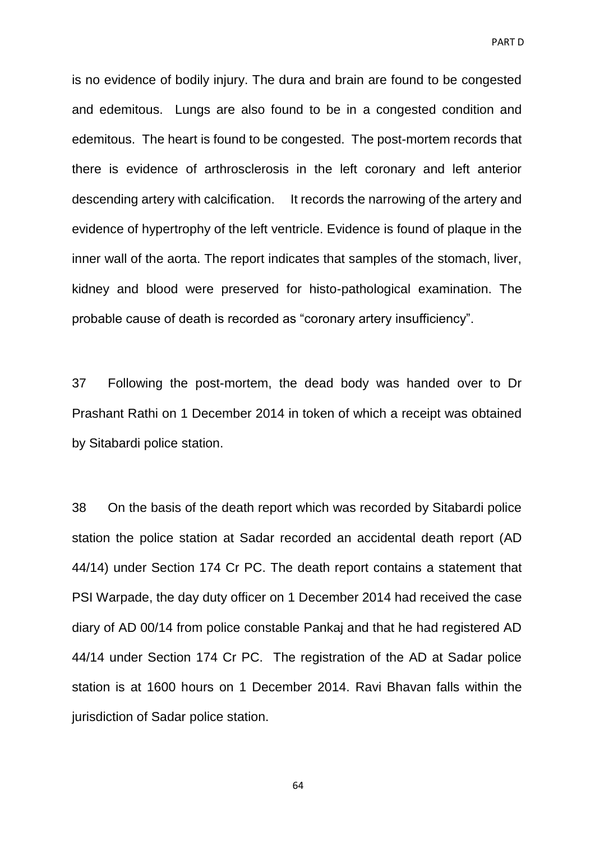PART D

is no evidence of bodily injury. The dura and brain are found to be congested and edemitous. Lungs are also found to be in a congested condition and edemitous. The heart is found to be congested. The post-mortem records that there is evidence of arthrosclerosis in the left coronary and left anterior descending artery with calcification. It records the narrowing of the artery and evidence of hypertrophy of the left ventricle. Evidence is found of plaque in the inner wall of the aorta. The report indicates that samples of the stomach, liver, kidney and blood were preserved for histo-pathological examination. The probable cause of death is recorded as "coronary artery insufficiency".

37 Following the post-mortem, the dead body was handed over to Dr Prashant Rathi on 1 December 2014 in token of which a receipt was obtained by Sitabardi police station.

38 On the basis of the death report which was recorded by Sitabardi police station the police station at Sadar recorded an accidental death report (AD 44/14) under Section 174 Cr PC. The death report contains a statement that PSI Warpade, the day duty officer on 1 December 2014 had received the case diary of AD 00/14 from police constable Pankaj and that he had registered AD 44/14 under Section 174 Cr PC. The registration of the AD at Sadar police station is at 1600 hours on 1 December 2014. Ravi Bhavan falls within the jurisdiction of Sadar police station.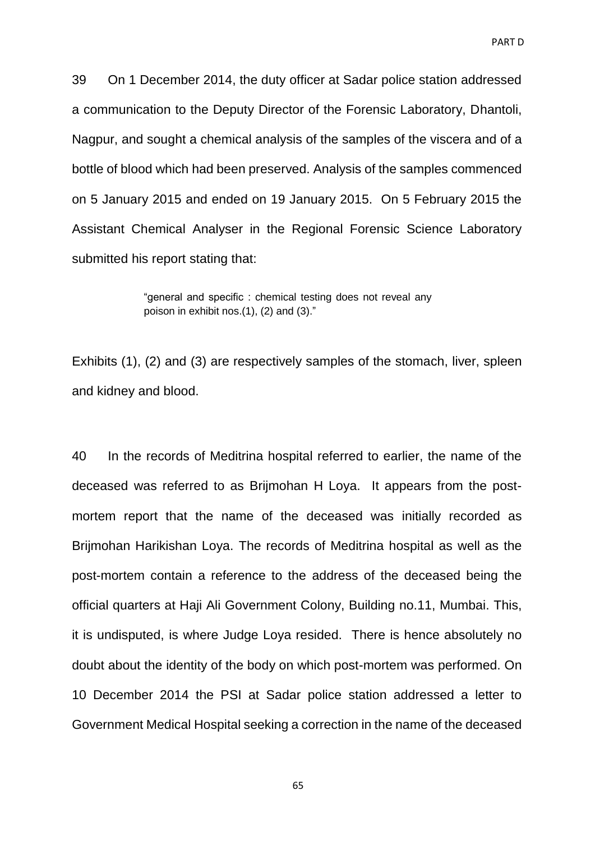39 On 1 December 2014, the duty officer at Sadar police station addressed a communication to the Deputy Director of the Forensic Laboratory, Dhantoli, Nagpur, and sought a chemical analysis of the samples of the viscera and of a bottle of blood which had been preserved. Analysis of the samples commenced on 5 January 2015 and ended on 19 January 2015. On 5 February 2015 the Assistant Chemical Analyser in the Regional Forensic Science Laboratory submitted his report stating that:

> "general and specific : chemical testing does not reveal any poison in exhibit nos.(1), (2) and (3)."

Exhibits (1), (2) and (3) are respectively samples of the stomach, liver, spleen and kidney and blood.

40 In the records of Meditrina hospital referred to earlier, the name of the deceased was referred to as Brijmohan H Loya. It appears from the postmortem report that the name of the deceased was initially recorded as Brijmohan Harikishan Loya. The records of Meditrina hospital as well as the post-mortem contain a reference to the address of the deceased being the official quarters at Haji Ali Government Colony, Building no.11, Mumbai. This, it is undisputed, is where Judge Loya resided. There is hence absolutely no doubt about the identity of the body on which post-mortem was performed. On 10 December 2014 the PSI at Sadar police station addressed a letter to Government Medical Hospital seeking a correction in the name of the deceased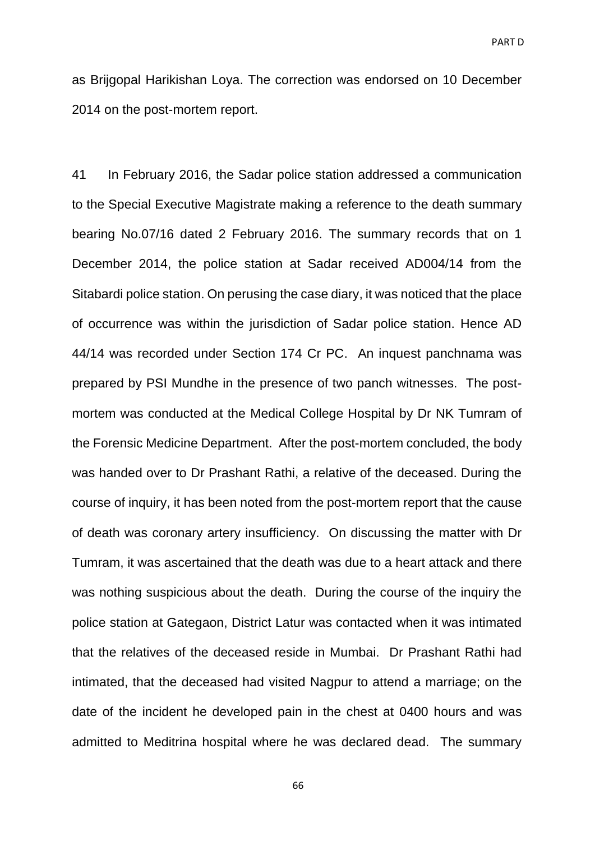as Brijgopal Harikishan Loya. The correction was endorsed on 10 December 2014 on the post-mortem report.

41 In February 2016, the Sadar police station addressed a communication to the Special Executive Magistrate making a reference to the death summary bearing No.07/16 dated 2 February 2016. The summary records that on 1 December 2014, the police station at Sadar received AD004/14 from the Sitabardi police station. On perusing the case diary, it was noticed that the place of occurrence was within the jurisdiction of Sadar police station. Hence AD 44/14 was recorded under Section 174 Cr PC. An inquest panchnama was prepared by PSI Mundhe in the presence of two panch witnesses. The postmortem was conducted at the Medical College Hospital by Dr NK Tumram of the Forensic Medicine Department. After the post-mortem concluded, the body was handed over to Dr Prashant Rathi, a relative of the deceased. During the course of inquiry, it has been noted from the post-mortem report that the cause of death was coronary artery insufficiency. On discussing the matter with Dr Tumram, it was ascertained that the death was due to a heart attack and there was nothing suspicious about the death. During the course of the inquiry the police station at Gategaon, District Latur was contacted when it was intimated that the relatives of the deceased reside in Mumbai. Dr Prashant Rathi had intimated, that the deceased had visited Nagpur to attend a marriage; on the date of the incident he developed pain in the chest at 0400 hours and was admitted to Meditrina hospital where he was declared dead. The summary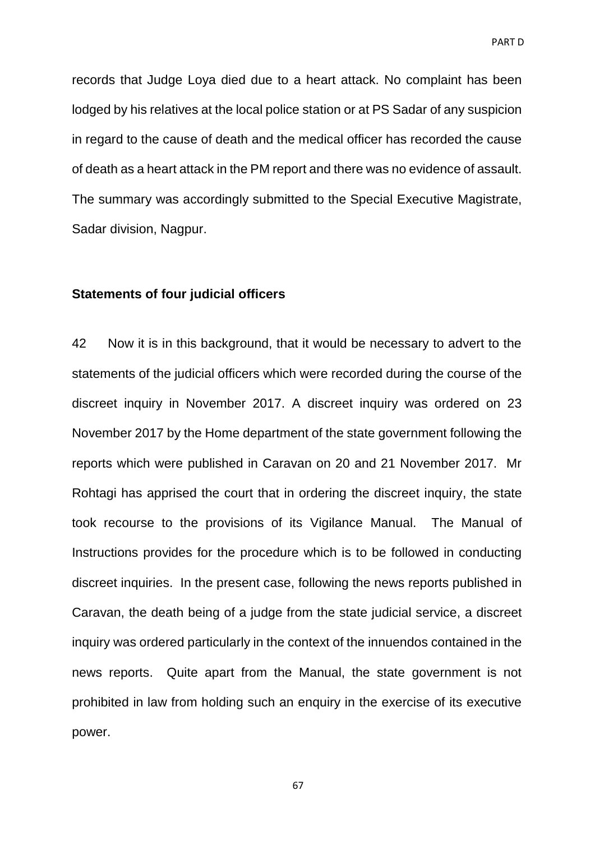PART D

records that Judge Loya died due to a heart attack. No complaint has been lodged by his relatives at the local police station or at PS Sadar of any suspicion in regard to the cause of death and the medical officer has recorded the cause of death as a heart attack in the PM report and there was no evidence of assault. The summary was accordingly submitted to the Special Executive Magistrate, Sadar division, Nagpur.

### **Statements of four judicial officers**

42 Now it is in this background, that it would be necessary to advert to the statements of the judicial officers which were recorded during the course of the discreet inquiry in November 2017. A discreet inquiry was ordered on 23 November 2017 by the Home department of the state government following the reports which were published in Caravan on 20 and 21 November 2017. Mr Rohtagi has apprised the court that in ordering the discreet inquiry, the state took recourse to the provisions of its Vigilance Manual. The Manual of Instructions provides for the procedure which is to be followed in conducting discreet inquiries. In the present case, following the news reports published in Caravan, the death being of a judge from the state judicial service, a discreet inquiry was ordered particularly in the context of the innuendos contained in the news reports. Quite apart from the Manual, the state government is not prohibited in law from holding such an enquiry in the exercise of its executive power.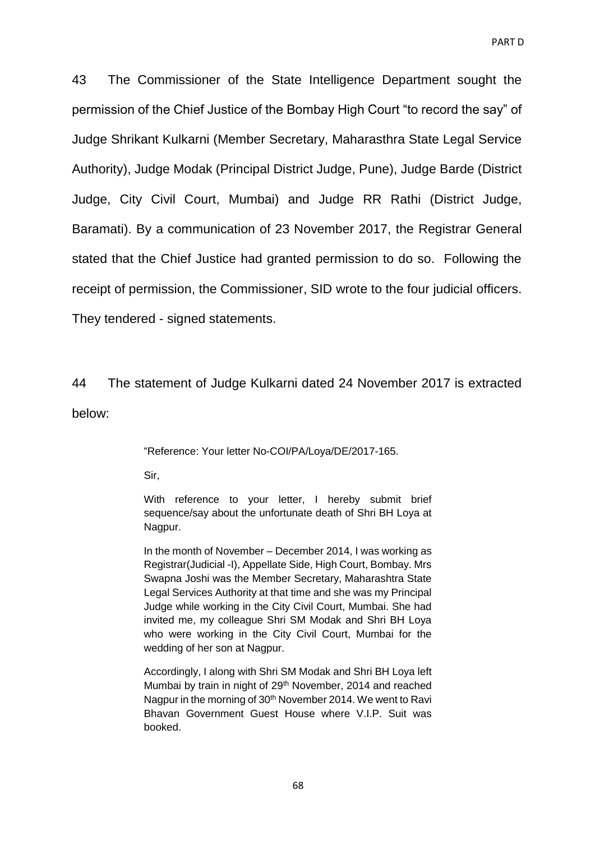43 The Commissioner of the State Intelligence Department sought the permission of the Chief Justice of the Bombay High Court "to record the say" of Judge Shrikant Kulkarni (Member Secretary, Maharasthra State Legal Service Authority), Judge Modak (Principal District Judge, Pune), Judge Barde (District Judge, City Civil Court, Mumbai) and Judge RR Rathi (District Judge, Baramati). By a communication of 23 November 2017, the Registrar General stated that the Chief Justice had granted permission to do so. Following the receipt of permission, the Commissioner, SID wrote to the four judicial officers. They tendered - signed statements.

44 The statement of Judge Kulkarni dated 24 November 2017 is extracted below:

"Reference: Your letter No-COI/PA/Loya/DE/2017-165.

Sir,

With reference to your letter, I hereby submit brief sequence/say about the unfortunate death of Shri BH Loya at Nagpur.

In the month of November – December 2014, I was working as Registrar(Judicial -I), Appellate Side, High Court, Bombay. Mrs Swapna Joshi was the Member Secretary, Maharashtra State Legal Services Authority at that time and she was my Principal Judge while working in the City Civil Court, Mumbai. She had invited me, my colleague Shri SM Modak and Shri BH Loya who were working in the City Civil Court, Mumbai for the wedding of her son at Nagpur.

Accordingly, I along with Shri SM Modak and Shri BH Loya left Mumbai by train in night of 29<sup>th</sup> November, 2014 and reached Nagpur in the morning of 30<sup>th</sup> November 2014. We went to Ravi Bhavan Government Guest House where V.I.P. Suit was booked.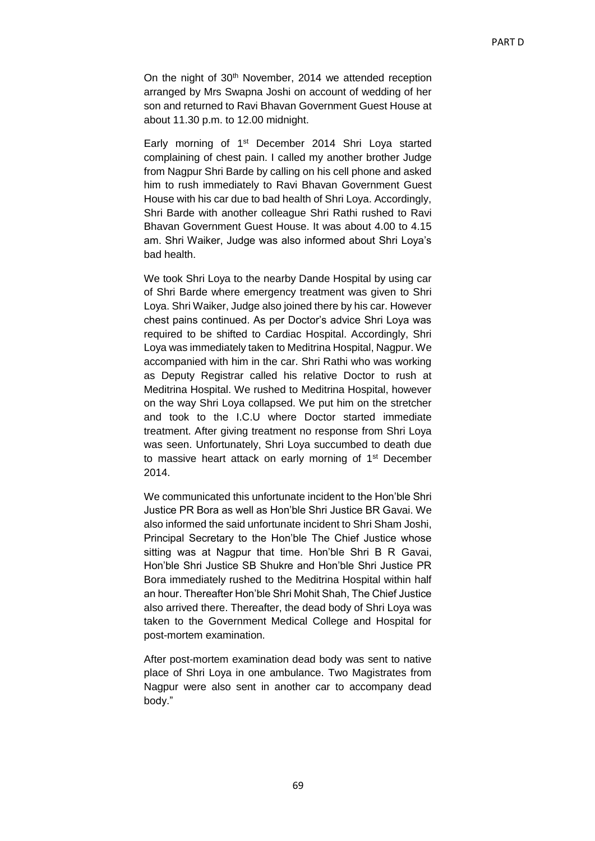On the night of 30<sup>th</sup> November, 2014 we attended reception arranged by Mrs Swapna Joshi on account of wedding of her son and returned to Ravi Bhavan Government Guest House at about 11.30 p.m. to 12.00 midnight.

Early morning of 1st December 2014 Shri Loya started complaining of chest pain. I called my another brother Judge from Nagpur Shri Barde by calling on his cell phone and asked him to rush immediately to Ravi Bhavan Government Guest House with his car due to bad health of Shri Loya. Accordingly, Shri Barde with another colleague Shri Rathi rushed to Ravi Bhavan Government Guest House. It was about 4.00 to 4.15 am. Shri Waiker, Judge was also informed about Shri Loya's bad health.

We took Shri Loya to the nearby Dande Hospital by using car of Shri Barde where emergency treatment was given to Shri Loya. Shri Waiker, Judge also joined there by his car. However chest pains continued. As per Doctor's advice Shri Loya was required to be shifted to Cardiac Hospital. Accordingly, Shri Loya was immediately taken to Meditrina Hospital, Nagpur. We accompanied with him in the car. Shri Rathi who was working as Deputy Registrar called his relative Doctor to rush at Meditrina Hospital. We rushed to Meditrina Hospital, however on the way Shri Loya collapsed. We put him on the stretcher and took to the I.C.U where Doctor started immediate treatment. After giving treatment no response from Shri Loya was seen. Unfortunately, Shri Loya succumbed to death due to massive heart attack on early morning of 1st December 2014.

We communicated this unfortunate incident to the Hon'ble Shri Justice PR Bora as well as Hon'ble Shri Justice BR Gavai. We also informed the said unfortunate incident to Shri Sham Joshi, Principal Secretary to the Hon'ble The Chief Justice whose sitting was at Nagpur that time. Hon'ble Shri B R Gavai, Hon'ble Shri Justice SB Shukre and Hon'ble Shri Justice PR Bora immediately rushed to the Meditrina Hospital within half an hour. Thereafter Hon'ble Shri Mohit Shah, The Chief Justice also arrived there. Thereafter, the dead body of Shri Loya was taken to the Government Medical College and Hospital for post-mortem examination.

After post-mortem examination dead body was sent to native place of Shri Loya in one ambulance. Two Magistrates from Nagpur were also sent in another car to accompany dead body."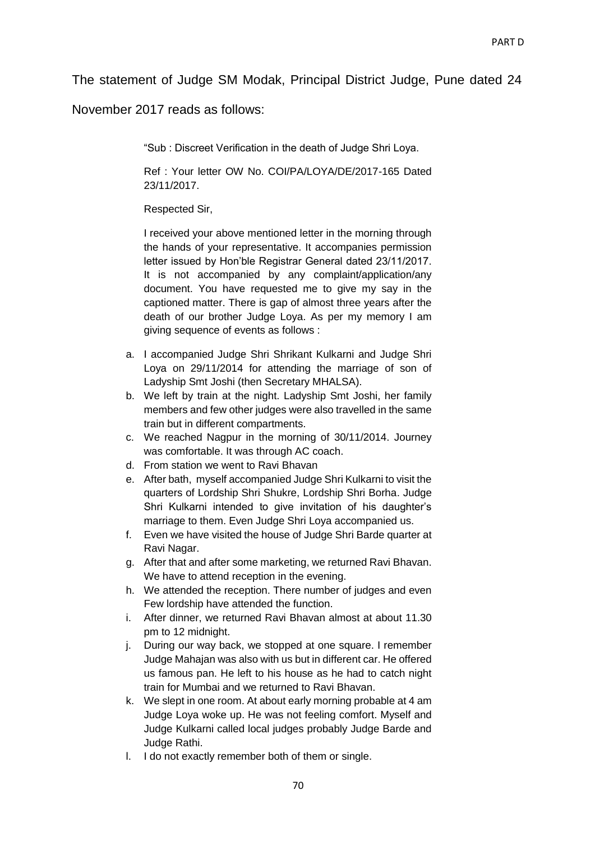The statement of Judge SM Modak, Principal District Judge, Pune dated 24

November 2017 reads as follows:

"Sub : Discreet Verification in the death of Judge Shri Loya.

Ref : Your letter OW No. COI/PA/LOYA/DE/2017-165 Dated 23/11/2017.

Respected Sir,

I received your above mentioned letter in the morning through the hands of your representative. It accompanies permission letter issued by Hon'ble Registrar General dated 23/11/2017. It is not accompanied by any complaint/application/any document. You have requested me to give my say in the captioned matter. There is gap of almost three years after the death of our brother Judge Loya. As per my memory I am giving sequence of events as follows :

- a. I accompanied Judge Shri Shrikant Kulkarni and Judge Shri Loya on 29/11/2014 for attending the marriage of son of Ladyship Smt Joshi (then Secretary MHALSA).
- b. We left by train at the night. Ladyship Smt Joshi, her family members and few other judges were also travelled in the same train but in different compartments.
- c. We reached Nagpur in the morning of 30/11/2014. Journey was comfortable. It was through AC coach.
- d. From station we went to Ravi Bhavan
- e. After bath, myself accompanied Judge Shri Kulkarni to visit the quarters of Lordship Shri Shukre, Lordship Shri Borha. Judge Shri Kulkarni intended to give invitation of his daughter's marriage to them. Even Judge Shri Loya accompanied us.
- f. Even we have visited the house of Judge Shri Barde quarter at Ravi Nagar.
- g. After that and after some marketing, we returned Ravi Bhavan. We have to attend reception in the evening.
- h. We attended the reception. There number of judges and even Few lordship have attended the function.
- i. After dinner, we returned Ravi Bhavan almost at about 11.30 pm to 12 midnight.
- j. During our way back, we stopped at one square. I remember Judge Mahajan was also with us but in different car. He offered us famous pan. He left to his house as he had to catch night train for Mumbai and we returned to Ravi Bhavan.
- k. We slept in one room. At about early morning probable at 4 am Judge Loya woke up. He was not feeling comfort. Myself and Judge Kulkarni called local judges probably Judge Barde and Judge Rathi.
- l. I do not exactly remember both of them or single.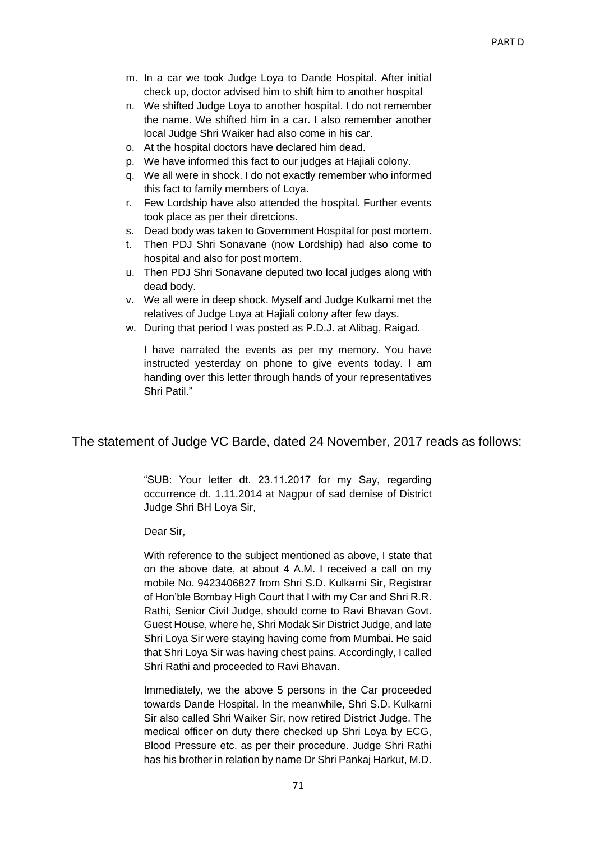- m. In a car we took Judge Loya to Dande Hospital. After initial check up, doctor advised him to shift him to another hospital
- n. We shifted Judge Loya to another hospital. I do not remember the name. We shifted him in a car. I also remember another local Judge Shri Waiker had also come in his car.
- o. At the hospital doctors have declared him dead.
- p. We have informed this fact to our judges at Hajiali colony.
- q. We all were in shock. I do not exactly remember who informed this fact to family members of Loya.
- r. Few Lordship have also attended the hospital. Further events took place as per their diretcions.
- s. Dead body was taken to Government Hospital for post mortem.
- t. Then PDJ Shri Sonavane (now Lordship) had also come to hospital and also for post mortem.
- u. Then PDJ Shri Sonavane deputed two local judges along with dead body.
- v. We all were in deep shock. Myself and Judge Kulkarni met the relatives of Judge Loya at Hajiali colony after few days.
- w. During that period I was posted as P.D.J. at Alibag, Raigad.

I have narrated the events as per my memory. You have instructed yesterday on phone to give events today. I am handing over this letter through hands of your representatives Shri Patil."

The statement of Judge VC Barde, dated 24 November, 2017 reads as follows:

"SUB: Your letter dt. 23.11.2017 for my Say, regarding occurrence dt. 1.11.2014 at Nagpur of sad demise of District Judge Shri BH Loya Sir,

Dear Sir,

With reference to the subject mentioned as above, I state that on the above date, at about 4 A.M. I received a call on my mobile No. 9423406827 from Shri S.D. Kulkarni Sir, Registrar of Hon'ble Bombay High Court that I with my Car and Shri R.R. Rathi, Senior Civil Judge, should come to Ravi Bhavan Govt. Guest House, where he, Shri Modak Sir District Judge, and late Shri Loya Sir were staying having come from Mumbai. He said that Shri Loya Sir was having chest pains. Accordingly, I called Shri Rathi and proceeded to Ravi Bhavan.

Immediately, we the above 5 persons in the Car proceeded towards Dande Hospital. In the meanwhile, Shri S.D. Kulkarni Sir also called Shri Waiker Sir, now retired District Judge. The medical officer on duty there checked up Shri Loya by ECG, Blood Pressure etc. as per their procedure. Judge Shri Rathi has his brother in relation by name Dr Shri Pankaj Harkut, M.D.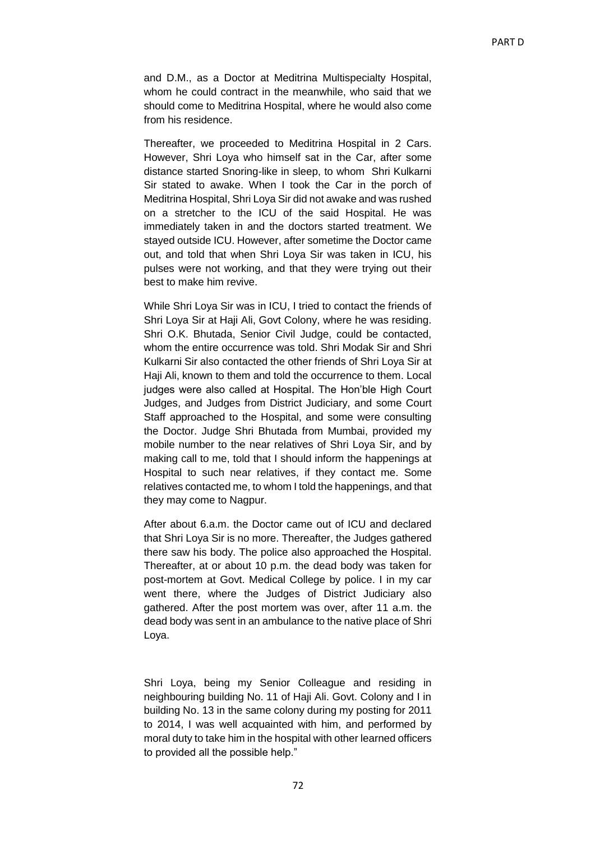and D.M., as a Doctor at Meditrina Multispecialty Hospital, whom he could contract in the meanwhile, who said that we should come to Meditrina Hospital, where he would also come from his residence.

Thereafter, we proceeded to Meditrina Hospital in 2 Cars. However, Shri Loya who himself sat in the Car, after some distance started Snoring-like in sleep, to whom Shri Kulkarni Sir stated to awake. When I took the Car in the porch of Meditrina Hospital, Shri Loya Sir did not awake and was rushed on a stretcher to the ICU of the said Hospital. He was immediately taken in and the doctors started treatment. We stayed outside ICU. However, after sometime the Doctor came out, and told that when Shri Loya Sir was taken in ICU, his pulses were not working, and that they were trying out their best to make him revive.

While Shri Loya Sir was in ICU, I tried to contact the friends of Shri Loya Sir at Haji Ali, Govt Colony, where he was residing. Shri O.K. Bhutada, Senior Civil Judge, could be contacted, whom the entire occurrence was told. Shri Modak Sir and Shri Kulkarni Sir also contacted the other friends of Shri Loya Sir at Haji Ali, known to them and told the occurrence to them. Local judges were also called at Hospital. The Hon'ble High Court Judges, and Judges from District Judiciary, and some Court Staff approached to the Hospital, and some were consulting the Doctor. Judge Shri Bhutada from Mumbai, provided my mobile number to the near relatives of Shri Loya Sir, and by making call to me, told that I should inform the happenings at Hospital to such near relatives, if they contact me. Some relatives contacted me, to whom I told the happenings, and that they may come to Nagpur.

After about 6.a.m. the Doctor came out of ICU and declared that Shri Loya Sir is no more. Thereafter, the Judges gathered there saw his body. The police also approached the Hospital. Thereafter, at or about 10 p.m. the dead body was taken for post-mortem at Govt. Medical College by police. I in my car went there, where the Judges of District Judiciary also gathered. After the post mortem was over, after 11 a.m. the dead body was sent in an ambulance to the native place of Shri Loya.

Shri Loya, being my Senior Colleague and residing in neighbouring building No. 11 of Haji Ali. Govt. Colony and I in building No. 13 in the same colony during my posting for 2011 to 2014, I was well acquainted with him, and performed by moral duty to take him in the hospital with other learned officers to provided all the possible help."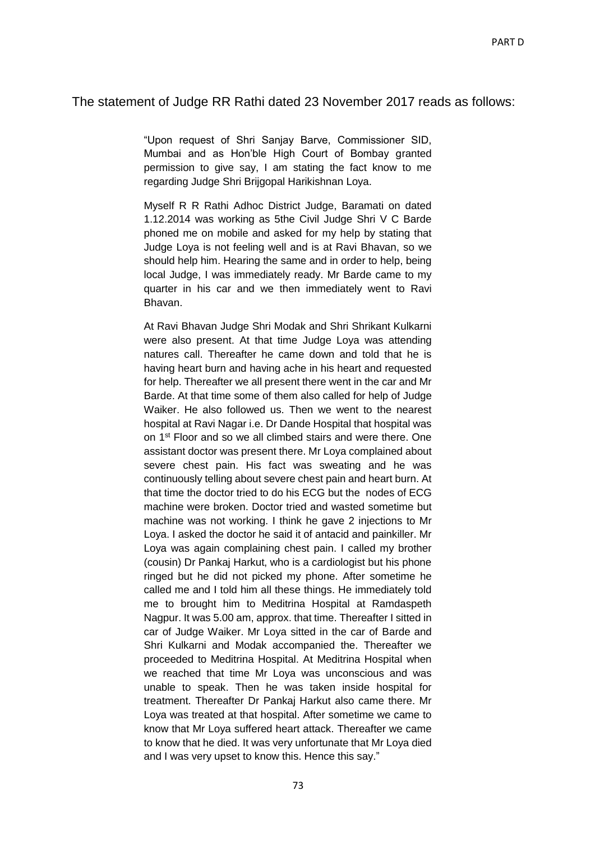## The statement of Judge RR Rathi dated 23 November 2017 reads as follows:

"Upon request of Shri Sanjay Barve, Commissioner SID, Mumbai and as Hon'ble High Court of Bombay granted permission to give say, I am stating the fact know to me regarding Judge Shri Brijgopal Harikishnan Loya.

Myself R R Rathi Adhoc District Judge, Baramati on dated 1.12.2014 was working as 5the Civil Judge Shri V C Barde phoned me on mobile and asked for my help by stating that Judge Loya is not feeling well and is at Ravi Bhavan, so we should help him. Hearing the same and in order to help, being local Judge, I was immediately ready. Mr Barde came to my quarter in his car and we then immediately went to Ravi Bhavan.

At Ravi Bhavan Judge Shri Modak and Shri Shrikant Kulkarni were also present. At that time Judge Loya was attending natures call. Thereafter he came down and told that he is having heart burn and having ache in his heart and requested for help. Thereafter we all present there went in the car and Mr Barde. At that time some of them also called for help of Judge Waiker. He also followed us. Then we went to the nearest hospital at Ravi Nagar i.e. Dr Dande Hospital that hospital was on 1st Floor and so we all climbed stairs and were there. One assistant doctor was present there. Mr Loya complained about severe chest pain. His fact was sweating and he was continuously telling about severe chest pain and heart burn. At that time the doctor tried to do his ECG but the nodes of ECG machine were broken. Doctor tried and wasted sometime but machine was not working. I think he gave 2 injections to Mr Loya. I asked the doctor he said it of antacid and painkiller. Mr Loya was again complaining chest pain. I called my brother (cousin) Dr Pankaj Harkut, who is a cardiologist but his phone ringed but he did not picked my phone. After sometime he called me and I told him all these things. He immediately told me to brought him to Meditrina Hospital at Ramdaspeth Nagpur. It was 5.00 am, approx. that time. Thereafter I sitted in car of Judge Waiker. Mr Loya sitted in the car of Barde and Shri Kulkarni and Modak accompanied the. Thereafter we proceeded to Meditrina Hospital. At Meditrina Hospital when we reached that time Mr Loya was unconscious and was unable to speak. Then he was taken inside hospital for treatment. Thereafter Dr Pankaj Harkut also came there. Mr Loya was treated at that hospital. After sometime we came to know that Mr Loya suffered heart attack. Thereafter we came to know that he died. It was very unfortunate that Mr Loya died and I was very upset to know this. Hence this say."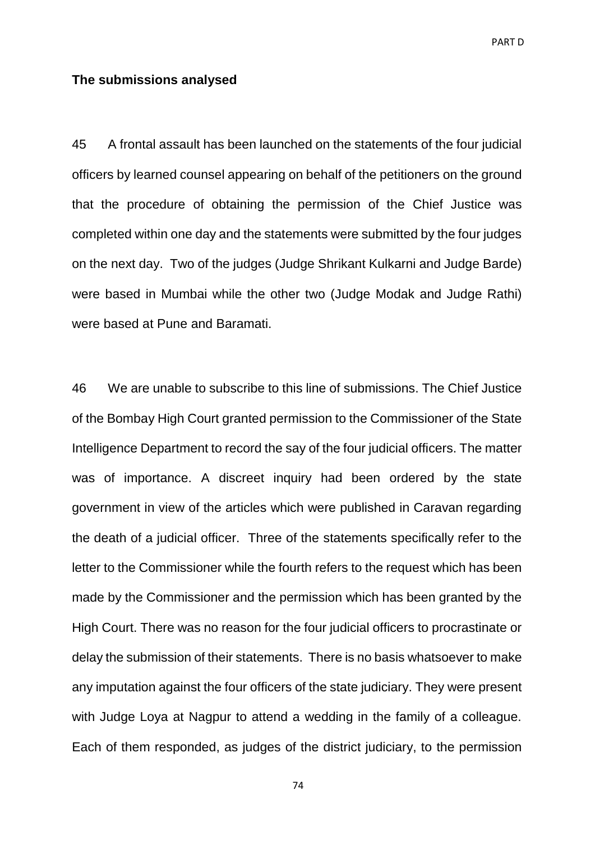### **The submissions analysed**

45 A frontal assault has been launched on the statements of the four judicial officers by learned counsel appearing on behalf of the petitioners on the ground that the procedure of obtaining the permission of the Chief Justice was completed within one day and the statements were submitted by the four judges on the next day. Two of the judges (Judge Shrikant Kulkarni and Judge Barde) were based in Mumbai while the other two (Judge Modak and Judge Rathi) were based at Pune and Baramati.

46 We are unable to subscribe to this line of submissions. The Chief Justice of the Bombay High Court granted permission to the Commissioner of the State Intelligence Department to record the say of the four judicial officers. The matter was of importance. A discreet inquiry had been ordered by the state government in view of the articles which were published in Caravan regarding the death of a judicial officer. Three of the statements specifically refer to the letter to the Commissioner while the fourth refers to the request which has been made by the Commissioner and the permission which has been granted by the High Court. There was no reason for the four judicial officers to procrastinate or delay the submission of their statements. There is no basis whatsoever to make any imputation against the four officers of the state judiciary. They were present with Judge Loya at Nagpur to attend a wedding in the family of a colleague. Each of them responded, as judges of the district judiciary, to the permission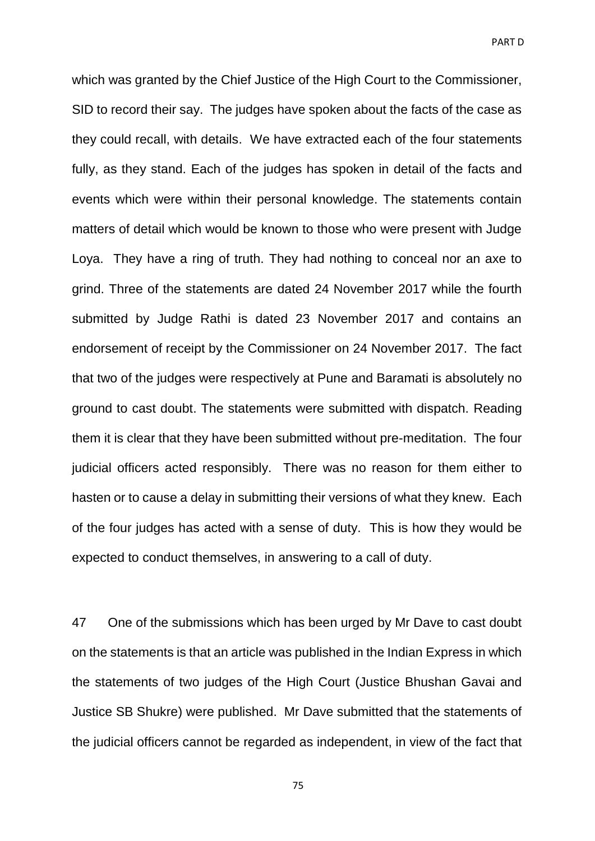which was granted by the Chief Justice of the High Court to the Commissioner, SID to record their say. The judges have spoken about the facts of the case as they could recall, with details. We have extracted each of the four statements fully, as they stand. Each of the judges has spoken in detail of the facts and events which were within their personal knowledge. The statements contain matters of detail which would be known to those who were present with Judge Loya. They have a ring of truth. They had nothing to conceal nor an axe to grind. Three of the statements are dated 24 November 2017 while the fourth submitted by Judge Rathi is dated 23 November 2017 and contains an endorsement of receipt by the Commissioner on 24 November 2017. The fact that two of the judges were respectively at Pune and Baramati is absolutely no ground to cast doubt. The statements were submitted with dispatch. Reading them it is clear that they have been submitted without pre-meditation. The four judicial officers acted responsibly. There was no reason for them either to hasten or to cause a delay in submitting their versions of what they knew. Each of the four judges has acted with a sense of duty. This is how they would be expected to conduct themselves, in answering to a call of duty.

47 One of the submissions which has been urged by Mr Dave to cast doubt on the statements is that an article was published in the Indian Express in which the statements of two judges of the High Court (Justice Bhushan Gavai and Justice SB Shukre) were published. Mr Dave submitted that the statements of the judicial officers cannot be regarded as independent, in view of the fact that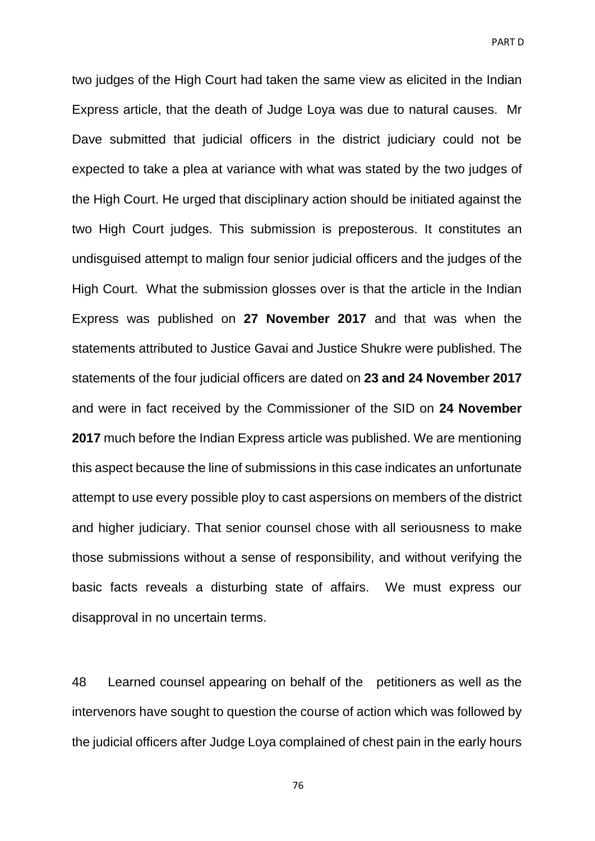two judges of the High Court had taken the same view as elicited in the Indian Express article, that the death of Judge Loya was due to natural causes. Mr Dave submitted that judicial officers in the district judiciary could not be expected to take a plea at variance with what was stated by the two judges of the High Court. He urged that disciplinary action should be initiated against the two High Court judges. This submission is preposterous. It constitutes an undisguised attempt to malign four senior judicial officers and the judges of the High Court. What the submission glosses over is that the article in the Indian Express was published on **27 November 2017** and that was when the statements attributed to Justice Gavai and Justice Shukre were published. The statements of the four judicial officers are dated on **23 and 24 November 2017** and were in fact received by the Commissioner of the SID on **24 November 2017** much before the Indian Express article was published. We are mentioning this aspect because the line of submissions in this case indicates an unfortunate attempt to use every possible ploy to cast aspersions on members of the district and higher judiciary. That senior counsel chose with all seriousness to make those submissions without a sense of responsibility, and without verifying the basic facts reveals a disturbing state of affairs. We must express our disapproval in no uncertain terms.

48 Learned counsel appearing on behalf of the petitioners as well as the intervenors have sought to question the course of action which was followed by the judicial officers after Judge Loya complained of chest pain in the early hours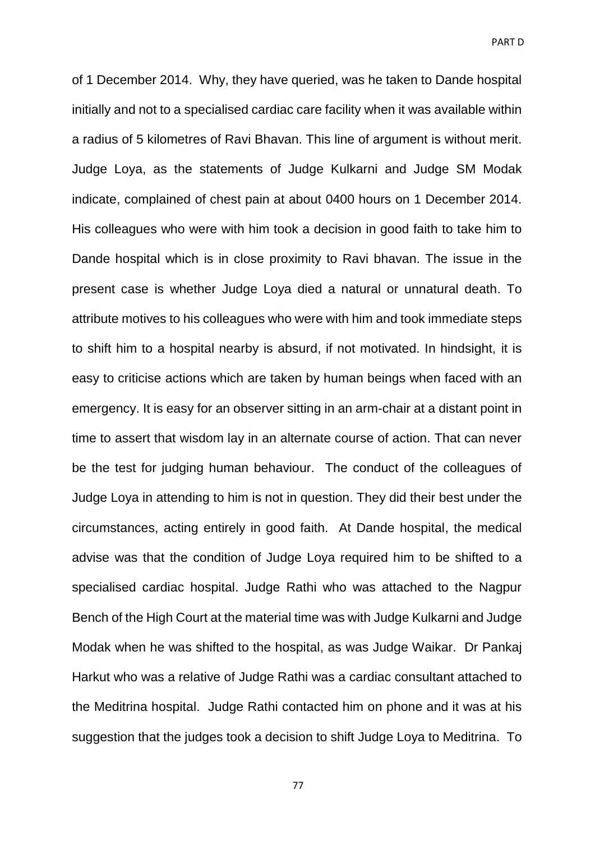of 1 December 2014. Why, they have queried, was he taken to Dande hospital initially and not to a specialised cardiac care facility when it was available within a radius of 5 kilometres of Ravi Bhavan. This line of argument is without merit. Judge Loya, as the statements of Judge Kulkarni and Judge SM Modak indicate, complained of chest pain at about 0400 hours on 1 December 2014. His colleagues who were with him took a decision in good faith to take him to Dande hospital which is in close proximity to Ravi bhavan. The issue in the present case is whether Judge Loya died a natural or unnatural death. To attribute motives to his colleagues who were with him and took immediate steps to shift him to a hospital nearby is absurd, if not motivated. In hindsight, it is easy to criticise actions which are taken by human beings when faced with an emergency. It is easy for an observer sitting in an arm-chair at a distant point in time to assert that wisdom lay in an alternate course of action. That can never be the test for judging human behaviour. The conduct of the colleagues of Judge Loya in attending to him is not in question. They did their best under the circumstances, acting entirely in good faith. At Dande hospital, the medical advise was that the condition of Judge Loya required him to be shifted to a specialised cardiac hospital. Judge Rathi who was attached to the Nagpur Bench of the High Court at the material time was with Judge Kulkarni and Judge Modak when he was shifted to the hospital, as was Judge Waikar. Dr Pankaj Harkut who was a relative of Judge Rathi was a cardiac consultant attached to the Meditrina hospital. Judge Rathi contacted him on phone and it was at his suggestion that the judges took a decision to shift Judge Loya to Meditrina. To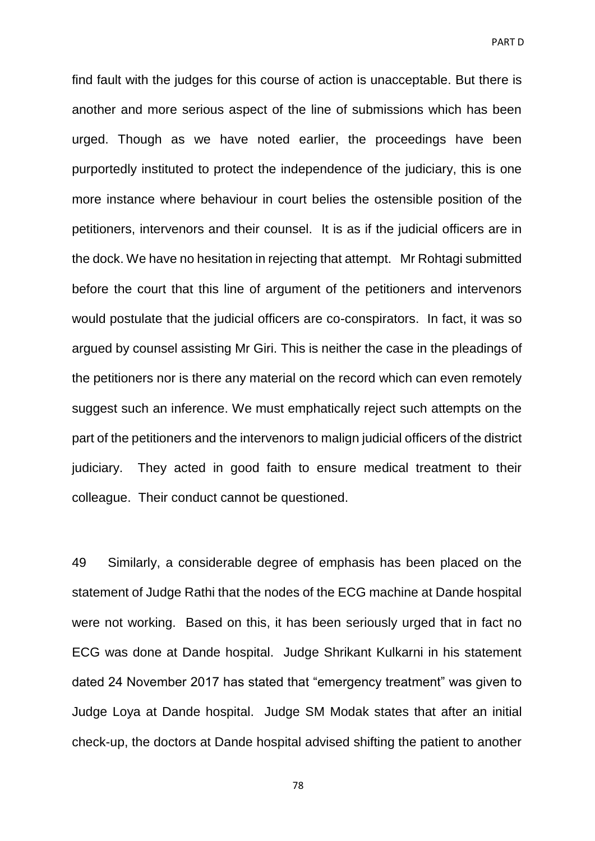find fault with the judges for this course of action is unacceptable. But there is another and more serious aspect of the line of submissions which has been urged. Though as we have noted earlier, the proceedings have been purportedly instituted to protect the independence of the judiciary, this is one more instance where behaviour in court belies the ostensible position of the petitioners, intervenors and their counsel. It is as if the judicial officers are in the dock. We have no hesitation in rejecting that attempt. Mr Rohtagi submitted before the court that this line of argument of the petitioners and intervenors would postulate that the judicial officers are co-conspirators. In fact, it was so argued by counsel assisting Mr Giri. This is neither the case in the pleadings of the petitioners nor is there any material on the record which can even remotely suggest such an inference. We must emphatically reject such attempts on the part of the petitioners and the intervenors to malign judicial officers of the district judiciary. They acted in good faith to ensure medical treatment to their colleague. Their conduct cannot be questioned.

49 Similarly, a considerable degree of emphasis has been placed on the statement of Judge Rathi that the nodes of the ECG machine at Dande hospital were not working. Based on this, it has been seriously urged that in fact no ECG was done at Dande hospital. Judge Shrikant Kulkarni in his statement dated 24 November 2017 has stated that "emergency treatment" was given to Judge Loya at Dande hospital. Judge SM Modak states that after an initial check-up, the doctors at Dande hospital advised shifting the patient to another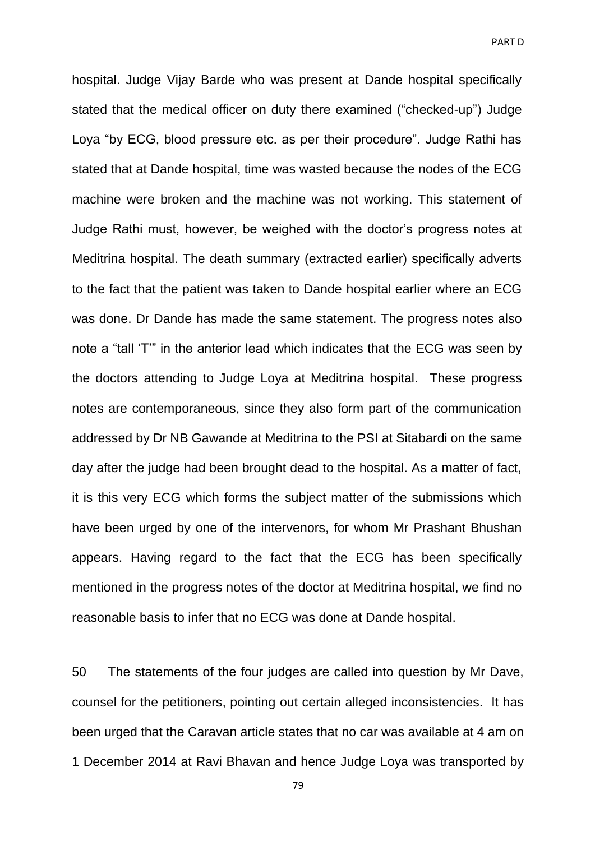hospital. Judge Vijay Barde who was present at Dande hospital specifically stated that the medical officer on duty there examined ("checked-up") Judge Loya "by ECG, blood pressure etc. as per their procedure". Judge Rathi has stated that at Dande hospital, time was wasted because the nodes of the ECG machine were broken and the machine was not working. This statement of Judge Rathi must, however, be weighed with the doctor's progress notes at Meditrina hospital. The death summary (extracted earlier) specifically adverts to the fact that the patient was taken to Dande hospital earlier where an ECG was done. Dr Dande has made the same statement. The progress notes also note a "tall 'T'" in the anterior lead which indicates that the ECG was seen by the doctors attending to Judge Loya at Meditrina hospital. These progress notes are contemporaneous, since they also form part of the communication addressed by Dr NB Gawande at Meditrina to the PSI at Sitabardi on the same day after the judge had been brought dead to the hospital. As a matter of fact, it is this very ECG which forms the subject matter of the submissions which have been urged by one of the intervenors, for whom Mr Prashant Bhushan appears. Having regard to the fact that the ECG has been specifically mentioned in the progress notes of the doctor at Meditrina hospital, we find no reasonable basis to infer that no ECG was done at Dande hospital.

50 The statements of the four judges are called into question by Mr Dave, counsel for the petitioners, pointing out certain alleged inconsistencies. It has been urged that the Caravan article states that no car was available at 4 am on 1 December 2014 at Ravi Bhavan and hence Judge Loya was transported by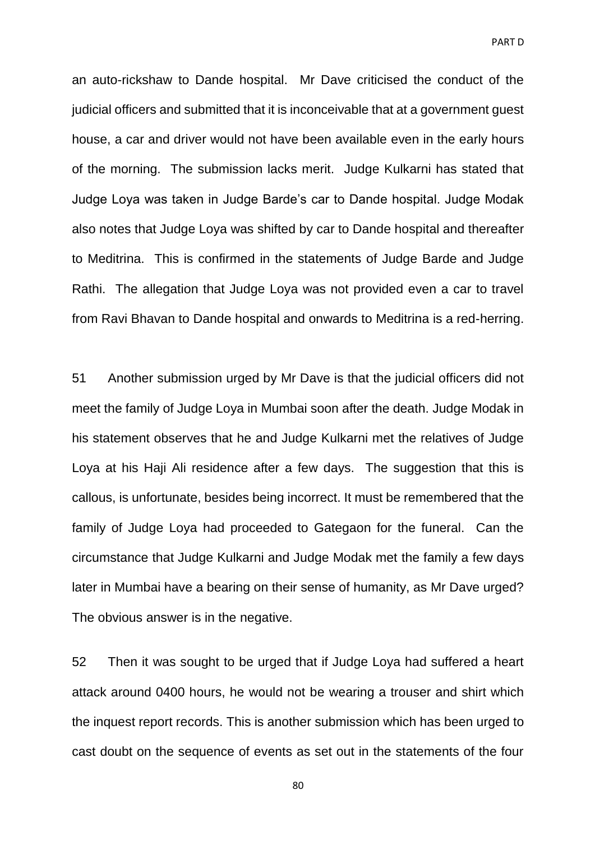an auto-rickshaw to Dande hospital. Mr Dave criticised the conduct of the judicial officers and submitted that it is inconceivable that at a government guest house, a car and driver would not have been available even in the early hours of the morning. The submission lacks merit. Judge Kulkarni has stated that Judge Loya was taken in Judge Barde's car to Dande hospital. Judge Modak also notes that Judge Loya was shifted by car to Dande hospital and thereafter to Meditrina. This is confirmed in the statements of Judge Barde and Judge Rathi. The allegation that Judge Loya was not provided even a car to travel from Ravi Bhavan to Dande hospital and onwards to Meditrina is a red-herring.

51 Another submission urged by Mr Dave is that the judicial officers did not meet the family of Judge Loya in Mumbai soon after the death. Judge Modak in his statement observes that he and Judge Kulkarni met the relatives of Judge Loya at his Haji Ali residence after a few days. The suggestion that this is callous, is unfortunate, besides being incorrect. It must be remembered that the family of Judge Loya had proceeded to Gategaon for the funeral. Can the circumstance that Judge Kulkarni and Judge Modak met the family a few days later in Mumbai have a bearing on their sense of humanity, as Mr Dave urged? The obvious answer is in the negative.

52 Then it was sought to be urged that if Judge Loya had suffered a heart attack around 0400 hours, he would not be wearing a trouser and shirt which the inquest report records. This is another submission which has been urged to cast doubt on the sequence of events as set out in the statements of the four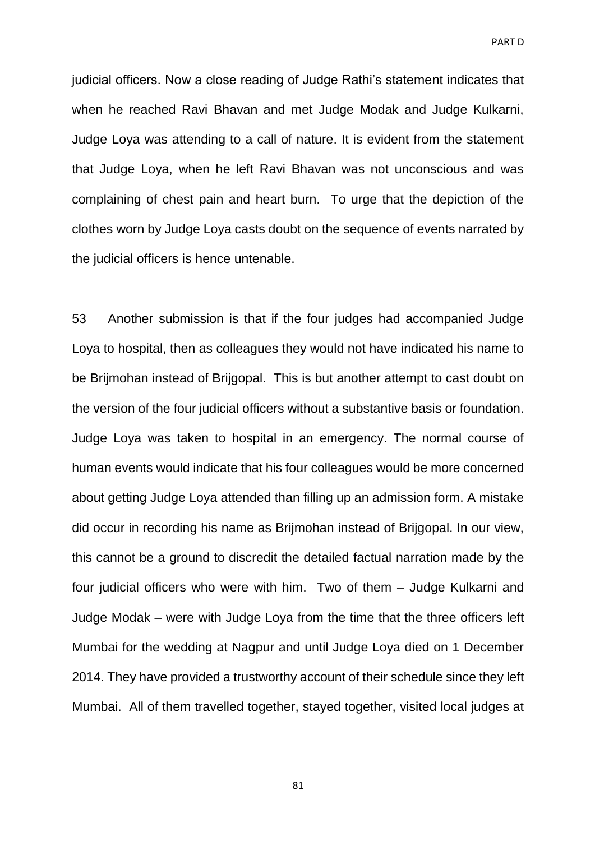PART D

judicial officers. Now a close reading of Judge Rathi's statement indicates that when he reached Ravi Bhavan and met Judge Modak and Judge Kulkarni, Judge Loya was attending to a call of nature. It is evident from the statement that Judge Loya, when he left Ravi Bhavan was not unconscious and was complaining of chest pain and heart burn. To urge that the depiction of the clothes worn by Judge Loya casts doubt on the sequence of events narrated by the judicial officers is hence untenable.

53 Another submission is that if the four judges had accompanied Judge Loya to hospital, then as colleagues they would not have indicated his name to be Brijmohan instead of Brijgopal. This is but another attempt to cast doubt on the version of the four judicial officers without a substantive basis or foundation. Judge Loya was taken to hospital in an emergency. The normal course of human events would indicate that his four colleagues would be more concerned about getting Judge Loya attended than filling up an admission form. A mistake did occur in recording his name as Brijmohan instead of Brijgopal. In our view, this cannot be a ground to discredit the detailed factual narration made by the four judicial officers who were with him. Two of them – Judge Kulkarni and Judge Modak – were with Judge Loya from the time that the three officers left Mumbai for the wedding at Nagpur and until Judge Loya died on 1 December 2014. They have provided a trustworthy account of their schedule since they left Mumbai. All of them travelled together, stayed together, visited local judges at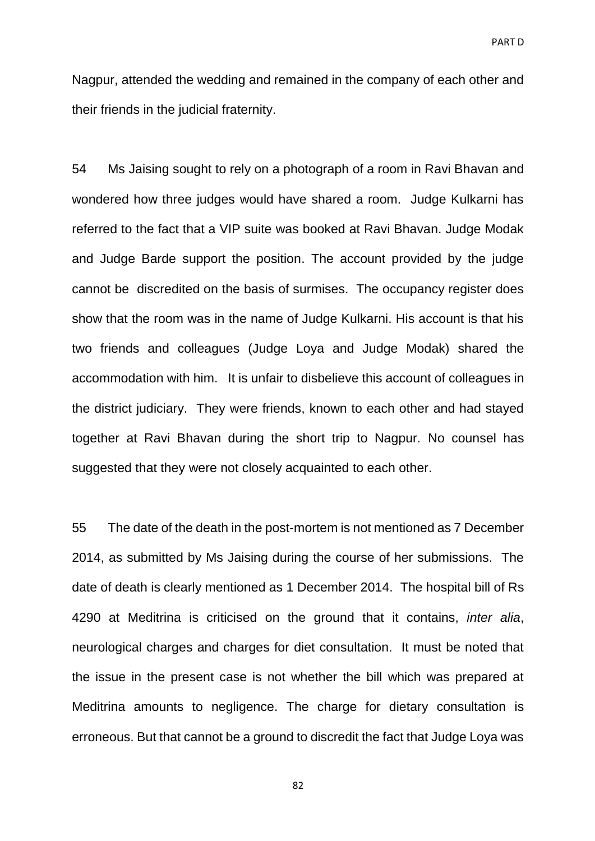Nagpur, attended the wedding and remained in the company of each other and their friends in the judicial fraternity.

54 Ms Jaising sought to rely on a photograph of a room in Ravi Bhavan and wondered how three judges would have shared a room. Judge Kulkarni has referred to the fact that a VIP suite was booked at Ravi Bhavan. Judge Modak and Judge Barde support the position. The account provided by the judge cannot be discredited on the basis of surmises. The occupancy register does show that the room was in the name of Judge Kulkarni. His account is that his two friends and colleagues (Judge Loya and Judge Modak) shared the accommodation with him. It is unfair to disbelieve this account of colleagues in the district judiciary. They were friends, known to each other and had stayed together at Ravi Bhavan during the short trip to Nagpur. No counsel has suggested that they were not closely acquainted to each other.

55 The date of the death in the post-mortem is not mentioned as 7 December 2014, as submitted by Ms Jaising during the course of her submissions. The date of death is clearly mentioned as 1 December 2014. The hospital bill of Rs 4290 at Meditrina is criticised on the ground that it contains, *inter alia*, neurological charges and charges for diet consultation. It must be noted that the issue in the present case is not whether the bill which was prepared at Meditrina amounts to negligence. The charge for dietary consultation is erroneous. But that cannot be a ground to discredit the fact that Judge Loya was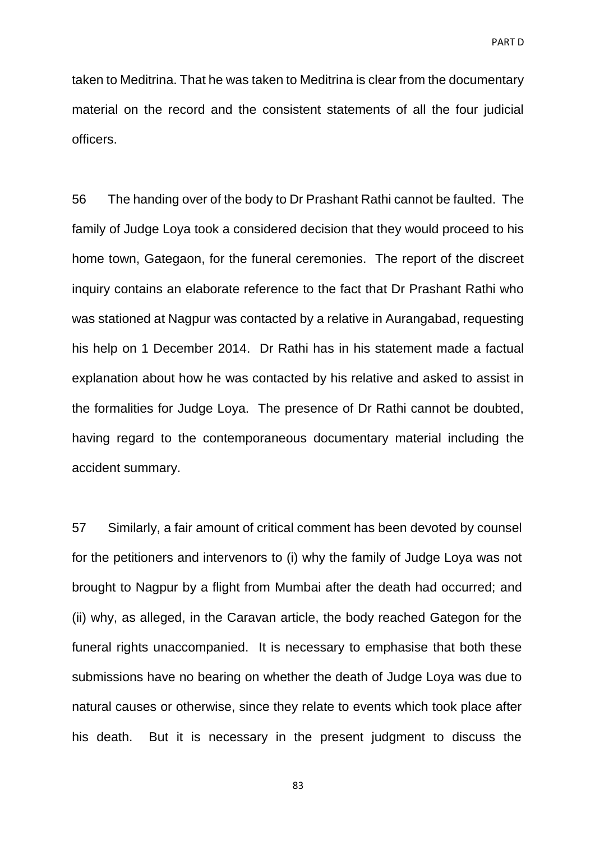taken to Meditrina. That he was taken to Meditrina is clear from the documentary material on the record and the consistent statements of all the four judicial officers.

56 The handing over of the body to Dr Prashant Rathi cannot be faulted. The family of Judge Loya took a considered decision that they would proceed to his home town, Gategaon, for the funeral ceremonies. The report of the discreet inquiry contains an elaborate reference to the fact that Dr Prashant Rathi who was stationed at Nagpur was contacted by a relative in Aurangabad, requesting his help on 1 December 2014. Dr Rathi has in his statement made a factual explanation about how he was contacted by his relative and asked to assist in the formalities for Judge Loya. The presence of Dr Rathi cannot be doubted, having regard to the contemporaneous documentary material including the accident summary.

57 Similarly, a fair amount of critical comment has been devoted by counsel for the petitioners and intervenors to (i) why the family of Judge Loya was not brought to Nagpur by a flight from Mumbai after the death had occurred; and (ii) why, as alleged, in the Caravan article, the body reached Gategon for the funeral rights unaccompanied. It is necessary to emphasise that both these submissions have no bearing on whether the death of Judge Loya was due to natural causes or otherwise, since they relate to events which took place after his death. But it is necessary in the present judgment to discuss the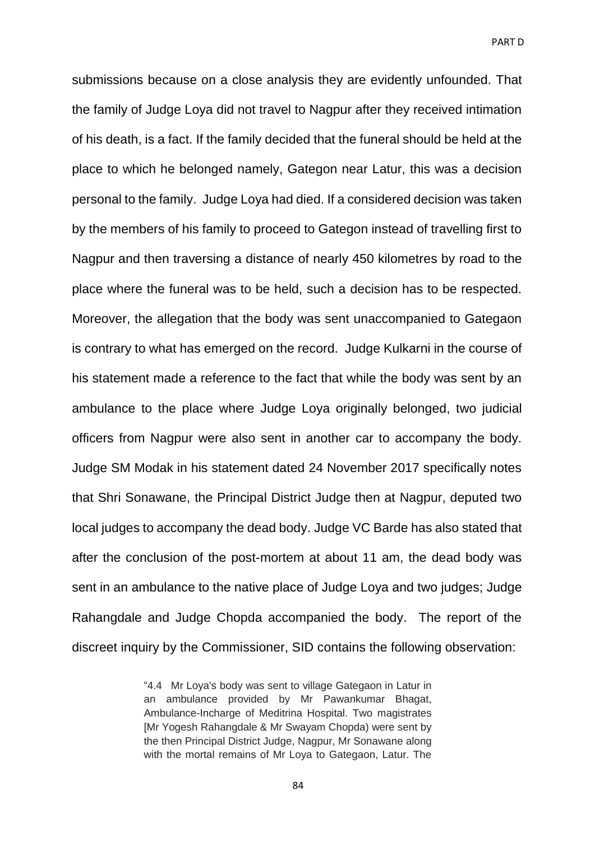submissions because on a close analysis they are evidently unfounded. That the family of Judge Loya did not travel to Nagpur after they received intimation of his death, is a fact. If the family decided that the funeral should be held at the place to which he belonged namely, Gategon near Latur, this was a decision personal to the family. Judge Loya had died. If a considered decision was taken by the members of his family to proceed to Gategon instead of travelling first to Nagpur and then traversing a distance of nearly 450 kilometres by road to the place where the funeral was to be held, such a decision has to be respected. Moreover, the allegation that the body was sent unaccompanied to Gategaon is contrary to what has emerged on the record. Judge Kulkarni in the course of his statement made a reference to the fact that while the body was sent by an ambulance to the place where Judge Loya originally belonged, two judicial officers from Nagpur were also sent in another car to accompany the body. Judge SM Modak in his statement dated 24 November 2017 specifically notes that Shri Sonawane, the Principal District Judge then at Nagpur, deputed two local judges to accompany the dead body. Judge VC Barde has also stated that after the conclusion of the post-mortem at about 11 am, the dead body was sent in an ambulance to the native place of Judge Loya and two judges; Judge Rahangdale and Judge Chopda accompanied the body. The report of the discreet inquiry by the Commissioner, SID contains the following observation:

> "4.4 Mr Loya's body was sent to village Gategaon in Latur in an ambulance provided by Mr Pawankumar Bhagat, Ambulance-Incharge of Meditrina Hospital. Two magistrates [Mr Yogesh Rahangdale & Mr Swayam Chopda) were sent by the then Principal District Judge, Nagpur, Mr Sonawane along with the mortal remains of Mr Loya to Gategaon, Latur. The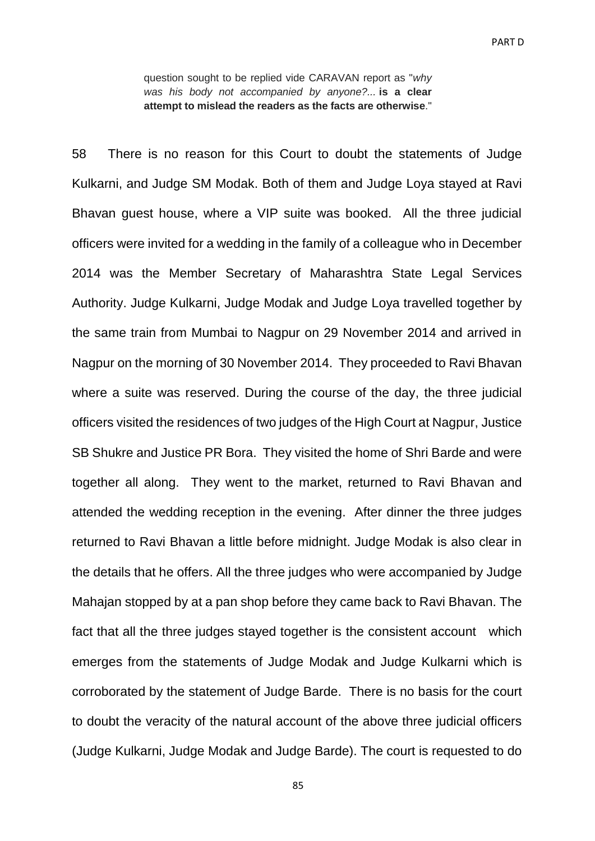question sought to be replied vide CARAVAN report as "*why was his body not accompanied by anyone?...* **is a clear attempt to mislead the readers as the facts are otherwise**."

58 There is no reason for this Court to doubt the statements of Judge Kulkarni, and Judge SM Modak. Both of them and Judge Loya stayed at Ravi Bhavan guest house, where a VIP suite was booked. All the three judicial officers were invited for a wedding in the family of a colleague who in December 2014 was the Member Secretary of Maharashtra State Legal Services Authority. Judge Kulkarni, Judge Modak and Judge Loya travelled together by the same train from Mumbai to Nagpur on 29 November 2014 and arrived in Nagpur on the morning of 30 November 2014. They proceeded to Ravi Bhavan where a suite was reserved. During the course of the day, the three judicial officers visited the residences of two judges of the High Court at Nagpur, Justice SB Shukre and Justice PR Bora. They visited the home of Shri Barde and were together all along. They went to the market, returned to Ravi Bhavan and attended the wedding reception in the evening. After dinner the three judges returned to Ravi Bhavan a little before midnight. Judge Modak is also clear in the details that he offers. All the three judges who were accompanied by Judge Mahajan stopped by at a pan shop before they came back to Ravi Bhavan. The fact that all the three judges stayed together is the consistent account which emerges from the statements of Judge Modak and Judge Kulkarni which is corroborated by the statement of Judge Barde. There is no basis for the court to doubt the veracity of the natural account of the above three judicial officers (Judge Kulkarni, Judge Modak and Judge Barde). The court is requested to do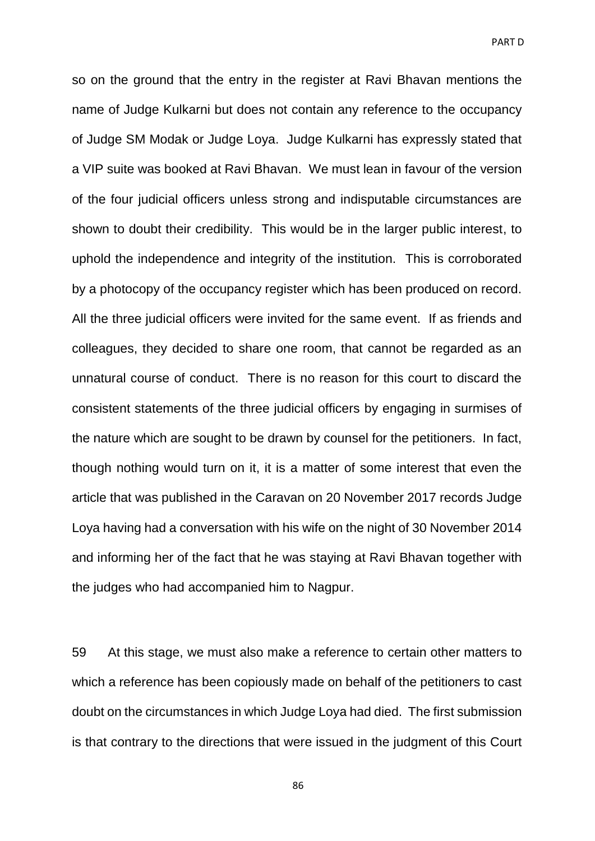so on the ground that the entry in the register at Ravi Bhavan mentions the name of Judge Kulkarni but does not contain any reference to the occupancy of Judge SM Modak or Judge Loya. Judge Kulkarni has expressly stated that a VIP suite was booked at Ravi Bhavan. We must lean in favour of the version of the four judicial officers unless strong and indisputable circumstances are shown to doubt their credibility. This would be in the larger public interest, to uphold the independence and integrity of the institution. This is corroborated by a photocopy of the occupancy register which has been produced on record. All the three judicial officers were invited for the same event. If as friends and colleagues, they decided to share one room, that cannot be regarded as an unnatural course of conduct. There is no reason for this court to discard the consistent statements of the three judicial officers by engaging in surmises of the nature which are sought to be drawn by counsel for the petitioners. In fact, though nothing would turn on it, it is a matter of some interest that even the article that was published in the Caravan on 20 November 2017 records Judge Loya having had a conversation with his wife on the night of 30 November 2014 and informing her of the fact that he was staying at Ravi Bhavan together with the judges who had accompanied him to Nagpur.

59 At this stage, we must also make a reference to certain other matters to which a reference has been copiously made on behalf of the petitioners to cast doubt on the circumstances in which Judge Loya had died. The first submission is that contrary to the directions that were issued in the judgment of this Court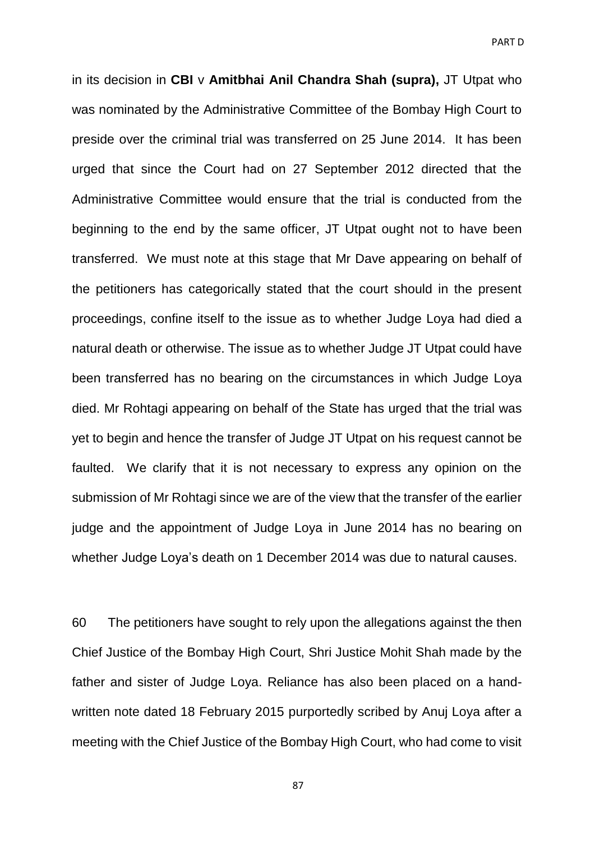in its decision in **CBI** v **Amitbhai Anil Chandra Shah (supra),** JT Utpat who was nominated by the Administrative Committee of the Bombay High Court to preside over the criminal trial was transferred on 25 June 2014. It has been urged that since the Court had on 27 September 2012 directed that the Administrative Committee would ensure that the trial is conducted from the beginning to the end by the same officer, JT Utpat ought not to have been transferred. We must note at this stage that Mr Dave appearing on behalf of the petitioners has categorically stated that the court should in the present proceedings, confine itself to the issue as to whether Judge Loya had died a natural death or otherwise. The issue as to whether Judge JT Utpat could have been transferred has no bearing on the circumstances in which Judge Loya died. Mr Rohtagi appearing on behalf of the State has urged that the trial was yet to begin and hence the transfer of Judge JT Utpat on his request cannot be faulted. We clarify that it is not necessary to express any opinion on the submission of Mr Rohtagi since we are of the view that the transfer of the earlier judge and the appointment of Judge Loya in June 2014 has no bearing on whether Judge Loya's death on 1 December 2014 was due to natural causes.

60 The petitioners have sought to rely upon the allegations against the then Chief Justice of the Bombay High Court, Shri Justice Mohit Shah made by the father and sister of Judge Loya. Reliance has also been placed on a handwritten note dated 18 February 2015 purportedly scribed by Anuj Loya after a meeting with the Chief Justice of the Bombay High Court, who had come to visit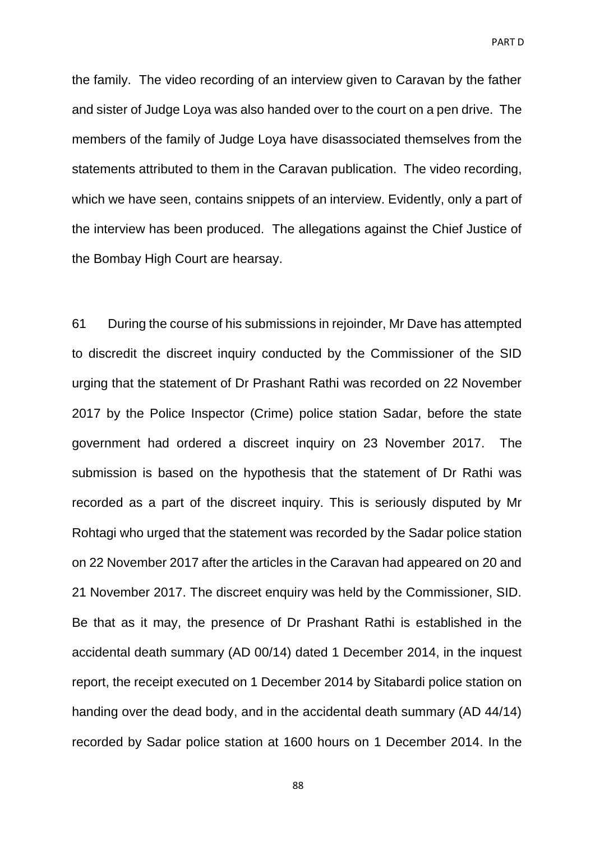PART D

the family. The video recording of an interview given to Caravan by the father and sister of Judge Loya was also handed over to the court on a pen drive. The members of the family of Judge Loya have disassociated themselves from the statements attributed to them in the Caravan publication. The video recording, which we have seen, contains snippets of an interview. Evidently, only a part of the interview has been produced. The allegations against the Chief Justice of the Bombay High Court are hearsay.

61 During the course of his submissions in rejoinder, Mr Dave has attempted to discredit the discreet inquiry conducted by the Commissioner of the SID urging that the statement of Dr Prashant Rathi was recorded on 22 November 2017 by the Police Inspector (Crime) police station Sadar, before the state government had ordered a discreet inquiry on 23 November 2017. The submission is based on the hypothesis that the statement of Dr Rathi was recorded as a part of the discreet inquiry. This is seriously disputed by Mr Rohtagi who urged that the statement was recorded by the Sadar police station on 22 November 2017 after the articles in the Caravan had appeared on 20 and 21 November 2017. The discreet enquiry was held by the Commissioner, SID. Be that as it may, the presence of Dr Prashant Rathi is established in the accidental death summary (AD 00/14) dated 1 December 2014, in the inquest report, the receipt executed on 1 December 2014 by Sitabardi police station on handing over the dead body, and in the accidental death summary (AD 44/14) recorded by Sadar police station at 1600 hours on 1 December 2014. In the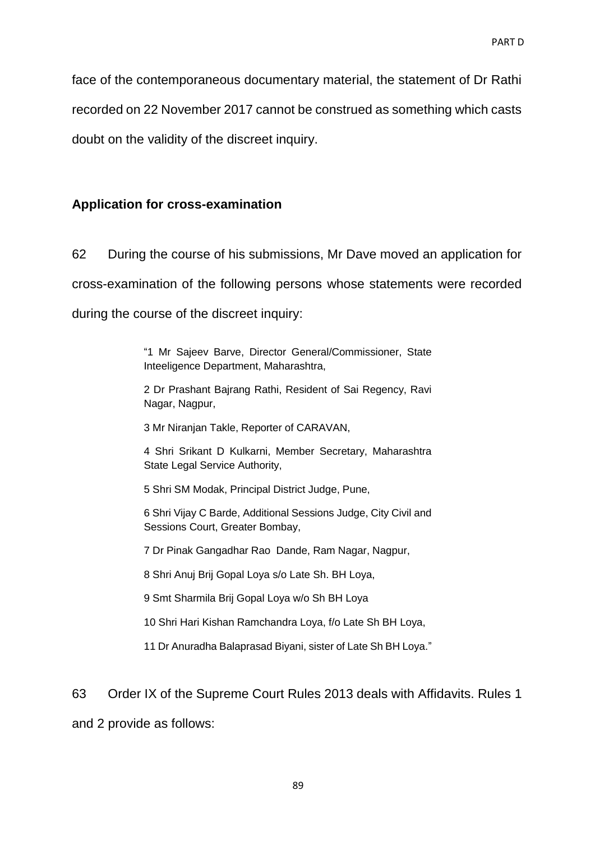face of the contemporaneous documentary material, the statement of Dr Rathi recorded on 22 November 2017 cannot be construed as something which casts doubt on the validity of the discreet inquiry.

# **Application for cross-examination**

62 During the course of his submissions, Mr Dave moved an application for cross-examination of the following persons whose statements were recorded during the course of the discreet inquiry:

> "1 Mr Sajeev Barve, Director General/Commissioner, State Inteeligence Department, Maharashtra,

> 2 Dr Prashant Bajrang Rathi, Resident of Sai Regency, Ravi Nagar, Nagpur,

3 Mr Niranjan Takle, Reporter of CARAVAN,

4 Shri Srikant D Kulkarni, Member Secretary, Maharashtra State Legal Service Authority,

5 Shri SM Modak, Principal District Judge, Pune,

6 Shri Vijay C Barde, Additional Sessions Judge, City Civil and Sessions Court, Greater Bombay,

7 Dr Pinak Gangadhar Rao Dande, Ram Nagar, Nagpur,

8 Shri Anuj Brij Gopal Loya s/o Late Sh. BH Loya,

9 Smt Sharmila Brij Gopal Loya w/o Sh BH Loya

10 Shri Hari Kishan Ramchandra Loya, f/o Late Sh BH Loya,

11 Dr Anuradha Balaprasad Biyani, sister of Late Sh BH Loya."

63 Order IX of the Supreme Court Rules 2013 deals with Affidavits. Rules 1

and 2 provide as follows: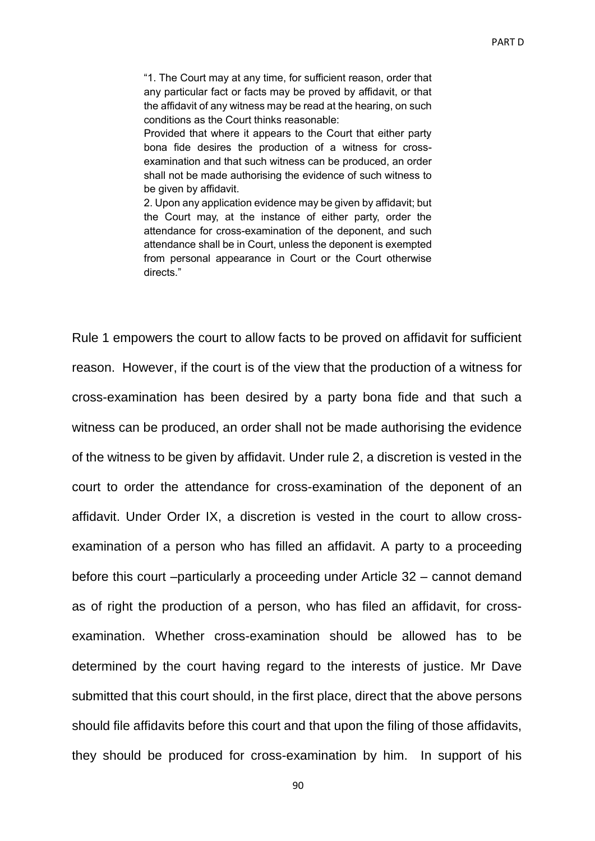"1. The Court may at any time, for sufficient reason, order that any particular fact or facts may be proved by affidavit, or that the affidavit of any witness may be read at the hearing, on such conditions as the Court thinks reasonable:

Provided that where it appears to the Court that either party bona fide desires the production of a witness for crossexamination and that such witness can be produced, an order shall not be made authorising the evidence of such witness to be given by affidavit.

2. Upon any application evidence may be given by affidavit; but the Court may, at the instance of either party, order the attendance for cross-examination of the deponent, and such attendance shall be in Court, unless the deponent is exempted from personal appearance in Court or the Court otherwise directs."

Rule 1 empowers the court to allow facts to be proved on affidavit for sufficient reason. However, if the court is of the view that the production of a witness for cross-examination has been desired by a party bona fide and that such a witness can be produced, an order shall not be made authorising the evidence of the witness to be given by affidavit. Under rule 2, a discretion is vested in the court to order the attendance for cross-examination of the deponent of an affidavit. Under Order IX, a discretion is vested in the court to allow crossexamination of a person who has filled an affidavit. A party to a proceeding before this court –particularly a proceeding under Article 32 – cannot demand as of right the production of a person, who has filed an affidavit, for crossexamination. Whether cross-examination should be allowed has to be determined by the court having regard to the interests of justice. Mr Dave submitted that this court should, in the first place, direct that the above persons should file affidavits before this court and that upon the filing of those affidavits, they should be produced for cross-examination by him. In support of his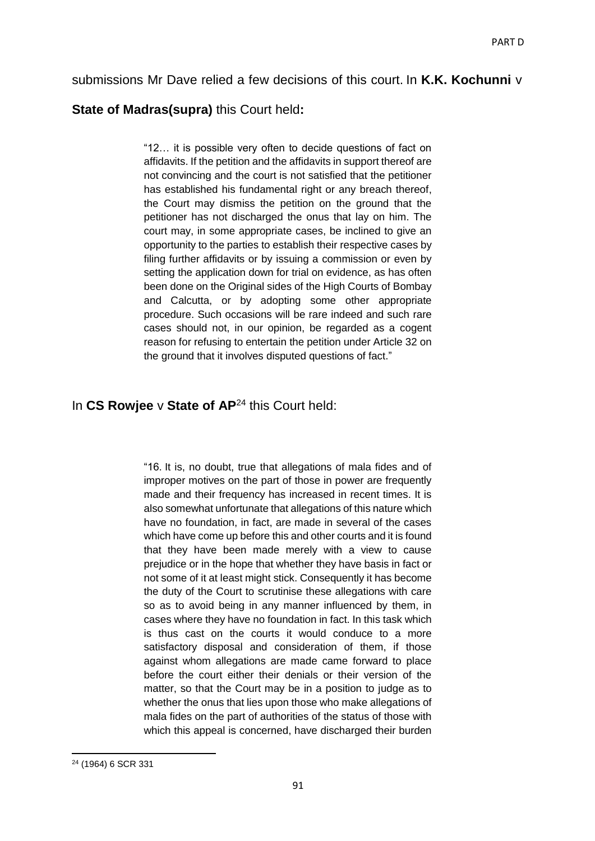submissions Mr Dave relied a few decisions of this court. In **K.K. Kochunni** v

# **State of Madras(supra)** this Court held**:**

"12… it is possible very often to decide questions of fact on affidavits. If the petition and the affidavits in support thereof are not convincing and the court is not satisfied that the petitioner has established his fundamental right or any breach thereof, the Court may dismiss the petition on the ground that the petitioner has not discharged the onus that lay on him. The court may, in some appropriate cases, be inclined to give an opportunity to the parties to establish their respective cases by filing further affidavits or by issuing a commission or even by setting the application down for trial on evidence, as has often been done on the Original sides of the High Courts of Bombay and Calcutta, or by adopting some other appropriate procedure. Such occasions will be rare indeed and such rare cases should not, in our opinion, be regarded as a cogent reason for refusing to entertain the petition under Article 32 on the ground that it involves disputed questions of fact."

# In **CS Rowjee** v **State of AP**<sup>24</sup> this Court held:

"16. It is, no doubt, true that allegations of mala fides and of improper motives on the part of those in power are frequently made and their frequency has increased in recent times. It is also somewhat unfortunate that allegations of this nature which have no foundation, in fact, are made in several of the cases which have come up before this and other courts and it is found that they have been made merely with a view to cause prejudice or in the hope that whether they have basis in fact or not some of it at least might stick. Consequently it has become the duty of the Court to scrutinise these allegations with care so as to avoid being in any manner influenced by them, in cases where they have no foundation in fact. In this task which is thus cast on the courts it would conduce to a more satisfactory disposal and consideration of them, if those against whom allegations are made came forward to place before the court either their denials or their version of the matter, so that the Court may be in a position to judge as to whether the onus that lies upon those who make allegations of mala fides on the part of authorities of the status of those with which this appeal is concerned, have discharged their burden

<sup>1</sup> <sup>24</sup> (1964) 6 SCR 331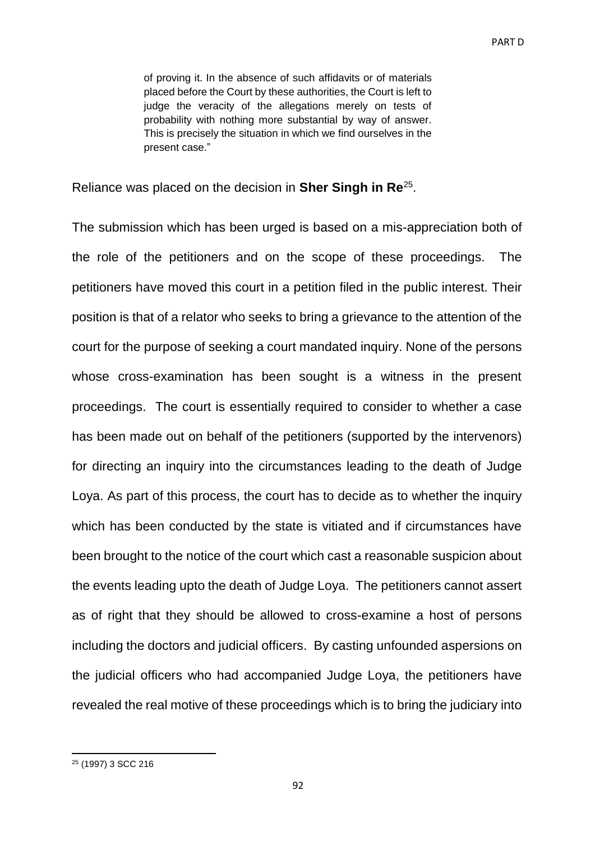of proving it. In the absence of such affidavits or of materials placed before the Court by these authorities, the Court is left to judge the veracity of the allegations merely on tests of probability with nothing more substantial by way of answer. This is precisely the situation in which we find ourselves in the present case."

Reliance was placed on the decision in **Sher Singh in Re**<sup>25</sup> .

The submission which has been urged is based on a mis-appreciation both of the role of the petitioners and on the scope of these proceedings. The petitioners have moved this court in a petition filed in the public interest. Their position is that of a relator who seeks to bring a grievance to the attention of the court for the purpose of seeking a court mandated inquiry. None of the persons whose cross-examination has been sought is a witness in the present proceedings. The court is essentially required to consider to whether a case has been made out on behalf of the petitioners (supported by the intervenors) for directing an inquiry into the circumstances leading to the death of Judge Loya. As part of this process, the court has to decide as to whether the inquiry which has been conducted by the state is vitiated and if circumstances have been brought to the notice of the court which cast a reasonable suspicion about the events leading upto the death of Judge Loya. The petitioners cannot assert as of right that they should be allowed to cross-examine a host of persons including the doctors and judicial officers. By casting unfounded aspersions on the judicial officers who had accompanied Judge Loya, the petitioners have revealed the real motive of these proceedings which is to bring the judiciary into

<sup>1</sup> <sup>25</sup> (1997) 3 SCC 216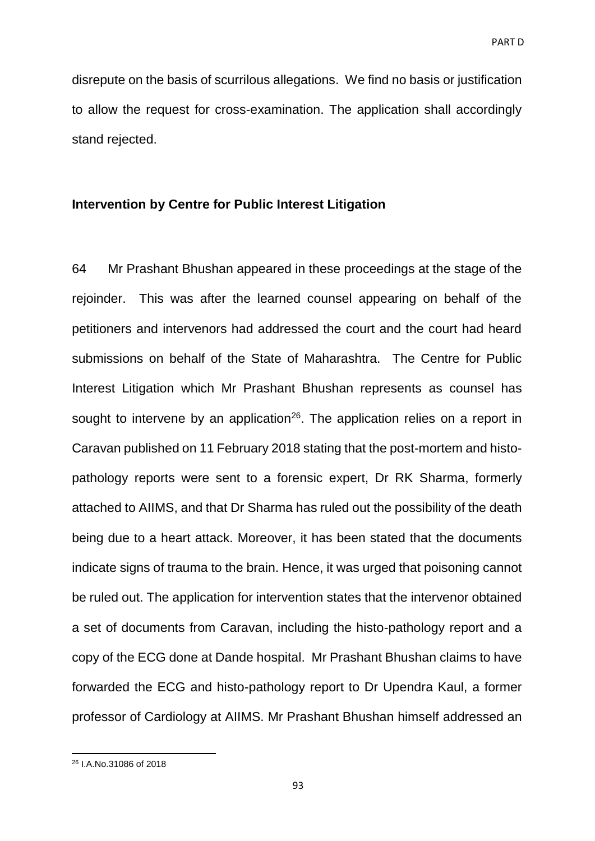disrepute on the basis of scurrilous allegations. We find no basis or justification to allow the request for cross-examination. The application shall accordingly stand rejected.

## **Intervention by Centre for Public Interest Litigation**

64 Mr Prashant Bhushan appeared in these proceedings at the stage of the rejoinder. This was after the learned counsel appearing on behalf of the petitioners and intervenors had addressed the court and the court had heard submissions on behalf of the State of Maharashtra. The Centre for Public Interest Litigation which Mr Prashant Bhushan represents as counsel has sought to intervene by an application<sup>26</sup>. The application relies on a report in Caravan published on 11 February 2018 stating that the post-mortem and histopathology reports were sent to a forensic expert, Dr RK Sharma, formerly attached to AIIMS, and that Dr Sharma has ruled out the possibility of the death being due to a heart attack. Moreover, it has been stated that the documents indicate signs of trauma to the brain. Hence, it was urged that poisoning cannot be ruled out. The application for intervention states that the intervenor obtained a set of documents from Caravan, including the histo-pathology report and a copy of the ECG done at Dande hospital. Mr Prashant Bhushan claims to have forwarded the ECG and histo-pathology report to Dr Upendra Kaul, a former professor of Cardiology at AIIMS. Mr Prashant Bhushan himself addressed an

<sup>26</sup> I.A.No.31086 of 2018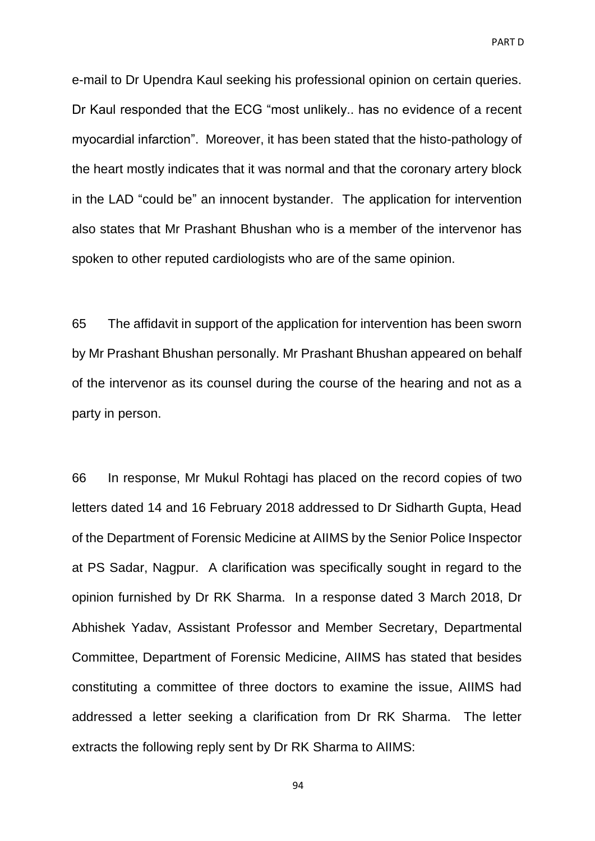PART D

e-mail to Dr Upendra Kaul seeking his professional opinion on certain queries. Dr Kaul responded that the ECG "most unlikely.. has no evidence of a recent myocardial infarction". Moreover, it has been stated that the histo-pathology of the heart mostly indicates that it was normal and that the coronary artery block in the LAD "could be" an innocent bystander. The application for intervention also states that Mr Prashant Bhushan who is a member of the intervenor has spoken to other reputed cardiologists who are of the same opinion.

65 The affidavit in support of the application for intervention has been sworn by Mr Prashant Bhushan personally. Mr Prashant Bhushan appeared on behalf of the intervenor as its counsel during the course of the hearing and not as a party in person.

66 In response, Mr Mukul Rohtagi has placed on the record copies of two letters dated 14 and 16 February 2018 addressed to Dr Sidharth Gupta, Head of the Department of Forensic Medicine at AIIMS by the Senior Police Inspector at PS Sadar, Nagpur. A clarification was specifically sought in regard to the opinion furnished by Dr RK Sharma. In a response dated 3 March 2018, Dr Abhishek Yadav, Assistant Professor and Member Secretary, Departmental Committee, Department of Forensic Medicine, AIIMS has stated that besides constituting a committee of three doctors to examine the issue, AIIMS had addressed a letter seeking a clarification from Dr RK Sharma. The letter extracts the following reply sent by Dr RK Sharma to AIIMS: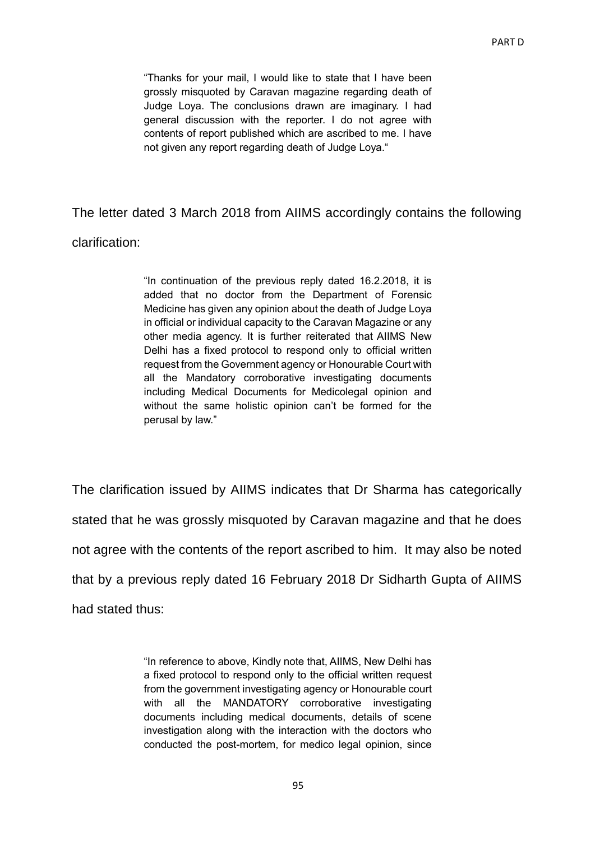"Thanks for your mail, I would like to state that I have been grossly misquoted by Caravan magazine regarding death of Judge Loya. The conclusions drawn are imaginary. I had general discussion with the reporter. I do not agree with contents of report published which are ascribed to me. I have not given any report regarding death of Judge Loya."

The letter dated 3 March 2018 from AIIMS accordingly contains the following clarification:

> "In continuation of the previous reply dated 16.2.2018, it is added that no doctor from the Department of Forensic Medicine has given any opinion about the death of Judge Loya in official or individual capacity to the Caravan Magazine or any other media agency. It is further reiterated that AIIMS New Delhi has a fixed protocol to respond only to official written request from the Government agency or Honourable Court with all the Mandatory corroborative investigating documents including Medical Documents for Medicolegal opinion and without the same holistic opinion can't be formed for the perusal by law."

The clarification issued by AIIMS indicates that Dr Sharma has categorically stated that he was grossly misquoted by Caravan magazine and that he does not agree with the contents of the report ascribed to him. It may also be noted that by a previous reply dated 16 February 2018 Dr Sidharth Gupta of AIIMS had stated thus:

> "In reference to above, Kindly note that, AIIMS, New Delhi has a fixed protocol to respond only to the official written request from the government investigating agency or Honourable court with all the MANDATORY corroborative investigating documents including medical documents, details of scene investigation along with the interaction with the doctors who conducted the post-mortem, for medico legal opinion, since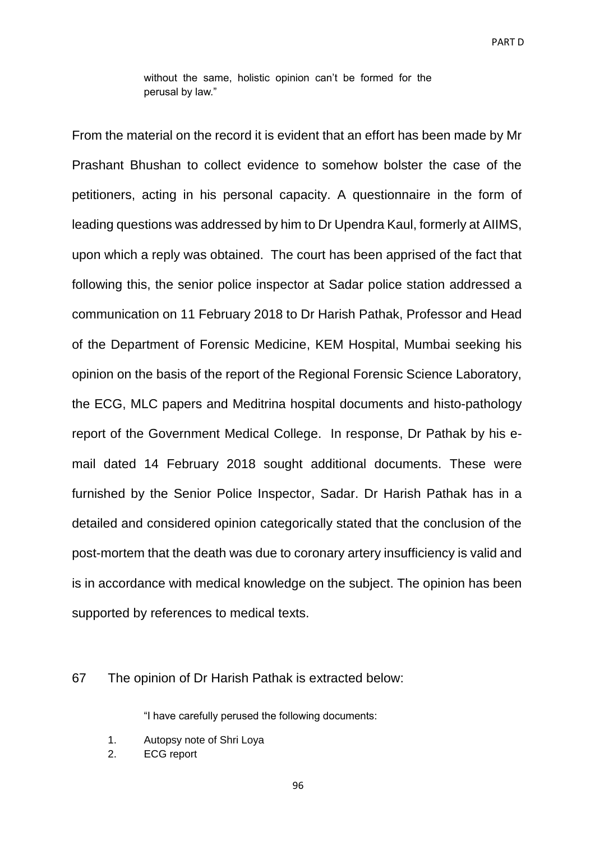without the same, holistic opinion can't be formed for the perusal by law."

From the material on the record it is evident that an effort has been made by Mr Prashant Bhushan to collect evidence to somehow bolster the case of the petitioners, acting in his personal capacity. A questionnaire in the form of leading questions was addressed by him to Dr Upendra Kaul, formerly at AIIMS, upon which a reply was obtained. The court has been apprised of the fact that following this, the senior police inspector at Sadar police station addressed a communication on 11 February 2018 to Dr Harish Pathak, Professor and Head of the Department of Forensic Medicine, KEM Hospital, Mumbai seeking his opinion on the basis of the report of the Regional Forensic Science Laboratory, the ECG, MLC papers and Meditrina hospital documents and histo-pathology report of the Government Medical College. In response, Dr Pathak by his email dated 14 February 2018 sought additional documents. These were furnished by the Senior Police Inspector, Sadar. Dr Harish Pathak has in a detailed and considered opinion categorically stated that the conclusion of the post-mortem that the death was due to coronary artery insufficiency is valid and is in accordance with medical knowledge on the subject. The opinion has been supported by references to medical texts.

#### 67 The opinion of Dr Harish Pathak is extracted below:

"I have carefully perused the following documents:

- 1. Autopsy note of Shri Loya
- 2. ECG report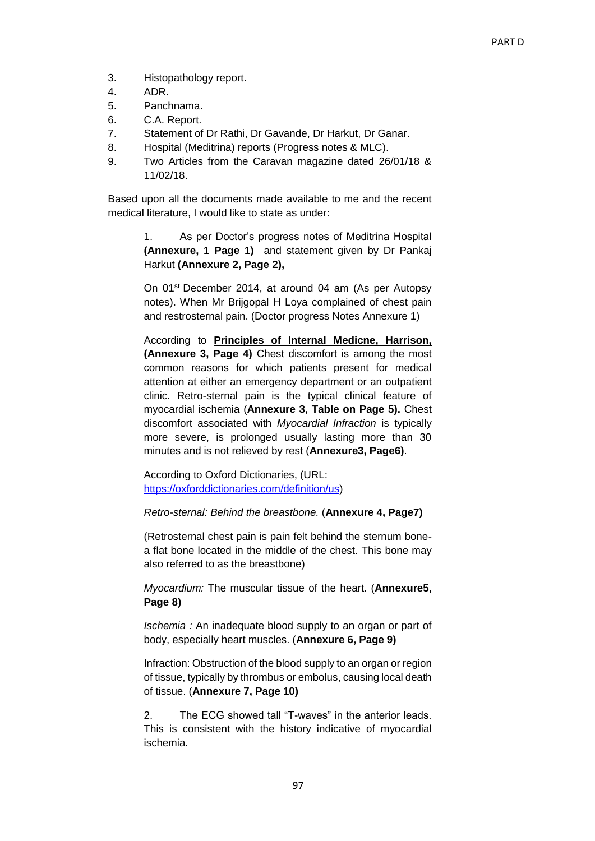- 3. Histopathology report.
- 4. ADR.
- 5. Panchnama.
- 6. C.A. Report.
- 7. Statement of Dr Rathi, Dr Gavande, Dr Harkut, Dr Ganar.
- 8. Hospital (Meditrina) reports (Progress notes & MLC).
- 9. Two Articles from the Caravan magazine dated 26/01/18 & 11/02/18.

Based upon all the documents made available to me and the recent medical literature, I would like to state as under:

> 1. As per Doctor's progress notes of Meditrina Hospital **(Annexure, 1 Page 1)** and statement given by Dr Pankaj Harkut **(Annexure 2, Page 2),**

> On 01st December 2014, at around 04 am (As per Autopsy notes). When Mr Brijgopal H Loya complained of chest pain and restrosternal pain. (Doctor progress Notes Annexure 1)

> According to **Principles of Internal Medicne, Harrison, (Annexure 3, Page 4)** Chest discomfort is among the most common reasons for which patients present for medical attention at either an emergency department or an outpatient clinic. Retro-sternal pain is the typical clinical feature of myocardial ischemia (**Annexure 3, Table on Page 5).** Chest discomfort associated with *Myocardial Infraction* is typically more severe, is prolonged usually lasting more than 30 minutes and is not relieved by rest (**Annexure3, Page6)**.

According to Oxford Dictionaries, (URL: [https://oxforddictionaries.com/definition/us\)](https://oxforddictionaries.com/definition/us)

#### *Retro-sternal: Behind the breastbone.* (**Annexure 4, Page7)**

(Retrosternal chest pain is pain felt behind the sternum bonea flat bone located in the middle of the chest. This bone may also referred to as the breastbone)

*Myocardium:* The muscular tissue of the heart. (**Annexure5, Page 8)**

*Ischemia :* An inadequate blood supply to an organ or part of body, especially heart muscles. (**Annexure 6, Page 9)**

Infraction: Obstruction of the blood supply to an organ or region of tissue, typically by thrombus or embolus, causing local death of tissue. (**Annexure 7, Page 10)**

2. The ECG showed tall "T-waves" in the anterior leads. This is consistent with the history indicative of myocardial ischemia.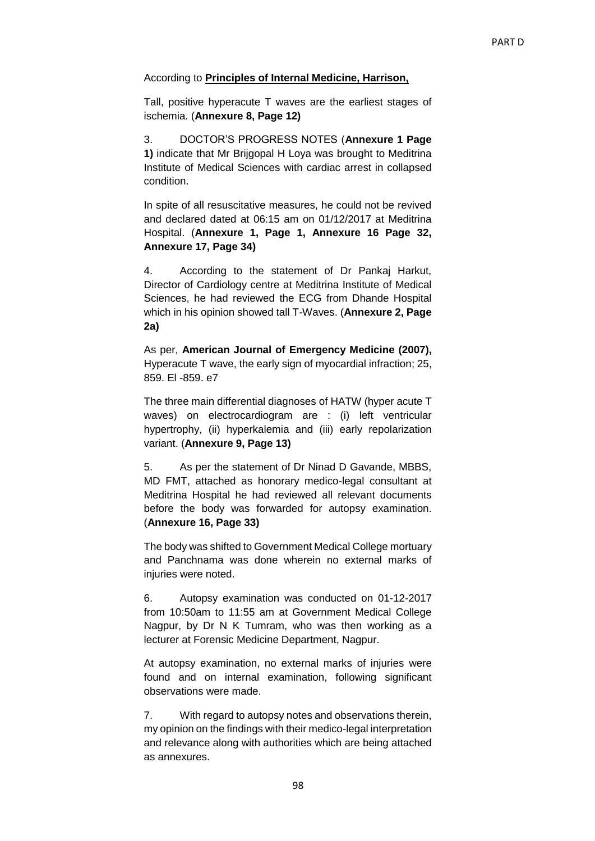### According to **Principles of Internal Medicine, Harrison,**

Tall, positive hyperacute T waves are the earliest stages of ischemia. (**Annexure 8, Page 12)**

3. DOCTOR'S PROGRESS NOTES (**Annexure 1 Page 1)** indicate that Mr Brijgopal H Loya was brought to Meditrina Institute of Medical Sciences with cardiac arrest in collapsed condition.

In spite of all resuscitative measures, he could not be revived and declared dated at 06:15 am on 01/12/2017 at Meditrina Hospital. (**Annexure 1, Page 1, Annexure 16 Page 32, Annexure 17, Page 34)**

4. According to the statement of Dr Pankaj Harkut, Director of Cardiology centre at Meditrina Institute of Medical Sciences, he had reviewed the ECG from Dhande Hospital which in his opinion showed tall T-Waves. (**Annexure 2, Page 2a)**

As per, **American Journal of Emergency Medicine (2007),**  Hyperacute T wave, the early sign of myocardial infraction; 25, 859. El -859. e7

The three main differential diagnoses of HATW (hyper acute T waves) on electrocardiogram are : (i) left ventricular hypertrophy, (ii) hyperkalemia and (iii) early repolarization variant. (**Annexure 9, Page 13)**

5. As per the statement of Dr Ninad D Gavande, MBBS, MD FMT, attached as honorary medico-legal consultant at Meditrina Hospital he had reviewed all relevant documents before the body was forwarded for autopsy examination. (**Annexure 16, Page 33)**

The body was shifted to Government Medical College mortuary and Panchnama was done wherein no external marks of injuries were noted.

6. Autopsy examination was conducted on 01-12-2017 from 10:50am to 11:55 am at Government Medical College Nagpur, by Dr N K Tumram, who was then working as a lecturer at Forensic Medicine Department, Nagpur.

At autopsy examination, no external marks of injuries were found and on internal examination, following significant observations were made.

7. With regard to autopsy notes and observations therein, my opinion on the findings with their medico-legal interpretation and relevance along with authorities which are being attached as annexures.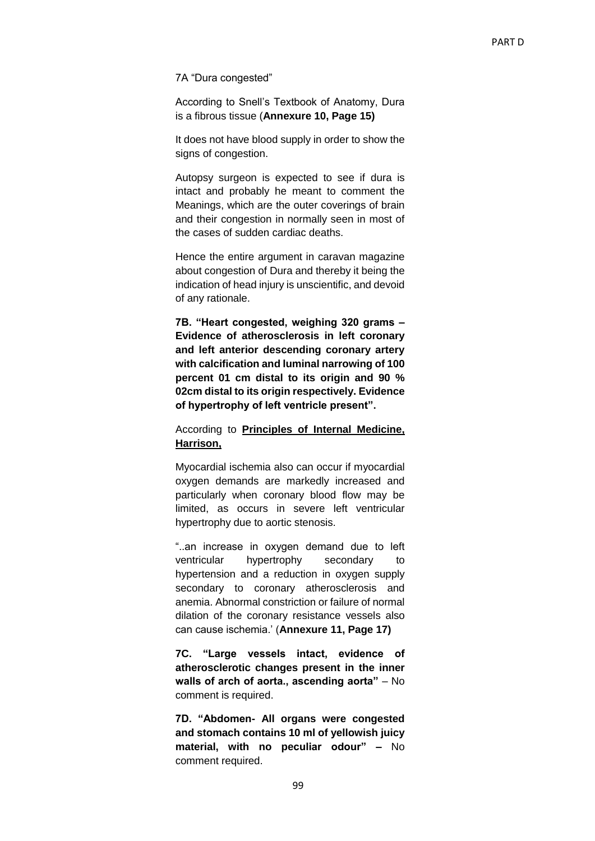#### 7A "Dura congested"

According to Snell's Textbook of Anatomy, Dura is a fibrous tissue (**Annexure 10, Page 15)**

It does not have blood supply in order to show the signs of congestion.

Autopsy surgeon is expected to see if dura is intact and probably he meant to comment the Meanings, which are the outer coverings of brain and their congestion in normally seen in most of the cases of sudden cardiac deaths.

Hence the entire argument in caravan magazine about congestion of Dura and thereby it being the indication of head injury is unscientific, and devoid of any rationale.

**7B. "Heart congested, weighing 320 grams – Evidence of atherosclerosis in left coronary and left anterior descending coronary artery with calcification and luminal narrowing of 100 percent 01 cm distal to its origin and 90 % 02cm distal to its origin respectively. Evidence of hypertrophy of left ventricle present".**

#### According to **Principles of Internal Medicine, Harrison,**

Myocardial ischemia also can occur if myocardial oxygen demands are markedly increased and particularly when coronary blood flow may be limited, as occurs in severe left ventricular hypertrophy due to aortic stenosis.

"..an increase in oxygen demand due to left ventricular hypertrophy secondary to hypertension and a reduction in oxygen supply secondary to coronary atherosclerosis and anemia. Abnormal constriction or failure of normal dilation of the coronary resistance vessels also can cause ischemia.' (**Annexure 11, Page 17)**

**7C. "Large vessels intact, evidence of atherosclerotic changes present in the inner walls of arch of aorta., ascending aorta"** - No comment is required.

**7D. "Abdomen- All organs were congested and stomach contains 10 ml of yellowish juicy material, with no peculiar odour" –** No comment required.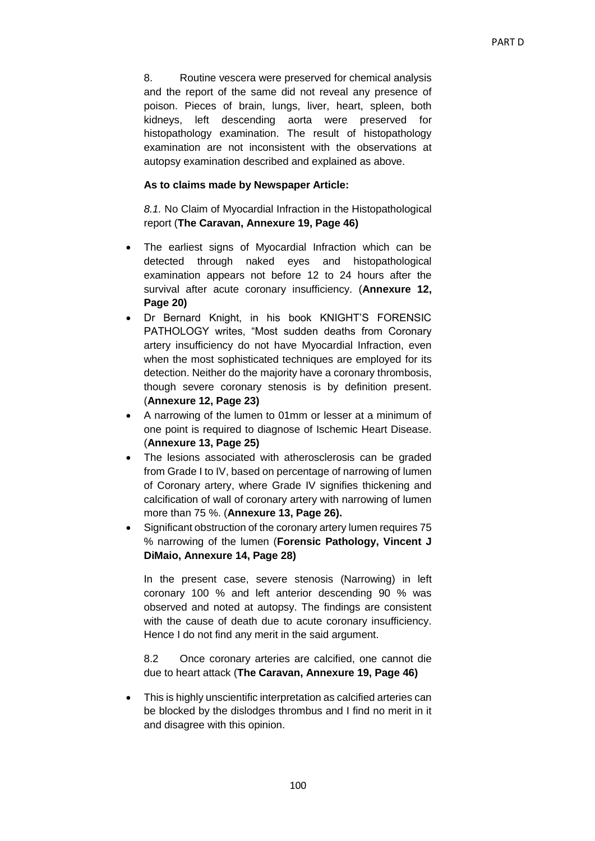8. Routine vescera were preserved for chemical analysis and the report of the same did not reveal any presence of poison. Pieces of brain, lungs, liver, heart, spleen, both kidneys, left descending aorta were preserved for histopathology examination. The result of histopathology examination are not inconsistent with the observations at autopsy examination described and explained as above.

#### **As to claims made by Newspaper Article:**

*8.1.* No Claim of Myocardial Infraction in the Histopathological report (**The Caravan, Annexure 19, Page 46)**

- The earliest signs of Myocardial Infraction which can be detected through naked eyes and histopathological examination appears not before 12 to 24 hours after the survival after acute coronary insufficiency. (**Annexure 12, Page 20)**
- Dr Bernard Knight, in his book KNIGHT'S FORENSIC PATHOLOGY writes, "Most sudden deaths from Coronary artery insufficiency do not have Myocardial Infraction, even when the most sophisticated techniques are employed for its detection. Neither do the majority have a coronary thrombosis, though severe coronary stenosis is by definition present. (**Annexure 12, Page 23)**
- A narrowing of the lumen to 01mm or lesser at a minimum of one point is required to diagnose of Ischemic Heart Disease. (**Annexure 13, Page 25)**
- The lesions associated with atherosclerosis can be graded from Grade I to IV, based on percentage of narrowing of lumen of Coronary artery, where Grade IV signifies thickening and calcification of wall of coronary artery with narrowing of lumen more than 75 %. (**Annexure 13, Page 26).**
- Significant obstruction of the coronary artery lumen requires 75 % narrowing of the lumen (**Forensic Pathology, Vincent J DiMaio, Annexure 14, Page 28)**

In the present case, severe stenosis (Narrowing) in left coronary 100 % and left anterior descending 90 % was observed and noted at autopsy. The findings are consistent with the cause of death due to acute coronary insufficiency. Hence I do not find any merit in the said argument.

8.2 Once coronary arteries are calcified, one cannot die due to heart attack (**The Caravan, Annexure 19, Page 46)**

• This is highly unscientific interpretation as calcified arteries can be blocked by the dislodges thrombus and I find no merit in it and disagree with this opinion.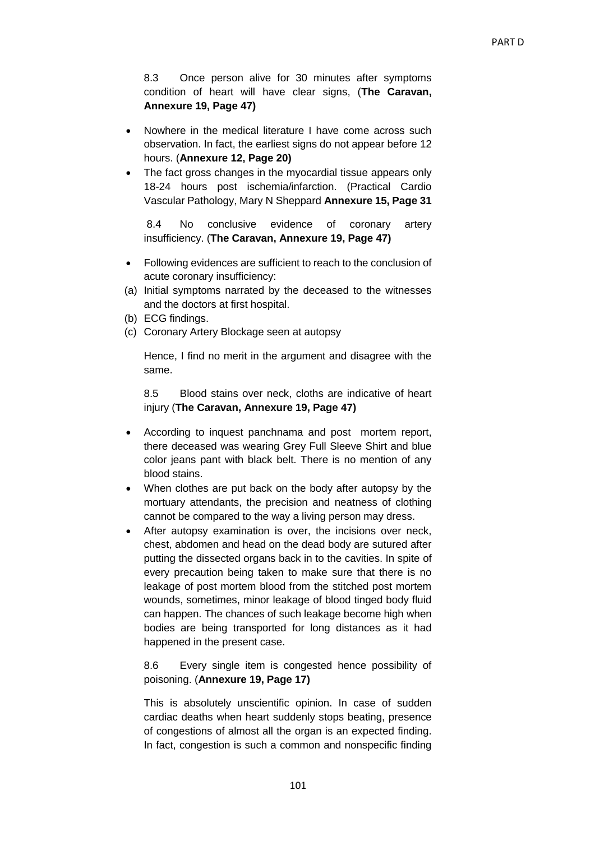8.3 Once person alive for 30 minutes after symptoms condition of heart will have clear signs, (**The Caravan, Annexure 19, Page 47)**

- Nowhere in the medical literature I have come across such observation. In fact, the earliest signs do not appear before 12 hours. (**Annexure 12, Page 20)**
- The fact gross changes in the myocardial tissue appears only 18-24 hours post ischemia/infarction. (Practical Cardio Vascular Pathology, Mary N Sheppard **Annexure 15, Page 31**

8.4 No conclusive evidence of coronary artery insufficiency. (**The Caravan, Annexure 19, Page 47)**

- Following evidences are sufficient to reach to the conclusion of acute coronary insufficiency:
- (a) Initial symptoms narrated by the deceased to the witnesses and the doctors at first hospital.
- (b) ECG findings.
- (c) Coronary Artery Blockage seen at autopsy

Hence, I find no merit in the argument and disagree with the same.

8.5 Blood stains over neck, cloths are indicative of heart injury (**The Caravan, Annexure 19, Page 47)**

- According to inquest panchnama and post mortem report, there deceased was wearing Grey Full Sleeve Shirt and blue color jeans pant with black belt. There is no mention of any blood stains.
- When clothes are put back on the body after autopsy by the mortuary attendants, the precision and neatness of clothing cannot be compared to the way a living person may dress.
- After autopsy examination is over, the incisions over neck, chest, abdomen and head on the dead body are sutured after putting the dissected organs back in to the cavities. In spite of every precaution being taken to make sure that there is no leakage of post mortem blood from the stitched post mortem wounds, sometimes, minor leakage of blood tinged body fluid can happen. The chances of such leakage become high when bodies are being transported for long distances as it had happened in the present case.

8.6 Every single item is congested hence possibility of poisoning. (**Annexure 19, Page 17)**

This is absolutely unscientific opinion. In case of sudden cardiac deaths when heart suddenly stops beating, presence of congestions of almost all the organ is an expected finding. In fact, congestion is such a common and nonspecific finding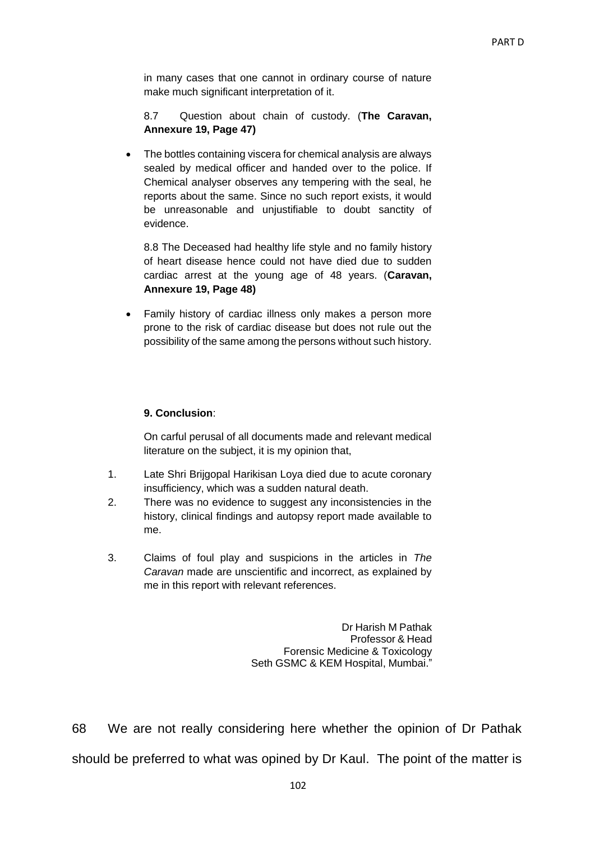in many cases that one cannot in ordinary course of nature make much significant interpretation of it.

8.7 Question about chain of custody. (**The Caravan, Annexure 19, Page 47)**

• The bottles containing viscera for chemical analysis are always sealed by medical officer and handed over to the police. If Chemical analyser observes any tempering with the seal, he reports about the same. Since no such report exists, it would be unreasonable and unjustifiable to doubt sanctity of evidence.

8.8 The Deceased had healthy life style and no family history of heart disease hence could not have died due to sudden cardiac arrest at the young age of 48 years. (**Caravan, Annexure 19, Page 48)**

• Family history of cardiac illness only makes a person more prone to the risk of cardiac disease but does not rule out the possibility of the same among the persons without such history.

#### **9. Conclusion**:

On carful perusal of all documents made and relevant medical literature on the subject, it is my opinion that,

- 1. Late Shri Brijgopal Harikisan Loya died due to acute coronary insufficiency, which was a sudden natural death.
- 2. There was no evidence to suggest any inconsistencies in the history, clinical findings and autopsy report made available to me.
- 3. Claims of foul play and suspicions in the articles in *The Caravan* made are unscientific and incorrect, as explained by me in this report with relevant references.

Dr Harish M Pathak Professor & Head Forensic Medicine & Toxicology Seth GSMC & KEM Hospital, Mumbai."

68 We are not really considering here whether the opinion of Dr Pathak should be preferred to what was opined by Dr Kaul. The point of the matter is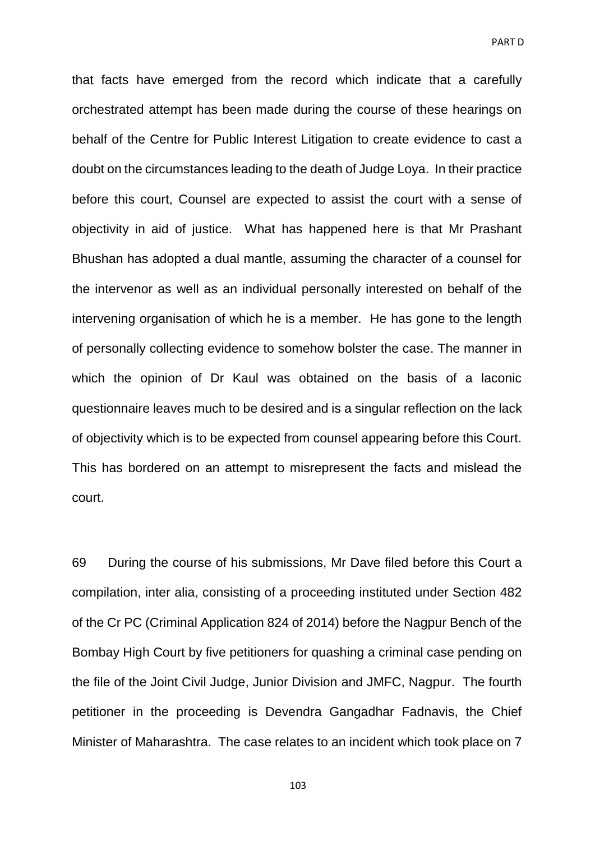that facts have emerged from the record which indicate that a carefully orchestrated attempt has been made during the course of these hearings on behalf of the Centre for Public Interest Litigation to create evidence to cast a doubt on the circumstances leading to the death of Judge Loya. In their practice before this court, Counsel are expected to assist the court with a sense of objectivity in aid of justice. What has happened here is that Mr Prashant Bhushan has adopted a dual mantle, assuming the character of a counsel for the intervenor as well as an individual personally interested on behalf of the intervening organisation of which he is a member. He has gone to the length of personally collecting evidence to somehow bolster the case. The manner in which the opinion of Dr Kaul was obtained on the basis of a laconic questionnaire leaves much to be desired and is a singular reflection on the lack of objectivity which is to be expected from counsel appearing before this Court. This has bordered on an attempt to misrepresent the facts and mislead the court.

69 During the course of his submissions, Mr Dave filed before this Court a compilation, inter alia, consisting of a proceeding instituted under Section 482 of the Cr PC (Criminal Application 824 of 2014) before the Nagpur Bench of the Bombay High Court by five petitioners for quashing a criminal case pending on the file of the Joint Civil Judge, Junior Division and JMFC, Nagpur. The fourth petitioner in the proceeding is Devendra Gangadhar Fadnavis, the Chief Minister of Maharashtra. The case relates to an incident which took place on 7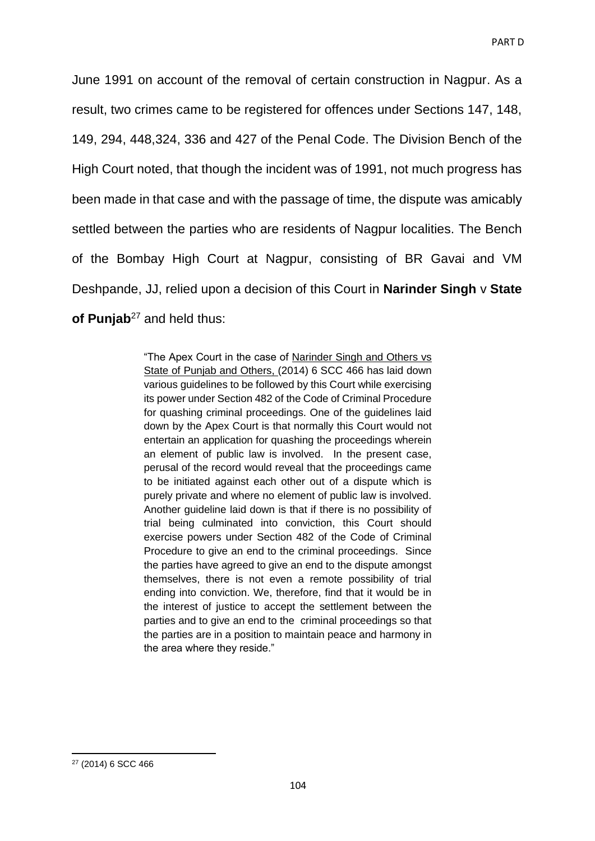June 1991 on account of the removal of certain construction in Nagpur. As a result, two crimes came to be registered for offences under Sections 147, 148, 149, 294, 448,324, 336 and 427 of the Penal Code. The Division Bench of the High Court noted, that though the incident was of 1991, not much progress has been made in that case and with the passage of time, the dispute was amicably settled between the parties who are residents of Nagpur localities. The Bench of the Bombay High Court at Nagpur, consisting of BR Gavai and VM Deshpande, JJ, relied upon a decision of this Court in **Narinder Singh** v **State of Puniab**<sup>27</sup> and held thus:

> "The Apex Court in the case of Narinder Singh and Others vs State of Punjab and Others, (2014) 6 SCC 466 has laid down various guidelines to be followed by this Court while exercising its power under Section 482 of the Code of Criminal Procedure for quashing criminal proceedings. One of the guidelines laid down by the Apex Court is that normally this Court would not entertain an application for quashing the proceedings wherein an element of public law is involved. In the present case, perusal of the record would reveal that the proceedings came to be initiated against each other out of a dispute which is purely private and where no element of public law is involved. Another guideline laid down is that if there is no possibility of trial being culminated into conviction, this Court should exercise powers under Section 482 of the Code of Criminal Procedure to give an end to the criminal proceedings. Since the parties have agreed to give an end to the dispute amongst themselves, there is not even a remote possibility of trial ending into conviction. We, therefore, find that it would be in the interest of justice to accept the settlement between the parties and to give an end to the criminal proceedings so that the parties are in a position to maintain peace and harmony in the area where they reside."

<sup>1</sup> <sup>27</sup> (2014) 6 SCC 466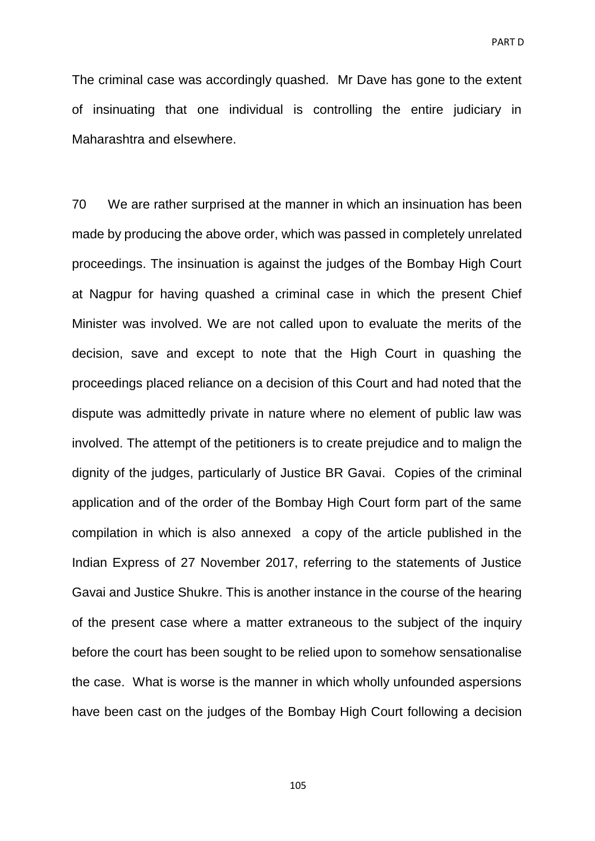The criminal case was accordingly quashed. Mr Dave has gone to the extent of insinuating that one individual is controlling the entire judiciary in Maharashtra and elsewhere.

70 We are rather surprised at the manner in which an insinuation has been made by producing the above order, which was passed in completely unrelated proceedings. The insinuation is against the judges of the Bombay High Court at Nagpur for having quashed a criminal case in which the present Chief Minister was involved. We are not called upon to evaluate the merits of the decision, save and except to note that the High Court in quashing the proceedings placed reliance on a decision of this Court and had noted that the dispute was admittedly private in nature where no element of public law was involved. The attempt of the petitioners is to create prejudice and to malign the dignity of the judges, particularly of Justice BR Gavai. Copies of the criminal application and of the order of the Bombay High Court form part of the same compilation in which is also annexed a copy of the article published in the Indian Express of 27 November 2017, referring to the statements of Justice Gavai and Justice Shukre. This is another instance in the course of the hearing of the present case where a matter extraneous to the subject of the inquiry before the court has been sought to be relied upon to somehow sensationalise the case. What is worse is the manner in which wholly unfounded aspersions have been cast on the judges of the Bombay High Court following a decision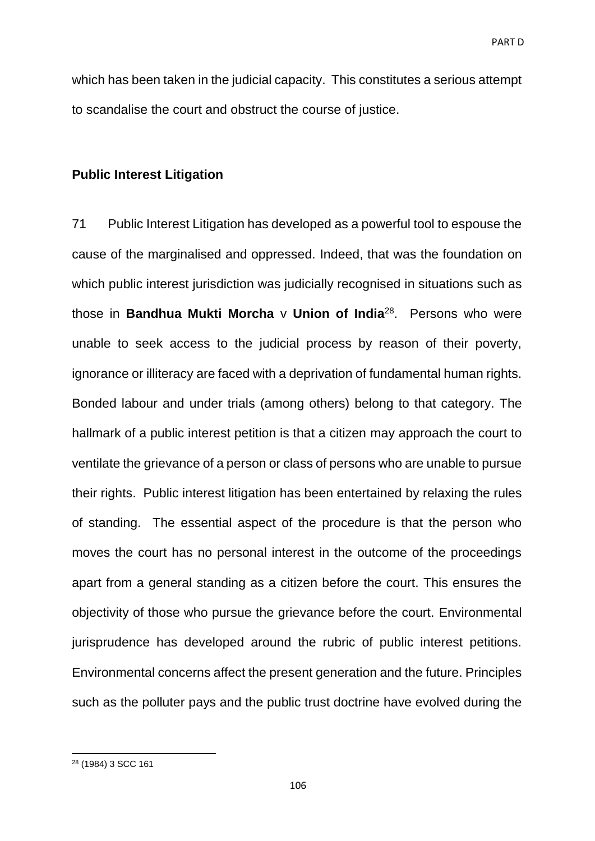which has been taken in the judicial capacity. This constitutes a serious attempt to scandalise the court and obstruct the course of justice.

## **Public Interest Litigation**

71 Public Interest Litigation has developed as a powerful tool to espouse the cause of the marginalised and oppressed. Indeed, that was the foundation on which public interest jurisdiction was judicially recognised in situations such as those in **Bandhua Mukti Morcha** v **Union of India**<sup>28</sup> .Persons who were unable to seek access to the judicial process by reason of their poverty, ignorance or illiteracy are faced with a deprivation of fundamental human rights. Bonded labour and under trials (among others) belong to that category. The hallmark of a public interest petition is that a citizen may approach the court to ventilate the grievance of a person or class of persons who are unable to pursue their rights. Public interest litigation has been entertained by relaxing the rules of standing. The essential aspect of the procedure is that the person who moves the court has no personal interest in the outcome of the proceedings apart from a general standing as a citizen before the court. This ensures the objectivity of those who pursue the grievance before the court. Environmental jurisprudence has developed around the rubric of public interest petitions. Environmental concerns affect the present generation and the future. Principles such as the polluter pays and the public trust doctrine have evolved during the

<sup>1</sup> <sup>28</sup> (1984) 3 SCC 161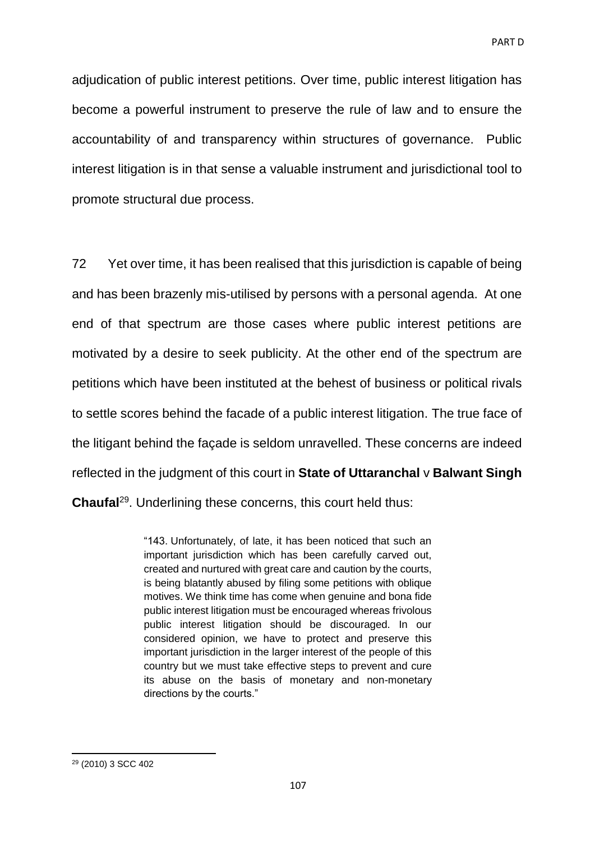adjudication of public interest petitions. Over time, public interest litigation has become a powerful instrument to preserve the rule of law and to ensure the accountability of and transparency within structures of governance. Public interest litigation is in that sense a valuable instrument and jurisdictional tool to promote structural due process.

72 Yet over time, it has been realised that this jurisdiction is capable of being and has been brazenly mis-utilised by persons with a personal agenda. At one end of that spectrum are those cases where public interest petitions are motivated by a desire to seek publicity. At the other end of the spectrum are petitions which have been instituted at the behest of business or political rivals to settle scores behind the facade of a public interest litigation. The true face of the litigant behind the façade is seldom unravelled. These concerns are indeed reflected in the judgment of this court in **State of Uttaranchal** v **Balwant Singh Chaufal**<sup>29</sup> . Underlining these concerns, this court held thus:

> "143. Unfortunately, of late, it has been noticed that such an important jurisdiction which has been carefully carved out, created and nurtured with great care and caution by the courts, is being blatantly abused by filing some petitions with oblique motives. We think time has come when genuine and bona fide public interest litigation must be encouraged whereas frivolous public interest litigation should be discouraged. In our considered opinion, we have to protect and preserve this important jurisdiction in the larger interest of the people of this country but we must take effective steps to prevent and cure its abuse on the basis of monetary and non-monetary directions by the courts."

<sup>29</sup> (2010) 3 SCC 402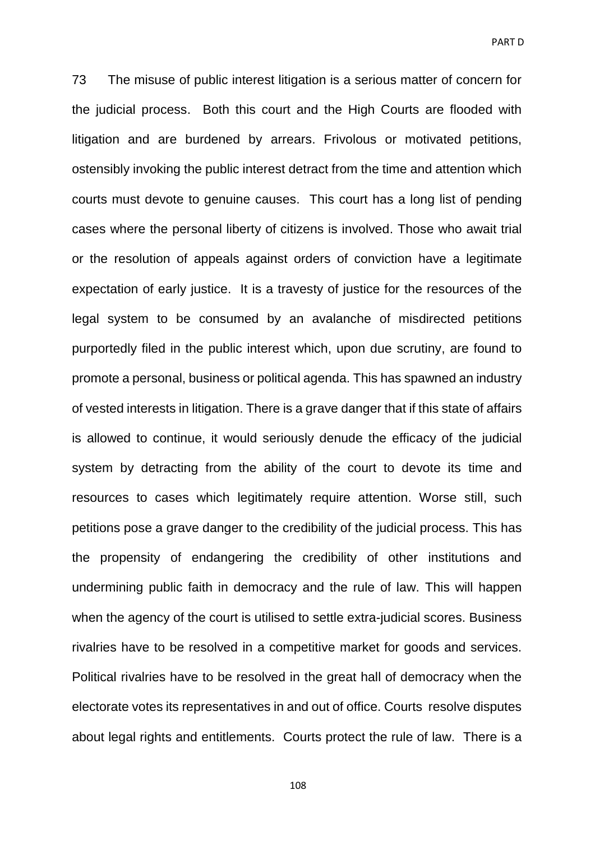73 The misuse of public interest litigation is a serious matter of concern for the judicial process. Both this court and the High Courts are flooded with litigation and are burdened by arrears. Frivolous or motivated petitions, ostensibly invoking the public interest detract from the time and attention which courts must devote to genuine causes. This court has a long list of pending cases where the personal liberty of citizens is involved. Those who await trial or the resolution of appeals against orders of conviction have a legitimate expectation of early justice. It is a travesty of justice for the resources of the legal system to be consumed by an avalanche of misdirected petitions purportedly filed in the public interest which, upon due scrutiny, are found to promote a personal, business or political agenda. This has spawned an industry of vested interests in litigation. There is a grave danger that if this state of affairs is allowed to continue, it would seriously denude the efficacy of the judicial system by detracting from the ability of the court to devote its time and resources to cases which legitimately require attention. Worse still, such petitions pose a grave danger to the credibility of the judicial process. This has the propensity of endangering the credibility of other institutions and undermining public faith in democracy and the rule of law. This will happen when the agency of the court is utilised to settle extra-judicial scores. Business rivalries have to be resolved in a competitive market for goods and services. Political rivalries have to be resolved in the great hall of democracy when the electorate votes its representatives in and out of office. Courts resolve disputes about legal rights and entitlements. Courts protect the rule of law. There is a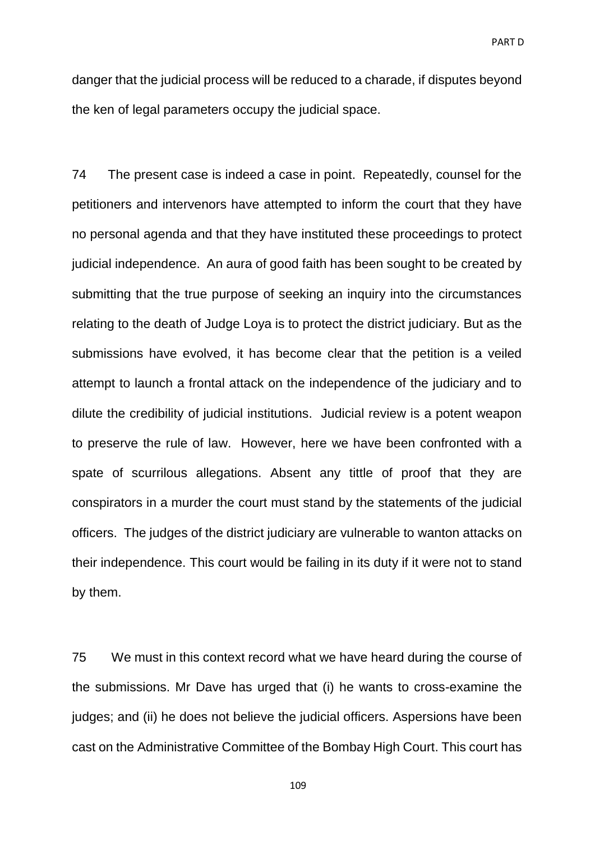danger that the judicial process will be reduced to a charade, if disputes beyond the ken of legal parameters occupy the judicial space.

74 The present case is indeed a case in point. Repeatedly, counsel for the petitioners and intervenors have attempted to inform the court that they have no personal agenda and that they have instituted these proceedings to protect judicial independence. An aura of good faith has been sought to be created by submitting that the true purpose of seeking an inquiry into the circumstances relating to the death of Judge Loya is to protect the district judiciary. But as the submissions have evolved, it has become clear that the petition is a veiled attempt to launch a frontal attack on the independence of the judiciary and to dilute the credibility of judicial institutions. Judicial review is a potent weapon to preserve the rule of law. However, here we have been confronted with a spate of scurrilous allegations. Absent any tittle of proof that they are conspirators in a murder the court must stand by the statements of the judicial officers. The judges of the district judiciary are vulnerable to wanton attacks on their independence. This court would be failing in its duty if it were not to stand by them.

75 We must in this context record what we have heard during the course of the submissions. Mr Dave has urged that (i) he wants to cross-examine the judges; and (ii) he does not believe the judicial officers. Aspersions have been cast on the Administrative Committee of the Bombay High Court. This court has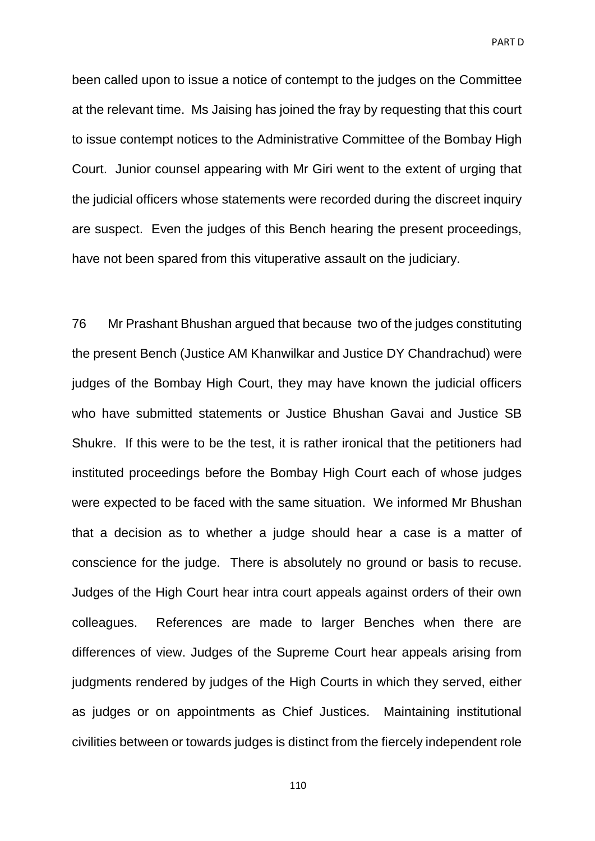PART D

been called upon to issue a notice of contempt to the judges on the Committee at the relevant time. Ms Jaising has joined the fray by requesting that this court to issue contempt notices to the Administrative Committee of the Bombay High Court. Junior counsel appearing with Mr Giri went to the extent of urging that the judicial officers whose statements were recorded during the discreet inquiry are suspect. Even the judges of this Bench hearing the present proceedings, have not been spared from this vituperative assault on the judiciary.

76 Mr Prashant Bhushan argued that because two of the judges constituting the present Bench (Justice AM Khanwilkar and Justice DY Chandrachud) were judges of the Bombay High Court, they may have known the judicial officers who have submitted statements or Justice Bhushan Gavai and Justice SB Shukre. If this were to be the test, it is rather ironical that the petitioners had instituted proceedings before the Bombay High Court each of whose judges were expected to be faced with the same situation. We informed Mr Bhushan that a decision as to whether a judge should hear a case is a matter of conscience for the judge. There is absolutely no ground or basis to recuse. Judges of the High Court hear intra court appeals against orders of their own colleagues. References are made to larger Benches when there are differences of view. Judges of the Supreme Court hear appeals arising from judgments rendered by judges of the High Courts in which they served, either as judges or on appointments as Chief Justices. Maintaining institutional civilities between or towards judges is distinct from the fiercely independent role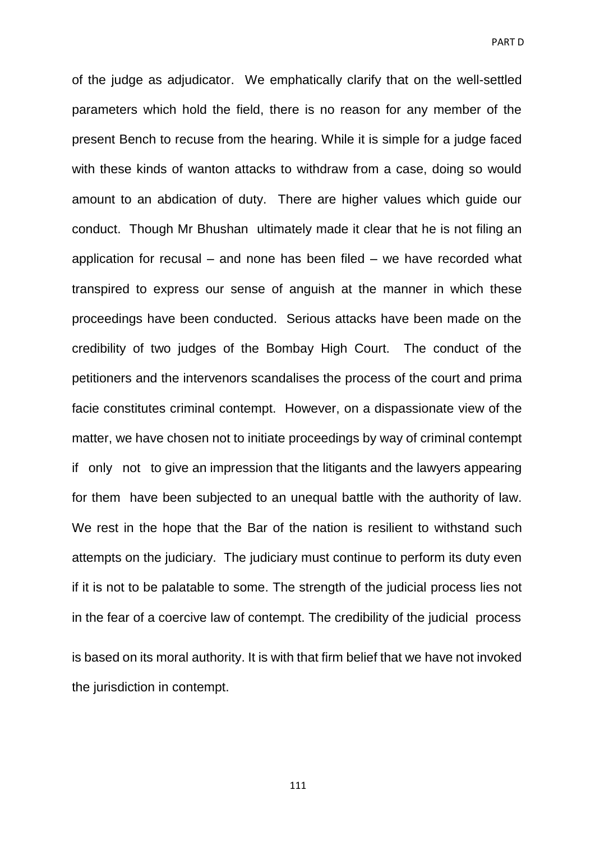of the judge as adjudicator. We emphatically clarify that on the well-settled parameters which hold the field, there is no reason for any member of the present Bench to recuse from the hearing. While it is simple for a judge faced with these kinds of wanton attacks to withdraw from a case, doing so would amount to an abdication of duty. There are higher values which guide our conduct. Though Mr Bhushan ultimately made it clear that he is not filing an application for recusal – and none has been filed – we have recorded what transpired to express our sense of anguish at the manner in which these proceedings have been conducted. Serious attacks have been made on the credibility of two judges of the Bombay High Court. The conduct of the petitioners and the intervenors scandalises the process of the court and prima facie constitutes criminal contempt. However, on a dispassionate view of the matter, we have chosen not to initiate proceedings by way of criminal contempt if only not to give an impression that the litigants and the lawyers appearing for them have been subjected to an unequal battle with the authority of law. We rest in the hope that the Bar of the nation is resilient to withstand such attempts on the judiciary. The judiciary must continue to perform its duty even if it is not to be palatable to some. The strength of the judicial process lies not in the fear of a coercive law of contempt. The credibility of the judicial process

is based on its moral authority. It is with that firm belief that we have not invoked the jurisdiction in contempt.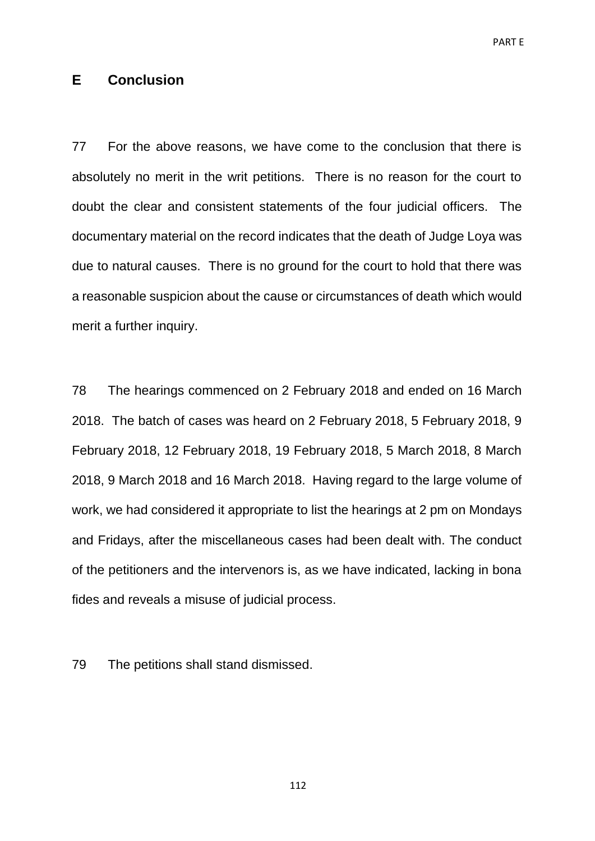## **E Conclusion**

77 For the above reasons, we have come to the conclusion that there is absolutely no merit in the writ petitions. There is no reason for the court to doubt the clear and consistent statements of the four judicial officers. The documentary material on the record indicates that the death of Judge Loya was due to natural causes. There is no ground for the court to hold that there was a reasonable suspicion about the cause or circumstances of death which would merit a further inquiry.

78 The hearings commenced on 2 February 2018 and ended on 16 March 2018. The batch of cases was heard on 2 February 2018, 5 February 2018, 9 February 2018, 12 February 2018, 19 February 2018, 5 March 2018, 8 March 2018, 9 March 2018 and 16 March 2018. Having regard to the large volume of work, we had considered it appropriate to list the hearings at 2 pm on Mondays and Fridays, after the miscellaneous cases had been dealt with. The conduct of the petitioners and the intervenors is, as we have indicated, lacking in bona fides and reveals a misuse of judicial process.

79 The petitions shall stand dismissed.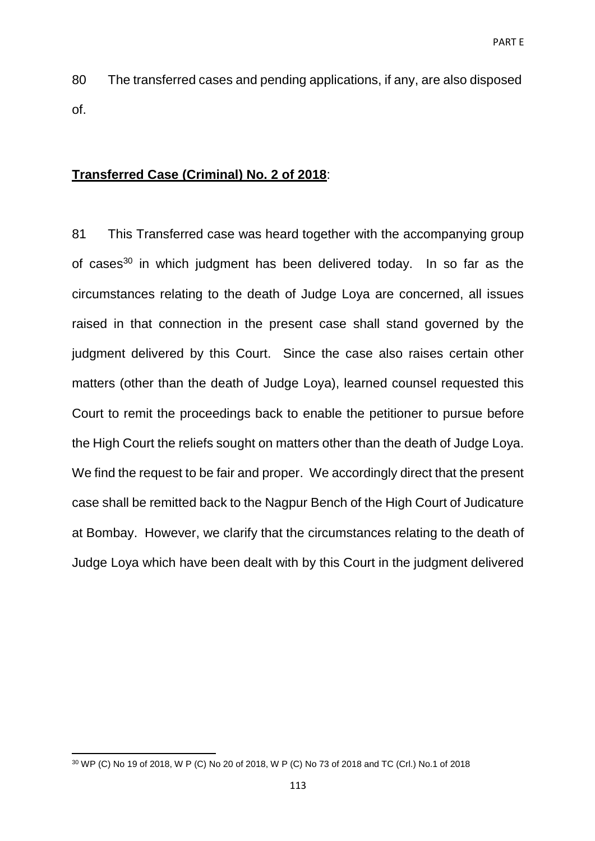80 The transferred cases and pending applications, if any, are also disposed of.

## **Transferred Case (Criminal) No. 2 of 2018**:

81 This Transferred case was heard together with the accompanying group of cases<sup>30</sup> in which judgment has been delivered today. In so far as the circumstances relating to the death of Judge Loya are concerned, all issues raised in that connection in the present case shall stand governed by the judgment delivered by this Court. Since the case also raises certain other matters (other than the death of Judge Loya), learned counsel requested this Court to remit the proceedings back to enable the petitioner to pursue before the High Court the reliefs sought on matters other than the death of Judge Loya. We find the request to be fair and proper. We accordingly direct that the present case shall be remitted back to the Nagpur Bench of the High Court of Judicature at Bombay. However, we clarify that the circumstances relating to the death of Judge Loya which have been dealt with by this Court in the judgment delivered

<sup>30</sup> WP (C) No 19 of 2018, W P (C) No 20 of 2018, W P (C) No 73 of 2018 and TC (Crl.) No.1 of 2018